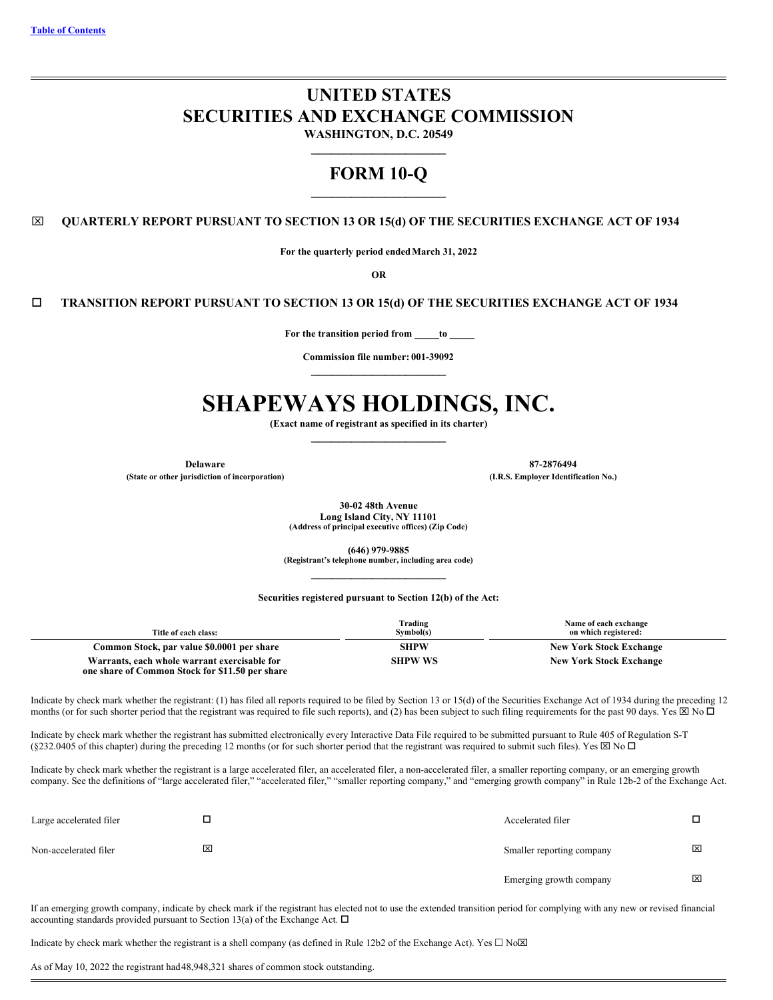# **UNITED STATES SECURITIES AND EXCHANGE COMMISSION**

**WASHINGTON, D.C. 20549**  $\_$ 

# **FORM 10-Q**  $\mathcal{L}_\text{max}$  , where  $\mathcal{L}_\text{max}$  and  $\mathcal{L}_\text{max}$

x **QUARTERLY REPORT PURSUANT TO SECTION 13 OR 15(d) OF THE SECURITIES EXCHANGE ACT OF 1934**

**For the quarterly period endedMarch 31, 2022**

**OR**

o **TRANSITION REPORT PURSUANT TO SECTION 13 OR 15(d) OF THE SECURITIES EXCHANGE ACT OF 1934**

**For the transition period from \_\_\_\_\_to \_\_\_\_\_**

**Commission file number: 001-39092**  $\mathcal{L}_\text{max}$  , where  $\mathcal{L}_\text{max}$  and  $\mathcal{L}_\text{max}$ 

# **SHAPEWAYS HOLDINGS, INC.**

**(Exact name of registrant as specified in its charter)**  $\_$ 

**Delaware 87-2876494 (State or other jurisdiction of incorporation) (I.R.S. Employer Identification No.)**

> **30-02 48th Avenue Long Island City, NY 11101 (Address of principal executive offices) (Zip Code)**

> > **(646) 979-9885**

**(Registrant's telephone number, including area code)**  $\_$ 

**Securities registered pursuant to Section 12(b) of the Act:**

| Title of each class:                                                                            | Trading<br>Symbol(s) | Name of each exchange<br>on which registered: |
|-------------------------------------------------------------------------------------------------|----------------------|-----------------------------------------------|
| Common Stock, par value \$0.0001 per share                                                      | <b>SHPW</b>          | <b>New York Stock Exchange</b>                |
| Warrants, each whole warrant exercisable for<br>one share of Common Stock for \$11.50 per share | <b>SHPW WS</b>       | <b>New York Stock Exchange</b>                |

Indicate by check mark whether the registrant: (1) has filed all reports required to be filed by Section 13 or 15(d) of the Securities Exchange Act of 1934 during the preceding 12 months (or for such shorter period that the registrant was required to file such reports), and (2) has been subject to such filing requirements for the past 90 days. Yes  $\boxtimes$  No  $\Box$ 

Indicate by check mark whether the registrant has submitted electronically every Interactive Data File required to be submitted pursuant to Rule 405 of Regulation S-T (§232.0405 of this chapter) during the preceding 12 months (or for such shorter period that the registrant was required to submit such files). Yes  $\boxtimes$  No  $\Box$ 

Indicate by check mark whether the registrant is a large accelerated filer, an accelerated filer, a non-accelerated filer, a smaller reporting company, or an emerging growth company. See the definitions of "large accelerated filer," "accelerated filer," "smaller reporting company," and "emerging growth company" in Rule 12b-2 of the Exchange Act.

| Large accelerated filer |   | Accelerated filer         |   |
|-------------------------|---|---------------------------|---|
| Non-accelerated filer   | ⊠ | Smaller reporting company | ⊠ |
|                         |   | Emerging growth company   | ⊠ |

If an emerging growth company, indicate by check mark if the registrant has elected not to use the extended transition period for complying with any new or revised financial accounting standards provided pursuant to Section 13(a) of the Exchange Act.  $\Box$ 

Indicate by check mark whether the registrant is a shell company (as defined in Rule 12b2 of the Exchange Act). Yes  $\Box$  No $\boxtimes$ 

As of May 10, 2022 the registrant had48,948,321 shares of common stock outstanding.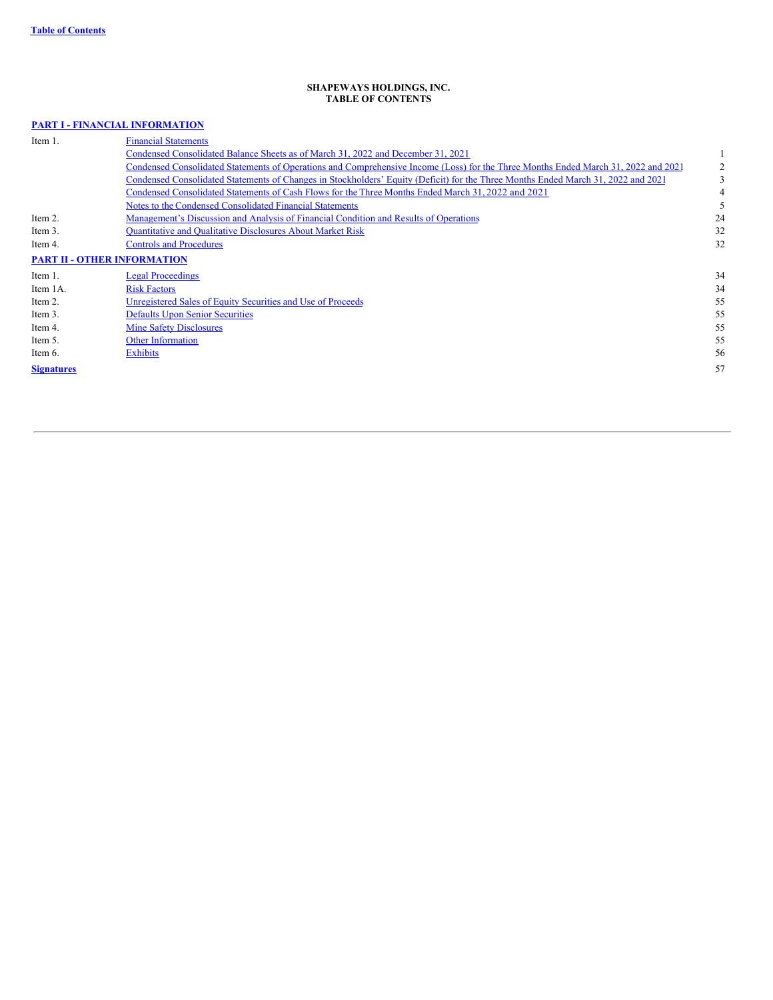# **SHAPEWAYS HOLDINGS, INC. TABLE OF CONTENTS**

# **PART I - FINANCIAL [INFORMATION](#page-3-0)**

| Item 1.           | <b>Financial Statements</b>                                                                                                        |    |
|-------------------|------------------------------------------------------------------------------------------------------------------------------------|----|
|                   | Condensed Consolidated Balance Sheets as of March 31, 2022 and December 31, 2021                                                   |    |
|                   | Condensed Consolidated Statements of Operations and Comprehensive Income (Loss) for the Three Months Ended March 31, 2022 and 2021 |    |
|                   | Condensed Consolidated Statements of Changes in Stockholders' Equity (Deficit) for the Three Months Ended March 31, 2022 and 2021  | 3  |
|                   | Condensed Consolidated Statements of Cash Flows for the Three Months Ended March 31, 2022 and 2021                                 |    |
|                   | Notes to the Condensed Consolidated Financial Statements                                                                           |    |
| Item 2.           | Management's Discussion and Analysis of Financial Condition and Results of Operations                                              | 24 |
| Item 3.           | <b>Quantitative and Qualitative Disclosures About Market Risk</b>                                                                  | 32 |
| Item 4.           | <b>Controls and Procedures</b>                                                                                                     | 32 |
|                   | <b>PART II - OTHER INFORMATION</b>                                                                                                 |    |
| Item 1.           | <b>Legal Proceedings</b>                                                                                                           | 34 |
| Item 1A.          | <b>Risk Factors</b>                                                                                                                | 34 |
| Item 2.           | Unregistered Sales of Equity Securities and Use of Proceeds                                                                        | 55 |
| Item 3.           | <b>Defaults Upon Senior Securities</b>                                                                                             | 55 |
| Item 4.           | <b>Mine Safety Disclosures</b>                                                                                                     | 55 |
| Item 5.           | <b>Other Information</b>                                                                                                           | 55 |
| Item 6.           | <b>Exhibits</b>                                                                                                                    | 56 |
| <b>Signatures</b> |                                                                                                                                    | 57 |
|                   |                                                                                                                                    |    |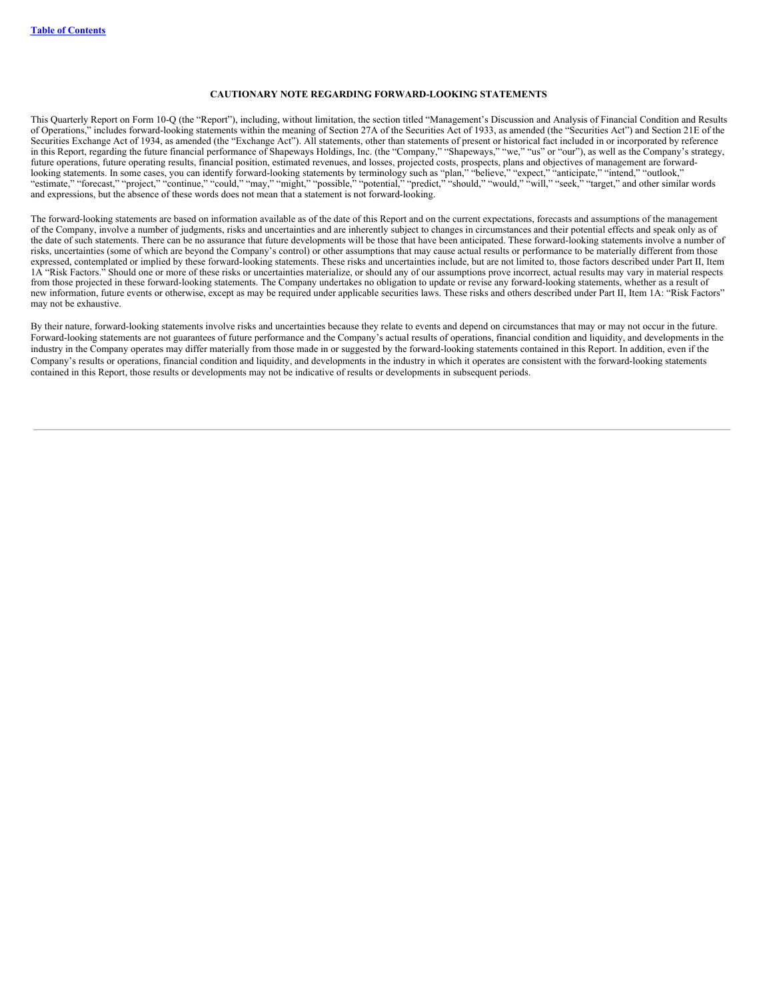# **CAUTIONARY NOTE REGARDING FORWARD-LOOKING STATEMENTS**

This Quarterly Report on Form 10-Q (the "Report"), including, without limitation, the section titled "Management's Discussion and Analysis of Financial Condition and Results of Operations," includes forward-looking statements within the meaning of Section 27A of the Securities Act of 1933, as amended (the "Securities Act") and Section 21E of the Securities Exchange Act of 1934, as amended (the "Exchange Act"). All statements, other than statements of present or historical fact included in or incorporated by reference in this Report, regarding the future financial performance of Shapeways Holdings, Inc. (the "Company," "Shapeways," "we," "us" or "our"), as well as the Company's strategy, future operations, future operating results, financial position, estimated revenues, and losses, projected costs, prospects, plans and objectives of management are forwardlooking statements. In some cases, you can identify forward-looking statements by terminology such as "plan," "believe," "expect," "anticipate," "intend," "outlook," "estimate," "forecast," "project," "continue," "could," "may," "might," "possible," "potential," "predict," "should," "would," "will," "seek," "target," and other similar words and expressions, but the absence of these words does not mean that a statement is not forward-looking.

The forward-looking statements are based on information available as of the date of this Report and on the current expectations, forecasts and assumptions of the management of the Company, involve a number of judgments, risks and uncertainties and are inherently subject to changes in circumstances and their potential effects and speak only as of the date of such statements. There can be no assurance that future developments will be those that have been anticipated. These forward-looking statements involve a number of risks, uncertainties (some of which are beyond the Company's control) or other assumptions that may cause actual results or performance to be materially different from those expressed, contemplated or implied by these forward-looking statements. These risks and uncertainties include, but are not limited to, those factors described under Part II, Item 1A "Risk Factors." Should one or more of these risks or uncertainties materialize, or should any of our assumptions prove incorrect, actual results may vary in material respects from those projected in these forward-looking statements. The Company undertakes no obligation to update or revise any forward-looking statements, whether as a result of new information, future events or otherwise, except as may be required under applicable securities laws. These risks and others described under Part II, Item 1A: "Risk Factors" may not be exhaustive.

<span id="page-3-0"></span>By their nature, forward-looking statements involve risks and uncertainties because they relate to events and depend on circumstances that may or may not occur in the future. Forward-looking statements are not guarantees of future performance and the Company's actual results of operations, financial condition and liquidity, and developments in the industry in the Company operates may differ materially from those made in or suggested by the forward-looking statements contained in this Report. In addition, even if the Company's results or operations, financial condition and liquidity, and developments in the industry in which it operates are consistent with the forward-looking statements contained in this Report, those results or developments may not be indicative of results or developments in subsequent periods.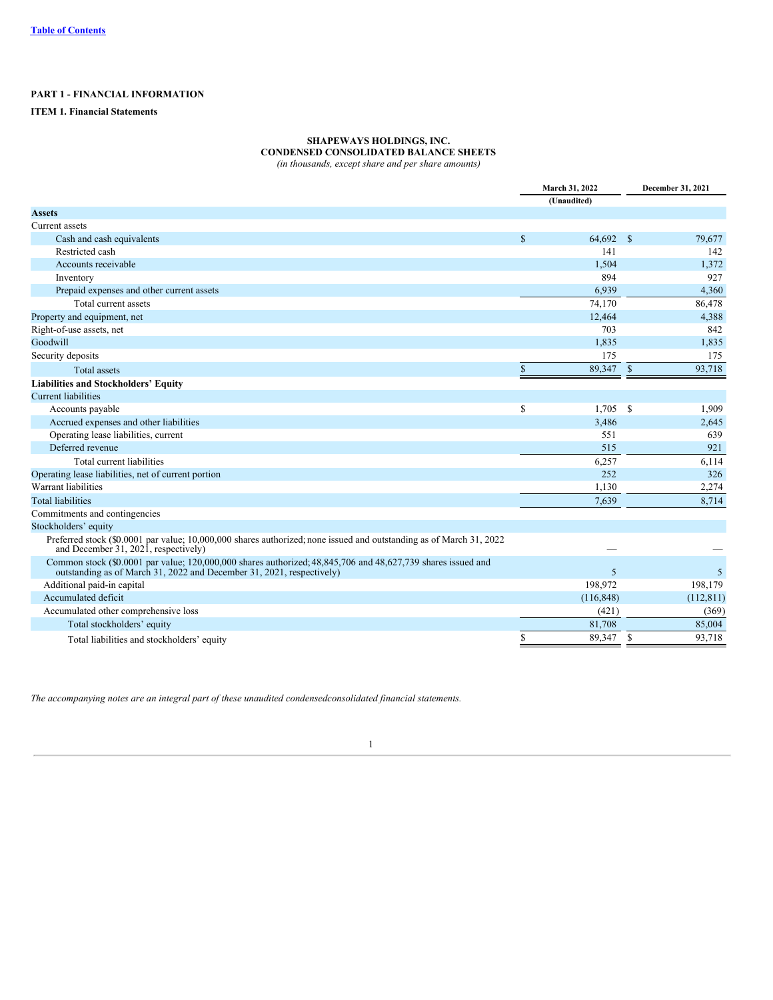# **PART 1 - FINANCIAL INFORMATION**

<span id="page-4-1"></span><span id="page-4-0"></span>**ITEM 1. Financial Statements**

# **SHAPEWAYS HOLDINGS, INC. CONDENSED CONSOLIDATED BALANCE SHEETS**

*(in thousands, except share and per share amounts)*

|                                                                                                                                                                                       |              | March 31, 2022 |               | December 31, 2021 |  |
|---------------------------------------------------------------------------------------------------------------------------------------------------------------------------------------|--------------|----------------|---------------|-------------------|--|
|                                                                                                                                                                                       |              | (Unaudited)    |               |                   |  |
| <b>Assets</b>                                                                                                                                                                         |              |                |               |                   |  |
| Current assets                                                                                                                                                                        |              |                |               |                   |  |
| Cash and cash equivalents                                                                                                                                                             | $\mathbb{S}$ | 64,692         | $\mathbb{S}$  | 79,677            |  |
| Restricted cash                                                                                                                                                                       |              | 141            |               | 142               |  |
| Accounts receivable                                                                                                                                                                   |              | 1.504          |               | 1,372             |  |
| Inventory                                                                                                                                                                             |              | 894            |               | 927               |  |
| Prepaid expenses and other current assets                                                                                                                                             |              | 6,939          |               | 4,360             |  |
| Total current assets                                                                                                                                                                  |              | 74,170         |               | 86,478            |  |
| Property and equipment, net                                                                                                                                                           |              | 12,464         |               | 4,388             |  |
| Right-of-use assets, net                                                                                                                                                              |              | 703            |               | 842               |  |
| Goodwill                                                                                                                                                                              |              | 1,835          |               | 1,835             |  |
| Security deposits                                                                                                                                                                     |              | 175            |               | 175               |  |
| <b>Total</b> assets                                                                                                                                                                   | \$           | 89,347 \$      |               | 93,718            |  |
| <b>Liabilities and Stockholders' Equity</b>                                                                                                                                           |              |                |               |                   |  |
| <b>Current liabilities</b>                                                                                                                                                            |              |                |               |                   |  |
| Accounts payable                                                                                                                                                                      | $\mathbb{S}$ | $1,705$ \$     |               | 1,909             |  |
| Accrued expenses and other liabilities                                                                                                                                                |              | 3,486          |               | 2,645             |  |
| Operating lease liabilities, current                                                                                                                                                  |              | 551            |               | 639               |  |
| Deferred revenue                                                                                                                                                                      |              | 515            |               | 921               |  |
| Total current liabilities                                                                                                                                                             |              | 6,257          |               | 6,114             |  |
| Operating lease liabilities, net of current portion                                                                                                                                   |              | 252            |               | 326               |  |
| Warrant liabilities                                                                                                                                                                   |              | 1,130          |               | 2,274             |  |
| <b>Total liabilities</b>                                                                                                                                                              |              | 7,639          |               | 8,714             |  |
| Commitments and contingencies                                                                                                                                                         |              |                |               |                   |  |
| Stockholders' equity                                                                                                                                                                  |              |                |               |                   |  |
| Preferred stock (\$0.0001 par value; 10,000,000 shares authorized; none issued and outstanding as of March 31, 2022<br>and December 31, 2021, respectively)                           |              |                |               |                   |  |
| Common stock (\$0.0001 par value; 120,000,000 shares authorized; 48,845,706 and 48,627,739 shares issued and<br>outstanding as of March 31, 2022 and December 31, 2021, respectively) |              | $\overline{5}$ |               | 5                 |  |
| Additional paid-in capital                                                                                                                                                            |              | 198,972        |               | 198,179           |  |
| Accumulated deficit                                                                                                                                                                   |              | (116, 848)     |               | (112, 811)        |  |
| Accumulated other comprehensive loss                                                                                                                                                  |              | (421)          |               | (369)             |  |
| Total stockholders' equity                                                                                                                                                            |              | 81,708         |               | 85,004            |  |
| Total liabilities and stockholders' equity                                                                                                                                            | S            | 89,347         | <sup>\$</sup> | 93,718            |  |

<span id="page-4-2"></span>*The accompanying notes are an integral part of these unaudited condensedconsolidated financial statements.*

# 1

the control of the control of the control of the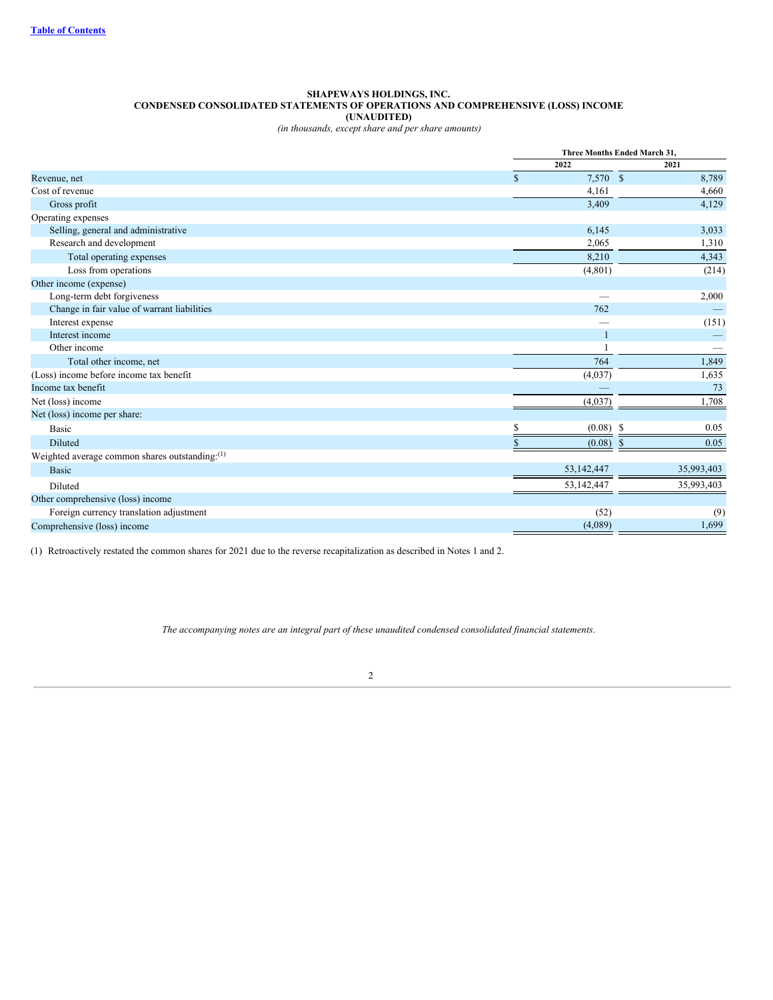# **SHAPEWAYS HOLDINGS, INC. CONDENSED CONSOLIDATED STATEMENTS OF OPERATIONS AND COMPREHENSIVE (LOSS) INCOME (UNAUDITED)**

*(in thousands, except share and per share amounts)*

|                                                |                 | Three Months Ended March 31, |
|------------------------------------------------|-----------------|------------------------------|
|                                                | 2022            | 2021                         |
| Revenue, net                                   | 7,570 \$<br>\$. | 8,789                        |
| Cost of revenue                                | 4,161           | 4,660                        |
| Gross profit                                   | 3,409           | 4,129                        |
| Operating expenses                             |                 |                              |
| Selling, general and administrative            | 6,145           | 3,033                        |
| Research and development                       | 2,065           | 1,310                        |
| Total operating expenses                       | 8,210           | 4,343                        |
| Loss from operations                           | (4, 801)        | (214)                        |
| Other income (expense)                         |                 |                              |
| Long-term debt forgiveness                     |                 | 2,000                        |
| Change in fair value of warrant liabilities    | 762             |                              |
| Interest expense                               |                 | (151)                        |
| Interest income                                |                 |                              |
| Other income                                   |                 |                              |
| Total other income, net                        | 764             | 1,849                        |
| (Loss) income before income tax benefit        | (4,037)         | 1,635                        |
| Income tax benefit                             |                 | 73                           |
| Net (loss) income                              | (4,037)         | 1,708                        |
| Net (loss) income per share:                   |                 |                              |
| Basic                                          | (0.08)<br>\$    | 0.05<br>-S                   |
| Diluted                                        | (0.08)          | 0.05<br>S                    |
| Weighted average common shares outstanding:(1) |                 |                              |
| <b>Basic</b>                                   | 53,142,447      | 35,993,403                   |
| Diluted                                        | 53,142,447      | 35,993,403                   |
| Other comprehensive (loss) income              |                 |                              |
| Foreign currency translation adjustment        | (52)            | (9)                          |
| Comprehensive (loss) income                    | (4,089)         | 1,699                        |

<span id="page-5-0"></span>(1) Retroactively restated the common shares for 2021 due to the reverse recapitalization as described in Notes 1 and 2.

*The accompanying notes are an integral part of these unaudited condensed consolidated financial statements.*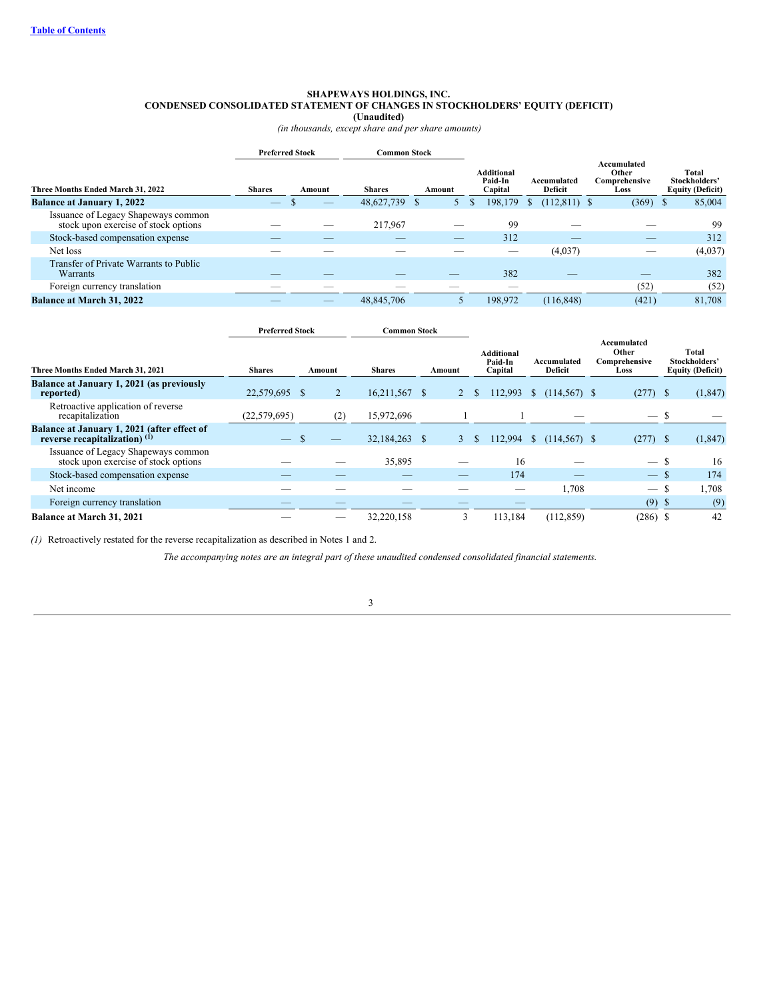# **SHAPEWAYS HOLDINGS, INC. CONDENSED CONSOLIDATED STATEMENT OF CHANGES IN STOCKHOLDERS' EQUITY (DEFICIT) (Unaudited)**

*(in thousands, except share and per share amounts)*

|                                                                             | <b>Preferred Stock</b>   |        | <b>Common Stock</b> |        |                                         |                        |                                               |                                                   |
|-----------------------------------------------------------------------------|--------------------------|--------|---------------------|--------|-----------------------------------------|------------------------|-----------------------------------------------|---------------------------------------------------|
| Three Months Ended March 31, 2022                                           | <b>Shares</b>            | Amount | <b>Shares</b>       | Amount | <b>Additional</b><br>Paid-In<br>Capital | Accumulated<br>Deficit | Accumulated<br>Other<br>Comprehensive<br>Loss | Total<br>Stockholders'<br><b>Equity (Deficit)</b> |
| <b>Balance at January 1, 2022</b>                                           |                          | $-$    | 48,627,739          | 5.     | 198,179<br>Ъ                            | $(112,811)$ \$<br>S    | (369)                                         | 85,004                                            |
| Issuance of Legacy Shapeways common<br>stock upon exercise of stock options |                          |        | 217,967             |        | 99                                      |                        |                                               | -99                                               |
| Stock-based compensation expense                                            |                          |        |                     | _      | 312                                     | _                      | $\overline{\phantom{a}}$                      | 312                                               |
| Net loss                                                                    |                          |        |                     |        | _                                       | (4,037)                | -                                             | (4,037)                                           |
| Transfer of Private Warrants to Public<br>Warrants                          | _                        |        |                     | _      | 382                                     | _                      | _                                             | 382                                               |
| Foreign currency translation                                                | $\overline{\phantom{a}}$ | __     |                     |        | $-$                                     |                        | (52)                                          | (52)                                              |
| <b>Balance at March 31, 2022</b>                                            |                          |        | 48,845,706          |        | 198,972                                 | (116, 848)             | (421)                                         | 81,708                                            |

|                                                                                | <b>Preferred Stock</b> |         | <b>Common Stock</b> |                    |                                         |                                  |                                               |                                                   |
|--------------------------------------------------------------------------------|------------------------|---------|---------------------|--------------------|-----------------------------------------|----------------------------------|-----------------------------------------------|---------------------------------------------------|
| Three Months Ended March 31, 2021                                              | <b>Shares</b>          | Amount  | <b>Shares</b>       | Amount             | <b>Additional</b><br>Paid-In<br>Capital | Accumulated<br>Deficit           | Accumulated<br>Other<br>Comprehensive<br>Loss | Total<br>Stockholders'<br><b>Equity (Deficit)</b> |
| Balance at January 1, 2021 (as previously<br>reported)                         | 22,579,695             | -S<br>2 | 16,211,567 \$       | $\overline{2}$     | 112,993                                 | $(114, 567)$ \$<br><sup>S</sup>  | $(277)$ \$                                    | (1,847)                                           |
| Retroactive application of reverse<br>recapitalization                         | (22, 579, 695)         | (2)     | 15,972,696          |                    |                                         |                                  | $\overline{\phantom{a}}$                      | -S                                                |
| Balance at January 1, 2021 (after effect of<br>reverse recapitalization) $(1)$ |                        |         | 32,184,263          | <sup>\$</sup><br>3 | 112,994                                 | <sup>\$</sup><br>$(114, 567)$ \$ | $(277)$ \$                                    | (1,847)                                           |
| Issuance of Legacy Shapeways common<br>stock upon exercise of stock options    |                        |         | 35,895              |                    | 16                                      |                                  |                                               | -S<br>16                                          |
| Stock-based compensation expense                                               |                        |         |                     |                    | 174                                     |                                  |                                               | 174<br>-S                                         |
| Net income                                                                     |                        |         |                     |                    | -                                       | 1,708                            |                                               | S<br>1,708                                        |
| Foreign currency translation                                                   |                        |         |                     |                    |                                         |                                  | (9)                                           | (9)<br>-S                                         |
| Balance at March 31, 2021                                                      |                        |         | 32,220,158          | 3                  | 113,184                                 | (112, 859)                       | $(286)$ \$                                    | 42                                                |

<span id="page-6-0"></span>*(1)* Retroactively restated for the reverse recapitalization as described in Notes 1 and 2.

*The accompanying notes are an integral part of these unaudited condensed consolidated financial statements.*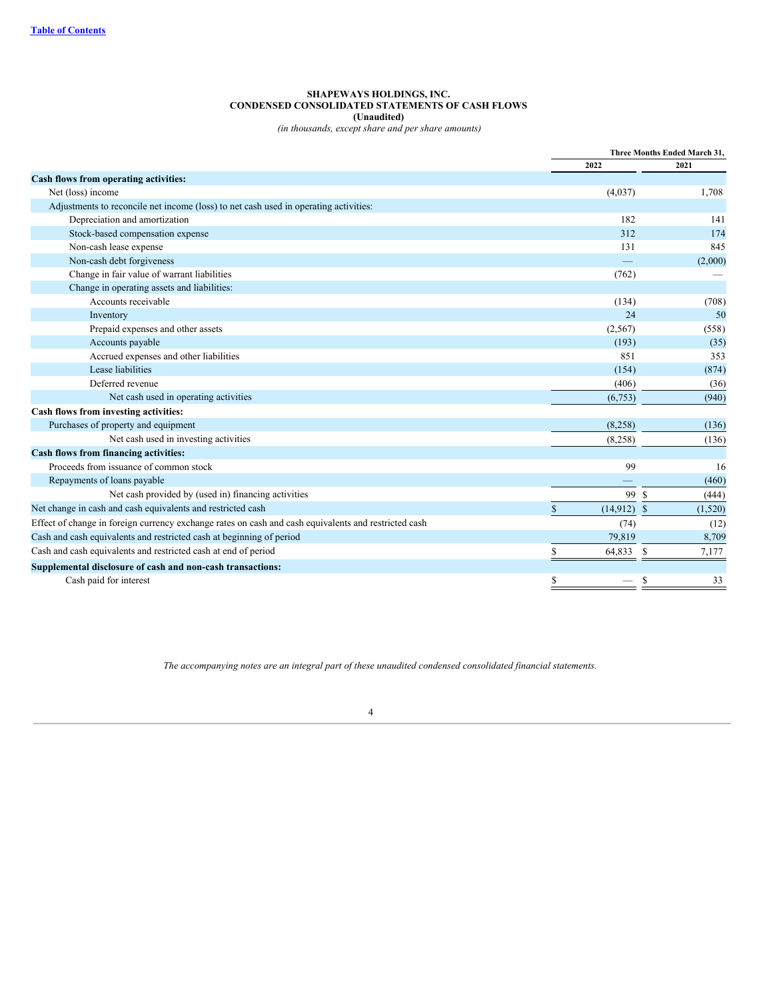# **SHAPEWAYS HOLDINGS, INC. CONDENSED CONSOLIDATED STATEMENTS OF CASH FLOWS (Unaudited)**

*(in thousands, except share and per share amounts)*

|                                                                                                      | Three Months Ended March 31, |               |              |         |
|------------------------------------------------------------------------------------------------------|------------------------------|---------------|--------------|---------|
|                                                                                                      |                              | 2022          |              | 2021    |
| Cash flows from operating activities:                                                                |                              |               |              |         |
| Net (loss) income                                                                                    |                              | (4,037)       |              | 1,708   |
| Adjustments to reconcile net income (loss) to net cash used in operating activities:                 |                              |               |              |         |
| Depreciation and amortization                                                                        |                              | 182           |              | 141     |
| Stock-based compensation expense                                                                     |                              | 312           |              | 174     |
| Non-cash lease expense                                                                               |                              | 131           |              | 845     |
| Non-cash debt forgiveness                                                                            |                              |               |              | (2,000) |
| Change in fair value of warrant liabilities                                                          |                              | (762)         |              |         |
| Change in operating assets and liabilities:                                                          |                              |               |              |         |
| Accounts receivable                                                                                  |                              | (134)         |              | (708)   |
| Inventory                                                                                            |                              | 24            |              | 50      |
| Prepaid expenses and other assets                                                                    |                              | (2,567)       |              | (558)   |
| Accounts payable                                                                                     |                              | (193)         |              | (35)    |
| Accrued expenses and other liabilities                                                               |                              | 851           |              | 353     |
| Lease liabilities                                                                                    |                              | (154)         |              | (874)   |
| Deferred revenue                                                                                     |                              | (406)         |              | (36)    |
| Net cash used in operating activities                                                                |                              | (6,753)       |              | (940)   |
| Cash flows from investing activities:                                                                |                              |               |              |         |
| Purchases of property and equipment                                                                  |                              | (8, 258)      |              | (136)   |
| Net cash used in investing activities                                                                |                              | (8,258)       |              | (136)   |
| Cash flows from financing activities:                                                                |                              |               |              |         |
| Proceeds from issuance of common stock                                                               |                              | 99            |              | 16      |
| Repayments of loans payable                                                                          |                              |               |              | (460)   |
| Net cash provided by (used in) financing activities                                                  |                              | 99 \$         |              | (444)   |
| Net change in cash and cash equivalents and restricted cash                                          | $\mathbb{S}$                 | $(14,912)$ \$ |              | (1,520) |
| Effect of change in foreign currency exchange rates on cash and cash equivalents and restricted cash |                              | (74)          |              | (12)    |
| Cash and cash equivalents and restricted cash at beginning of period                                 |                              | 79,819        |              | 8,709   |
| Cash and cash equivalents and restricted cash at end of period                                       | S                            | 64,833        | -S           | 7,177   |
| Supplemental disclosure of cash and non-cash transactions:                                           |                              |               |              |         |
| Cash paid for interest                                                                               | \$                           |               | <sup>S</sup> | 33      |

<span id="page-7-0"></span>*The accompanying notes are an integral part of these unaudited condensed consolidated financial statements.*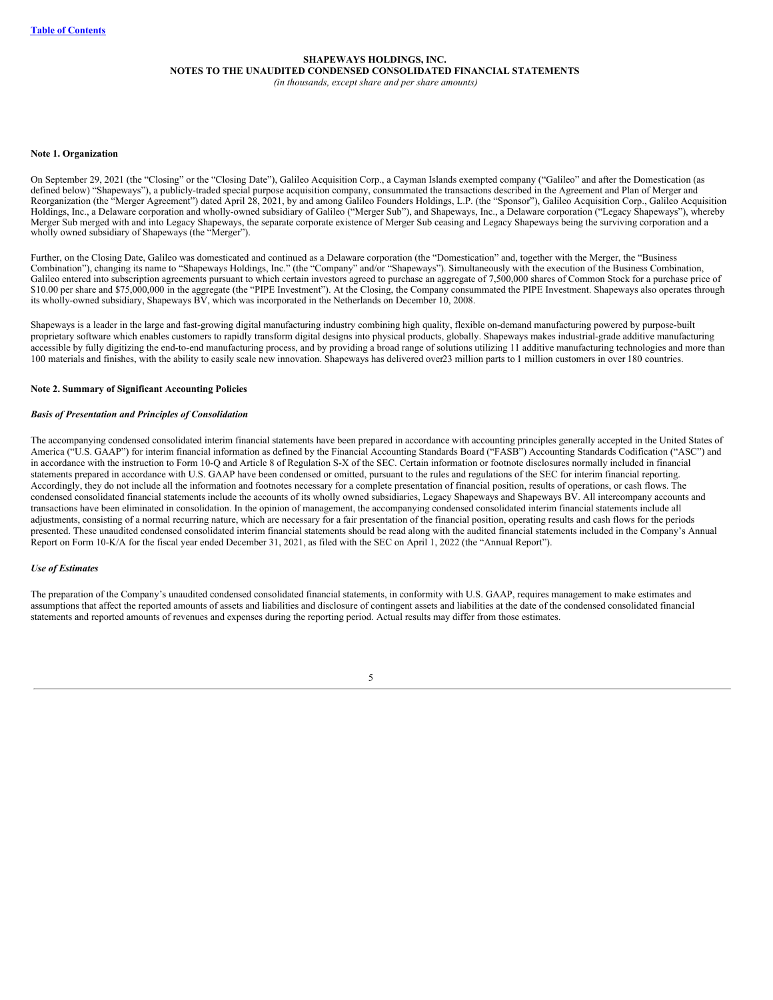*(in thousands, except share and per share amounts)*

# **Note 1. Organization**

On September 29, 2021 (the "Closing" or the "Closing Date"), Galileo Acquisition Corp., a Cayman Islands exempted company ("Galileo" and after the Domestication (as defined below) "Shapeways"), a publicly-traded special purpose acquisition company, consummated the transactions described in the Agreement and Plan of Merger and Reorganization (the "Merger Agreement") dated April 28, 2021, by and among Galileo Founders Holdings, L.P. (the "Sponsor"), Galileo Acquisition Corp., Galileo Acquisition Holdings, Inc., a Delaware corporation and wholly-owned subsidiary of Galileo ("Merger Sub"), and Shapeways, Inc., a Delaware corporation ("Legacy Shapeways"), whereby Merger Sub merged with and into Legacy Shapeways, the separate corporate existence of Merger Sub ceasing and Legacy Shapeways being the surviving corporation and a wholly owned subsidiary of Shapeways (the "Merger").

Further, on the Closing Date, Galileo was domesticated and continued as a Delaware corporation (the "Domestication" and, together with the Merger, the "Business Combination"), changing its name to "Shapeways Holdings, Inc." (the "Company" and/or "Shapeways"). Simultaneously with the execution of the Business Combination, Galileo entered into subscription agreements pursuant to which certain investors agreed to purchase an aggregate of 7,500,000 shares of Common Stock for a purchase price of \$10.00 per share and \$75,000,000 in the aggregate (the "PIPE Investment"). At the Closing, the Company consummated the PIPE Investment. Shapeways also operates through its wholly-owned subsidiary, Shapeways BV, which was incorporated in the Netherlands on December 10, 2008.

Shapeways is a leader in the large and fast-growing digital manufacturing industry combining high quality, flexible on-demand manufacturing powered by purpose-built proprietary software which enables customers to rapidly transform digital designs into physical products, globally. Shapeways makes industrial-grade additive manufacturing accessible by fully digitizing the end-to-end manufacturing process, and by providing a broad range of solutions utilizing 11 additive manufacturing technologies and more than 100 materials and finishes, with the ability to easily scale new innovation. Shapeways has delivered over23 million parts to 1 million customers in over 180 countries.

#### **Note 2. Summary of Significant Accounting Policies**

# *Basis of Presentation and Principles of Consolidation*

The accompanying condensed consolidated interim financial statements have been prepared in accordance with accounting principles generally accepted in the United States of America ("U.S. GAAP") for interim financial information as defined by the Financial Accounting Standards Board ("FASB") Accounting Standards Codification ("ASC") and in accordance with the instruction to Form 10-Q and Article 8 of Regulation S-X of the SEC. Certain information or footnote disclosures normally included in financial statements prepared in accordance with U.S. GAAP have been condensed or omitted, pursuant to the rules and regulations of the SEC for interim financial reporting. Accordingly, they do not include all the information and footnotes necessary for a complete presentation of financial position, results of operations, or cash flows. The condensed consolidated financial statements include the accounts of its wholly owned subsidiaries, Legacy Shapeways and Shapeways BV. All intercompany accounts and transactions have been eliminated in consolidation. In the opinion of management, the accompanying condensed consolidated interim financial statements include all adjustments, consisting of a normal recurring nature, which are necessary for a fair presentation of the financial position, operating results and cash flows for the periods presented. These unaudited condensed consolidated interim financial statements should be read along with the audited financial statements included in the Company's Annual Report on Form 10-K/A for the fiscal year ended December 31, 2021, as filed with the SEC on April 1, 2022 (the "Annual Report").

#### *Use of Estimates*

The preparation of the Company's unaudited condensed consolidated financial statements, in conformity with U.S. GAAP, requires management to make estimates and assumptions that affect the reported amounts of assets and liabilities and disclosure of contingent assets and liabilities at the date of the condensed consolidated financial statements and reported amounts of revenues and expenses during the reporting period. Actual results may differ from those estimates.

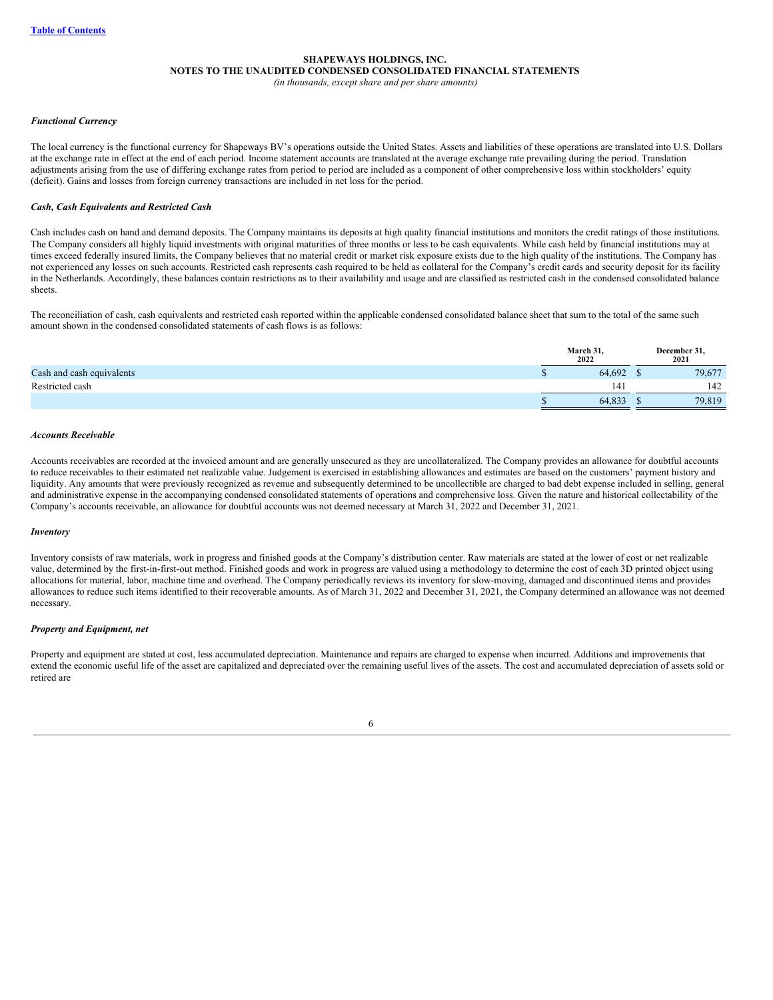*(in thousands, except share and per share amounts)*

### *Functional Currency*

The local currency is the functional currency for Shapeways BV's operations outside the United States. Assets and liabilities of these operations are translated into U.S. Dollars at the exchange rate in effect at the end of each period. Income statement accounts are translated at the average exchange rate prevailing during the period. Translation adjustments arising from the use of differing exchange rates from period to period are included as a component of other comprehensive loss within stockholders' equity (deficit). Gains and losses from foreign currency transactions are included in net loss for the period.

# *Cash, Cash Equivalents and Restricted Cash*

Cash includes cash on hand and demand deposits. The Company maintains its deposits at high quality financial institutions and monitors the credit ratings of those institutions. The Company considers all highly liquid investments with original maturities of three months or less to be cash equivalents. While cash held by financial institutions may at times exceed federally insured limits, the Company believes that no material credit or market risk exposure exists due to the high quality of the institutions. The Company has not experienced any losses on such accounts. Restricted cash represents cash required to be held as collateral for the Company's credit cards and security deposit for its facility in the Netherlands. Accordingly, these balances contain restrictions as to their availability and usage and are classified as restricted cash in the condensed consolidated balance sheets.

The reconciliation of cash, cash equivalents and restricted cash reported within the applicable condensed consolidated balance sheet that sum to the total of the same such amount shown in the condensed consolidated statements of cash flows is as follows:

|                           | March 31,<br>2022 | December 31,<br>2021 |
|---------------------------|-------------------|----------------------|
| Cash and cash equivalents | 64,692            | 79,677               |
| Restricted cash           | 141               | 142                  |
|                           | 64.833            | 79,819               |

# *Accounts Receivable*

Accounts receivables are recorded at the invoiced amount and are generally unsecured as they are uncollateralized. The Company provides an allowance for doubtful accounts to reduce receivables to their estimated net realizable value. Judgement is exercised in establishing allowances and estimates are based on the customers' payment history and liquidity. Any amounts that were previously recognized as revenue and subsequently determined to be uncollectible are charged to bad debt expense included in selling, general and administrative expense in the accompanying condensed consolidated statements of operations and comprehensive loss. Given the nature and historical collectability of the Company's accounts receivable, an allowance for doubtful accounts was not deemed necessary at March 31, 2022 and December 31, 2021.

#### *Inventory*

Inventory consists of raw materials, work in progress and finished goods at the Company's distribution center. Raw materials are stated at the lower of cost or net realizable value, determined by the first-in-first-out method. Finished goods and work in progress are valued using a methodology to determine the cost of each 3D printed object using allocations for material, labor, machine time and overhead. The Company periodically reviews its inventory for slow-moving, damaged and discontinued items and provides allowances to reduce such items identified to their recoverable amounts. As of March 31, 2022 and December 31, 2021, the Company determined an allowance was not deemed necessary.

#### *Property and Equipment, net*

Property and equipment are stated at cost, less accumulated depreciation. Maintenance and repairs are charged to expense when incurred. Additions and improvements that extend the economic useful life of the asset are capitalized and depreciated over the remaining useful lives of the assets. The cost and accumulated depreciation of assets sold or retired are

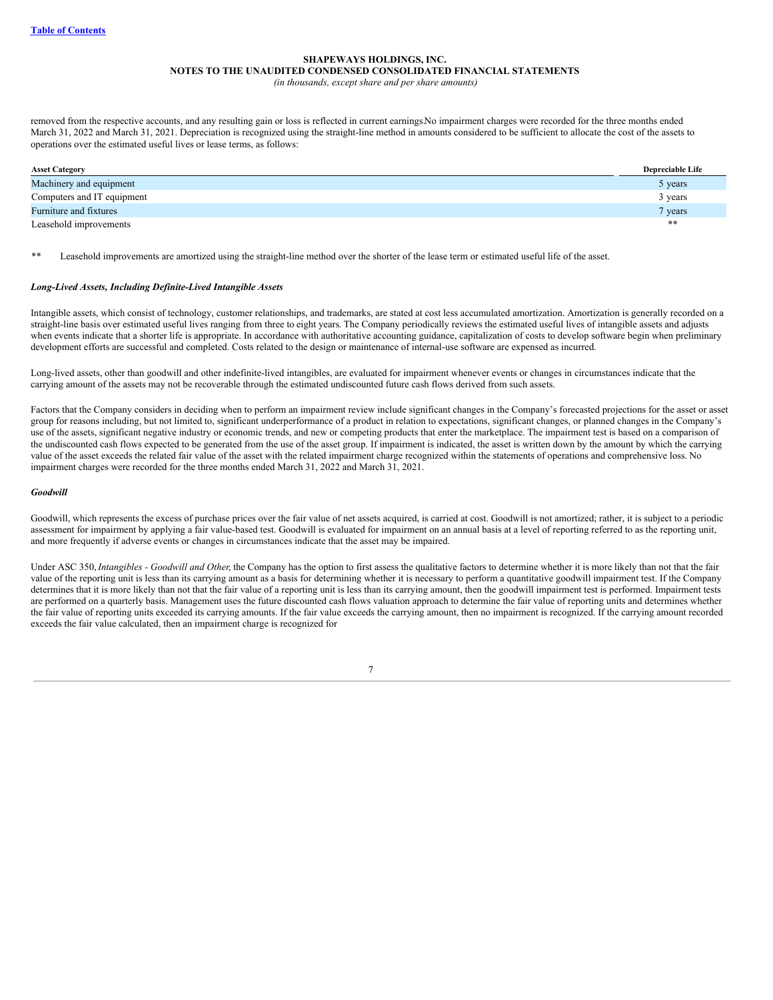*(in thousands, except share and per share amounts)*

removed from the respective accounts, and any resulting gain or loss is reflected in current earnings.No impairment charges were recorded for the three months ended March 31, 2022 and March 31, 2021. Depreciation is recognized using the straight-line method in amounts considered to be sufficient to allocate the cost of the assets to operations over the estimated useful lives or lease terms, as follows:

| <b>Asset Category</b>      | <b>Depreciable Life</b> |
|----------------------------|-------------------------|
| Machinery and equipment    | 5 years                 |
| Computers and IT equipment | 3 years                 |
| Furniture and fixtures     | 7 years                 |
| Leasehold improvements     | **                      |

\*\* Leasehold improvements are amortized using the straight-line method over the shorter of the lease term or estimated useful life of the asset.

### *Long-Lived Assets, Including Definite-Lived Intangible Assets*

Intangible assets, which consist of technology, customer relationships, and trademarks, are stated at cost less accumulated amortization. Amortization is generally recorded on a straight-line basis over estimated useful lives ranging from three to eight years. The Company periodically reviews the estimated useful lives of intangible assets and adjusts when events indicate that a shorter life is appropriate. In accordance with authoritative accounting guidance, capitalization of costs to develop software begin when preliminary development efforts are successful and completed. Costs related to the design or maintenance of internal-use software are expensed as incurred.

Long-lived assets, other than goodwill and other indefinite-lived intangibles, are evaluated for impairment whenever events or changes in circumstances indicate that the carrying amount of the assets may not be recoverable through the estimated undiscounted future cash flows derived from such assets.

Factors that the Company considers in deciding when to perform an impairment review include significant changes in the Company's forecasted projections for the asset or asset group for reasons including, but not limited to, significant underperformance of a product in relation to expectations, significant changes, or planned changes in the Company's use of the assets, significant negative industry or economic trends, and new or competing products that enter the marketplace. The impairment test is based on a comparison of the undiscounted cash flows expected to be generated from the use of the asset group. If impairment is indicated, the asset is written down by the amount by which the carrying value of the asset exceeds the related fair value of the asset with the related impairment charge recognized within the statements of operations and comprehensive loss. No impairment charges were recorded for the three months ended March 31, 2022 and March 31, 2021.

### *Goodwill*

Goodwill, which represents the excess of purchase prices over the fair value of net assets acquired, is carried at cost. Goodwill is not amortized; rather, it is subject to a periodic assessment for impairment by applying a fair value-based test. Goodwill is evaluated for impairment on an annual basis at a level of reporting referred to as the reporting unit, and more frequently if adverse events or changes in circumstances indicate that the asset may be impaired.

Under ASC 350, *Intangibles - Goodwill and Other*, the Company has the option to first assess the qualitative factors to determine whether it is more likely than not that the fair value of the reporting unit is less than its carrying amount as a basis for determining whether it is necessary to perform a quantitative goodwill impairment test. If the Company determines that it is more likely than not that the fair value of a reporting unit is less than its carrying amount, then the goodwill impairment test is performed. Impairment tests are performed on a quarterly basis. Management uses the future discounted cash flows valuation approach to determine the fair value of reporting units and determines whether the fair value of reporting units exceeded its carrying amounts. If the fair value exceeds the carrying amount, then no impairment is recognized. If the carrying amount recorded exceeds the fair value calculated, then an impairment charge is recognized for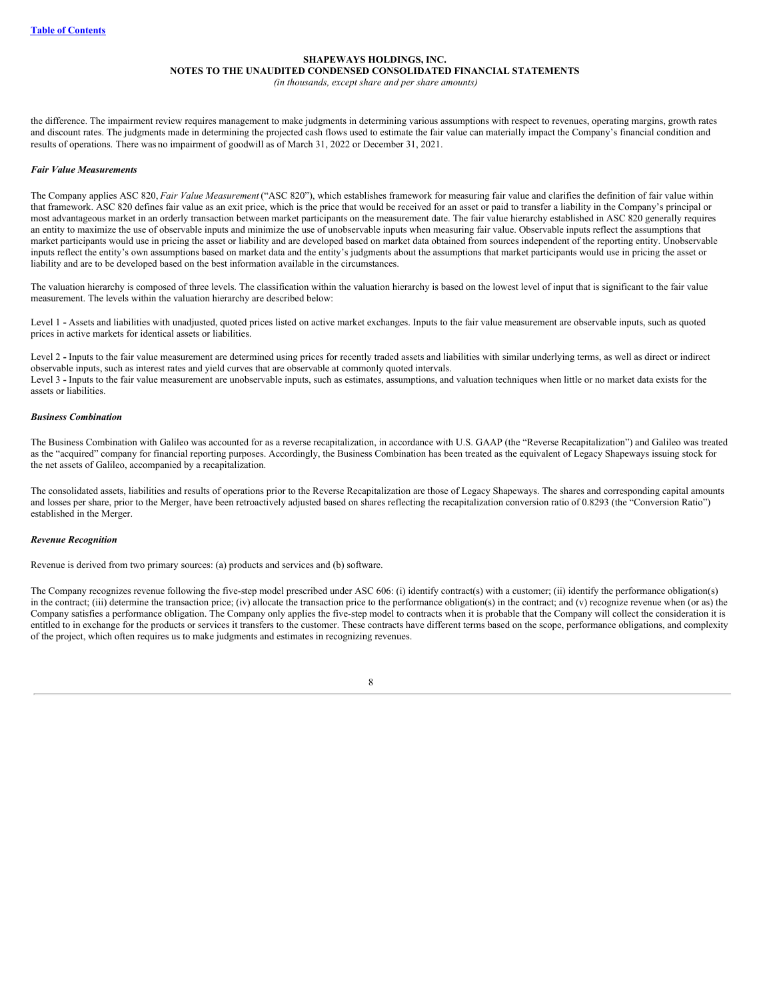*(in thousands, except share and per share amounts)*

the difference. The impairment review requires management to make judgments in determining various assumptions with respect to revenues, operating margins, growth rates and discount rates. The judgments made in determining the projected cash flows used to estimate the fair value can materially impact the Company's financial condition and results of operations. There was no impairment of goodwill as of March 31, 2022 or December 31, 2021.

#### *Fair Value Measurements*

The Company applies ASC 820, *Fair Value Measurement* ("ASC 820"), which establishes framework for measuring fair value and clarifies the definition of fair value within that framework. ASC 820 defines fair value as an exit price, which is the price that would be received for an asset or paid to transfer a liability in the Company's principal or most advantageous market in an orderly transaction between market participants on the measurement date. The fair value hierarchy established in ASC 820 generally requires an entity to maximize the use of observable inputs and minimize the use of unobservable inputs when measuring fair value. Observable inputs reflect the assumptions that market participants would use in pricing the asset or liability and are developed based on market data obtained from sources independent of the reporting entity. Unobservable inputs reflect the entity's own assumptions based on market data and the entity's judgments about the assumptions that market participants would use in pricing the asset or liability and are to be developed based on the best information available in the circumstances.

The valuation hierarchy is composed of three levels. The classification within the valuation hierarchy is based on the lowest level of input that is significant to the fair value measurement. The levels within the valuation hierarchy are described below:

Level 1 **-** Assets and liabilities with unadjusted, quoted prices listed on active market exchanges. Inputs to the fair value measurement are observable inputs, such as quoted prices in active markets for identical assets or liabilities.

Level 2 - Inputs to the fair value measurement are determined using prices for recently traded assets and liabilities with similar underlying terms, as well as direct or indirect observable inputs, such as interest rates and yield curves that are observable at commonly quoted intervals. Level 3 - Inputs to the fair value measurement are unobservable inputs, such as estimates, assumptions, and valuation techniques when little or no market data exists for the assets or liabilities.

# *Business Combination*

The Business Combination with Galileo was accounted for as a reverse recapitalization, in accordance with U.S. GAAP (the "Reverse Recapitalization") and Galileo was treated as the "acquired" company for financial reporting purposes. Accordingly, the Business Combination has been treated as the equivalent of Legacy Shapeways issuing stock for the net assets of Galileo, accompanied by a recapitalization.

The consolidated assets, liabilities and results of operations prior to the Reverse Recapitalization are those of Legacy Shapeways. The shares and corresponding capital amounts and losses per share, prior to the Merger, have been retroactively adjusted based on shares reflecting the recapitalization conversion ratio of 0.8293 (the "Conversion Ratio") established in the Merger.

# *Revenue Recognition*

Revenue is derived from two primary sources: (a) products and services and (b) software.

The Company recognizes revenue following the five-step model prescribed under ASC 606: (i) identify contract(s) with a customer; (ii) identify the performance obligation(s) in the contract; (iii) determine the transaction price; (iv) allocate the transaction price to the performance obligation(s) in the contract; and (v) recognize revenue when (or as) the Company satisfies a performance obligation. The Company only applies the five-step model to contracts when it is probable that the Company will collect the consideration it is entitled to in exchange for the products or services it transfers to the customer. These contracts have different terms based on the scope, performance obligations, and complexity of the project, which often requires us to make judgments and estimates in recognizing revenues.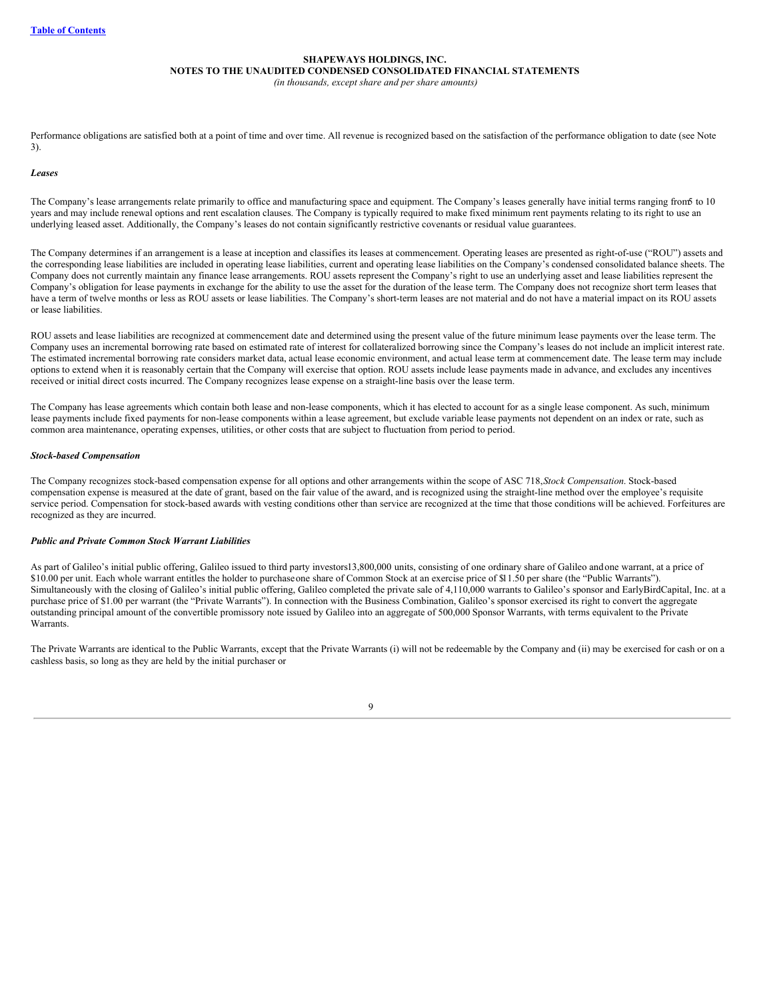*(in thousands, except share and per share amounts)*

Performance obligations are satisfied both at a point of time and over time. All revenue is recognized based on the satisfaction of the performance obligation to date (see Note 3).

#### *Leases*

The Company's lease arrangements relate primarily to office and manufacturing space and equipment. The Company's leases generally have initial terms ranging from5 to 10 years and may include renewal options and rent escalation clauses. The Company is typically required to make fixed minimum rent payments relating to its right to use an underlying leased asset. Additionally, the Company's leases do not contain significantly restrictive covenants or residual value guarantees.

The Company determines if an arrangement is a lease at inception and classifies its leases at commencement. Operating leases are presented as right-of-use ("ROU") assets and the corresponding lease liabilities are included in operating lease liabilities, current and operating lease liabilities on the Company's condensed consolidated balance sheets. The Company does not currently maintain any finance lease arrangements. ROU assets represent the Company's right to use an underlying asset and lease liabilities represent the Company's obligation for lease payments in exchange for the ability to use the asset for the duration of the lease term. The Company does not recognize short term leases that have a term of twelve months or less as ROU assets or lease liabilities. The Company's short-term leases are not material and do not have a material impact on its ROU assets or lease liabilities.

ROU assets and lease liabilities are recognized at commencement date and determined using the present value of the future minimum lease payments over the lease term. The Company uses an incremental borrowing rate based on estimated rate of interest for collateralized borrowing since the Company's leases do not include an implicit interest rate. The estimated incremental borrowing rate considers market data, actual lease economic environment, and actual lease term at commencement date. The lease term may include options to extend when it is reasonably certain that the Company will exercise that option. ROU assets include lease payments made in advance, and excludes any incentives received or initial direct costs incurred. The Company recognizes lease expense on a straight-line basis over the lease term.

The Company has lease agreements which contain both lease and non-lease components, which it has elected to account for as a single lease component. As such, minimum lease payments include fixed payments for non-lease components within a lease agreement, but exclude variable lease payments not dependent on an index or rate, such as common area maintenance, operating expenses, utilities, or other costs that are subject to fluctuation from period to period.

#### *Stock-based Compensation*

The Company recognizes stock-based compensation expense for all options and other arrangements within the scope of ASC 718,*Stock Compensation*. Stock-based compensation expense is measured at the date of grant, based on the fair value of the award, and is recognized using the straight-line method over the employee's requisite service period. Compensation for stock-based awards with vesting conditions other than service are recognized at the time that those conditions will be achieved. Forfeitures are recognized as they are incurred.

# *Public and Private Common Stock Warrant Liabilities*

As part of Galileo's initial public offering, Galileo issued to third party investors13,800,000 units, consisting of one ordinary share of Galileo andone warrant, at a price of \$10.00 per unit. Each whole warrant entitles the holder to purchaseone share of Common Stock at an exercise price of \$11.50 per share (the "Public Warrants"). Simultaneously with the closing of Galileo's initial public offering, Galileo completed the private sale of 4,110,000 warrants to Galileo's sponsor and EarlyBirdCapital, Inc. at a purchase price of \$1.00 per warrant (the "Private Warrants"). In connection with the Business Combination, Galileo's sponsor exercised its right to convert the aggregate outstanding principal amount of the convertible promissory note issued by Galileo into an aggregate of 500,000 Sponsor Warrants, with terms equivalent to the Private **Warrants** 

The Private Warrants are identical to the Public Warrants, except that the Private Warrants (i) will not be redeemable by the Company and (ii) may be exercised for cash or on a cashless basis, so long as they are held by the initial purchaser or

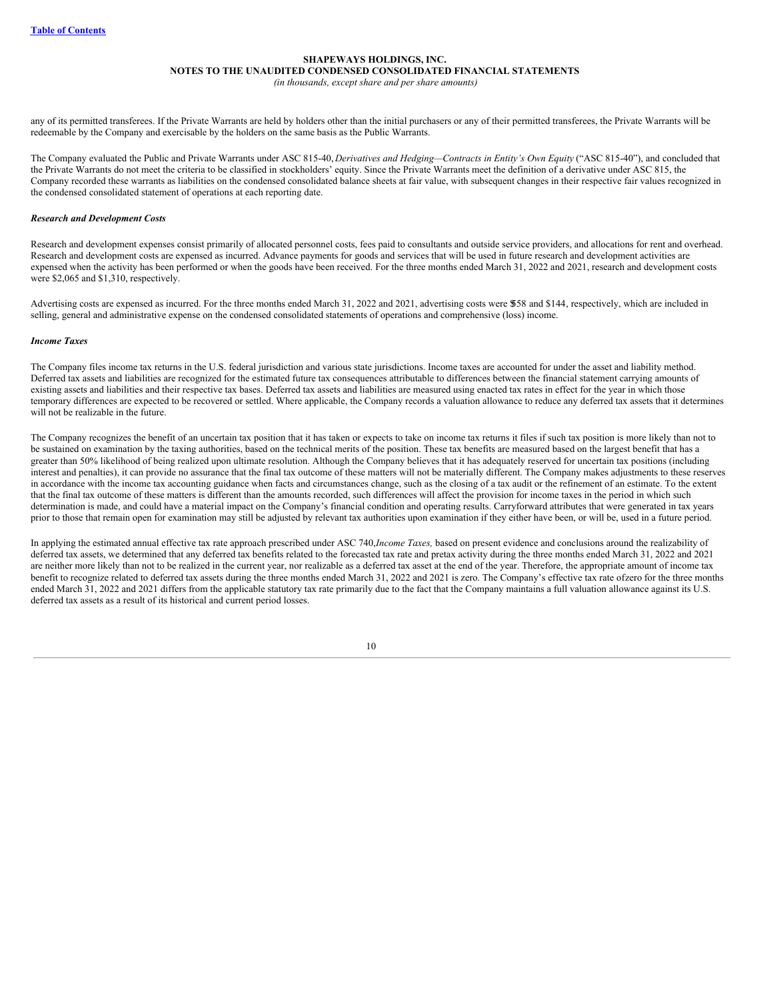*(in thousands, except share and per share amounts)*

any of its permitted transferees. If the Private Warrants are held by holders other than the initial purchasers or any of their permitted transferees, the Private Warrants will be redeemable by the Company and exercisable by the holders on the same basis as the Public Warrants.

The Company evaluated the Public and Private Warrants under ASC 815-40,*Derivatives and Hedging—Contracts in Entity's Own Equity* ("ASC 815-40"), and concluded that the Private Warrants do not meet the criteria to be classified in stockholders' equity. Since the Private Warrants meet the definition of a derivative under ASC 815, the Company recorded these warrants as liabilities on the condensed consolidated balance sheets at fair value, with subsequent changes in their respective fair values recognized in the condensed consolidated statement of operations at each reporting date.

#### *Research and Development Costs*

Research and development expenses consist primarily of allocated personnel costs, fees paid to consultants and outside service providers, and allocations for rent and overhead. Research and development costs are expensed as incurred. Advance payments for goods and services that will be used in future research and development activities are expensed when the activity has been performed or when the goods have been received. For the three months ended March 31, 2022 and 2021, research and development costs were \$2,065 and \$1,310, respectively.

Advertising costs are expensed as incurred. For the three months ended March 31, 2022 and 2021, advertising costs were \$558 and \$144, respectively, which are included in selling, general and administrative expense on the condensed consolidated statements of operations and comprehensive (loss) income.

#### *Income Taxes*

The Company files income tax returns in the U.S. federal jurisdiction and various state jurisdictions. Income taxes are accounted for under the asset and liability method. Deferred tax assets and liabilities are recognized for the estimated future tax consequences attributable to differences between the financial statement carrying amounts of existing assets and liabilities and their respective tax bases. Deferred tax assets and liabilities are measured using enacted tax rates in effect for the year in which those temporary differences are expected to be recovered or settled. Where applicable, the Company records a valuation allowance to reduce any deferred tax assets that it determines will not be realizable in the future.

The Company recognizes the benefit of an uncertain tax position that it has taken or expects to take on income tax returns it files if such tax position is more likely than not to be sustained on examination by the taxing authorities, based on the technical merits of the position. These tax benefits are measured based on the largest benefit that has a greater than 50% likelihood of being realized upon ultimate resolution. Although the Company believes that it has adequately reserved for uncertain tax positions (including interest and penalties), it can provide no assurance that the final tax outcome of these matters will not be materially different. The Company makes adjustments to these reserves in accordance with the income tax accounting guidance when facts and circumstances change, such as the closing of a tax audit or the refinement of an estimate. To the extent that the final tax outcome of these matters is different than the amounts recorded, such differences will affect the provision for income taxes in the period in which such determination is made, and could have a material impact on the Company's financial condition and operating results. Carryforward attributes that were generated in tax years prior to those that remain open for examination may still be adjusted by relevant tax authorities upon examination if they either have been, or will be, used in a future period.

In applying the estimated annual effective tax rate approach prescribed under ASC 740,*Income Taxes,* based on present evidence and conclusions around the realizability of deferred tax assets, we determined that any deferred tax benefits related to the forecasted tax rate and pretax activity during the three months ended March 31, 2022 and 2021 are neither more likely than not to be realized in the current year, nor realizable as a deferred tax asset at the end of the year. Therefore, the appropriate amount of income tax benefit to recognize related to deferred tax assets during the three months ended March 31, 2022 and 2021 is zero. The Company's effective tax rate ofzero for the three months ended March 31, 2022 and 2021 differs from the applicable statutory tax rate primarily due to the fact that the Company maintains a full valuation allowance against its U.S. deferred tax assets as a result of its historical and current period losses.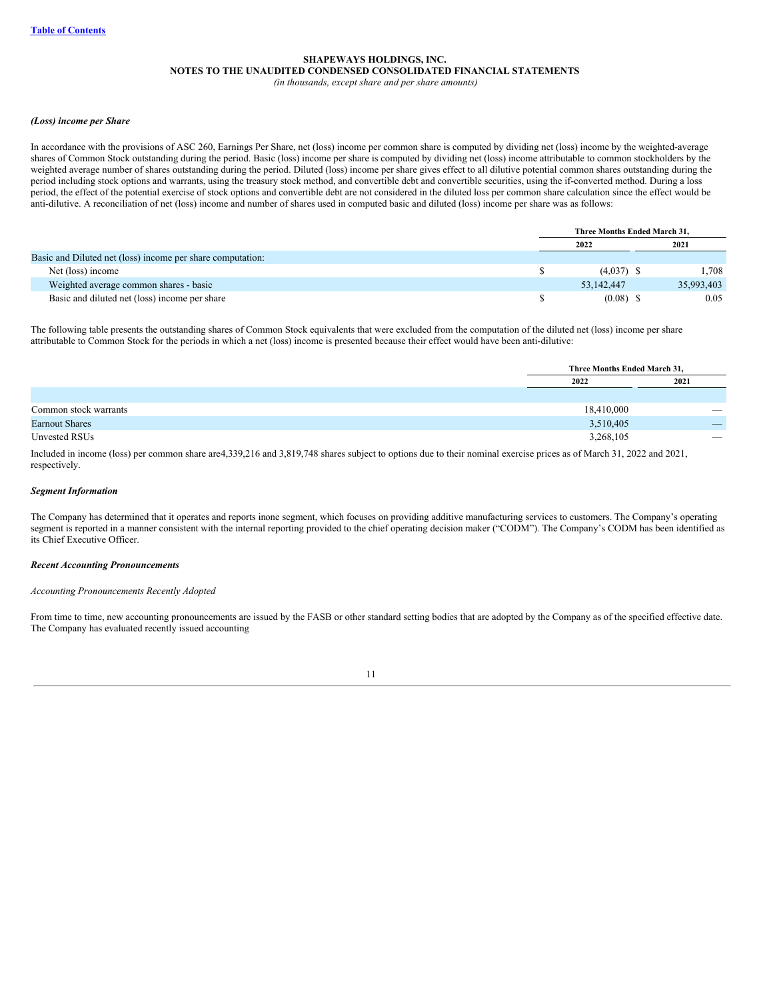*(in thousands, except share and per share amounts)*

#### *(Loss) income per Share*

In accordance with the provisions of ASC 260, Earnings Per Share, net (loss) income per common share is computed by dividing net (loss) income by the weighted-average shares of Common Stock outstanding during the period. Basic (loss) income per share is computed by dividing net (loss) income attributable to common stockholders by the weighted average number of shares outstanding during the period. Diluted (loss) income per share gives effect to all dilutive potential common shares outstanding during the period including stock options and warrants, using the treasury stock method, and convertible debt and convertible securities, using the if-converted method. During a loss period, the effect of the potential exercise of stock options and convertible debt are not considered in the diluted loss per common share calculation since the effect would be anti-dilutive. A reconciliation of net (loss) income and number of shares used in computed basic and diluted (loss) income per share was as follows:

|                                                            | Three Months Ended March 31. |            |  |
|------------------------------------------------------------|------------------------------|------------|--|
|                                                            | 2022                         | 2021       |  |
| Basic and Diluted net (loss) income per share computation: |                              |            |  |
| Net (loss) income                                          | $(4.037)$ \$                 | .708       |  |
| Weighted average common shares - basic                     | 53.142.447                   | 35,993,403 |  |
| Basic and diluted net (loss) income per share              | (0.08)                       | 0.05       |  |

The following table presents the outstanding shares of Common Stock equivalents that were excluded from the computation of the diluted net (loss) income per share attributable to Common Stock for the periods in which a net (loss) income is presented because their effect would have been anti-dilutive:

|                       | Three Months Ended March 31, |                                |
|-----------------------|------------------------------|--------------------------------|
|                       | 2022                         | 2021                           |
|                       |                              |                                |
| Common stock warrants | 18,410,000                   | $\overbrace{\hspace{25mm}}^{}$ |
| <b>Earnout Shares</b> | 3,510,405                    | $\overline{\phantom{a}}$       |
| Unvested RSUs         | 3,268,105                    | -                              |

Included in income (loss) per common share are4,339,216 and 3,819,748 shares subject to options due to their nominal exercise prices as of March 31, 2022 and 2021, respectively.

# *Segment Information*

The Company has determined that it operates and reports inone segment, which focuses on providing additive manufacturing services to customers. The Company's operating segment is reported in a manner consistent with the internal reporting provided to the chief operating decision maker ("CODM"). The Company's CODM has been identified as its Chief Executive Officer.

#### *Recent Accounting Pronouncements*

#### *Accounting Pronouncements Recently Adopted*

From time to time, new accounting pronouncements are issued by the FASB or other standard setting bodies that are adopted by the Company as of the specified effective date. The Company has evaluated recently issued accounting

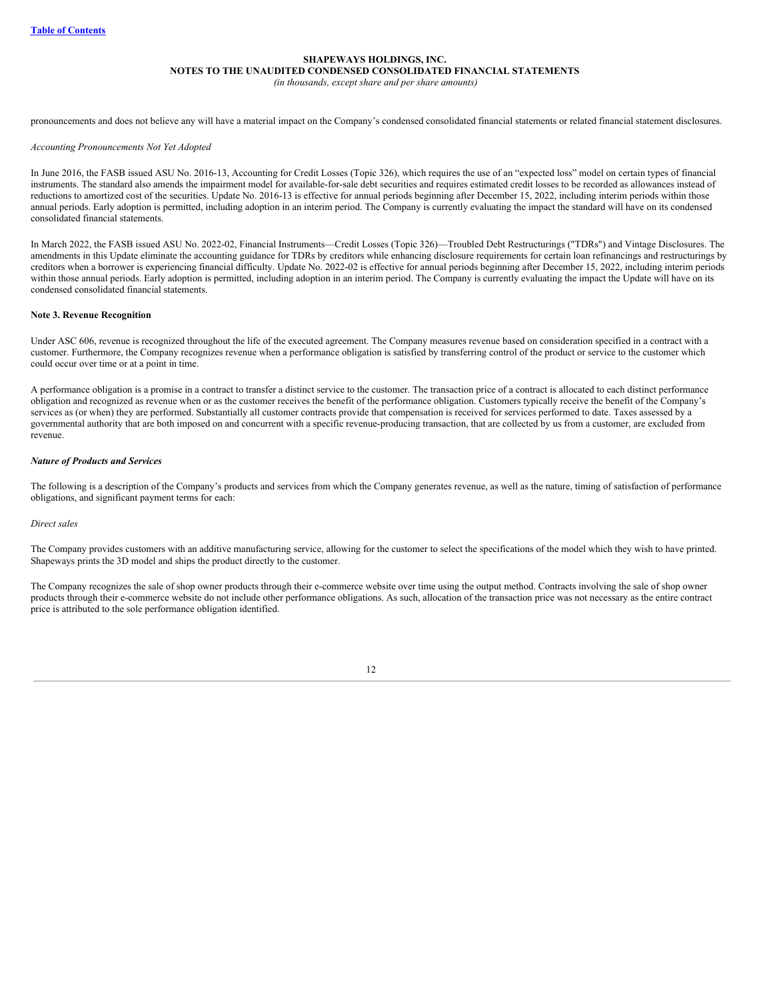*(in thousands, except share and per share amounts)*

pronouncements and does not believe any will have a material impact on the Company's condensed consolidated financial statements or related financial statement disclosures.

# *Accounting Pronouncements Not Yet Adopted*

In June 2016, the FASB issued ASU No. 2016-13, Accounting for Credit Losses (Topic 326), which requires the use of an "expected loss" model on certain types of financial instruments. The standard also amends the impairment model for available-for-sale debt securities and requires estimated credit losses to be recorded as allowances instead of reductions to amortized cost of the securities. Update No. 2016-13 is effective for annual periods beginning after December 15, 2022, including interim periods within those annual periods. Early adoption is permitted, including adoption in an interim period. The Company is currently evaluating the impact the standard will have on its condensed consolidated financial statements.

In March 2022, the FASB issued ASU No. 2022-02, Financial Instruments—Credit Losses (Topic 326)—Troubled Debt Restructurings ("TDRs") and Vintage Disclosures. The amendments in this Update eliminate the accounting guidance for TDRs by creditors while enhancing disclosure requirements for certain loan refinancings and restructurings by creditors when a borrower is experiencing financial difficulty. Update No. 2022-02 is effective for annual periods beginning after December 15, 2022, including interim periods within those annual periods. Early adoption is permitted, including adoption in an interim period. The Company is currently evaluating the impact the Update will have on its condensed consolidated financial statements.

#### **Note 3. Revenue Recognition**

Under ASC 606, revenue is recognized throughout the life of the executed agreement. The Company measures revenue based on consideration specified in a contract with a customer. Furthermore, the Company recognizes revenue when a performance obligation is satisfied by transferring control of the product or service to the customer which could occur over time or at a point in time.

A performance obligation is a promise in a contract to transfer a distinct service to the customer. The transaction price of a contract is allocated to each distinct performance obligation and recognized as revenue when or as the customer receives the benefit of the performance obligation. Customers typically receive the benefit of the Company's services as (or when) they are performed. Substantially all customer contracts provide that compensation is received for services performed to date. Taxes assessed by a governmental authority that are both imposed on and concurrent with a specific revenue-producing transaction, that are collected by us from a customer, are excluded from revenue.

#### *Nature of Products and Services*

The following is a description of the Company's products and services from which the Company generates revenue, as well as the nature, timing of satisfaction of performance obligations, and significant payment terms for each:

#### *Direct sales*

The Company provides customers with an additive manufacturing service, allowing for the customer to select the specifications of the model which they wish to have printed. Shapeways prints the 3D model and ships the product directly to the customer.

The Company recognizes the sale of shop owner products through their e-commerce website over time using the output method. Contracts involving the sale of shop owner products through their e-commerce website do not include other performance obligations. As such, allocation of the transaction price was not necessary as the entire contract price is attributed to the sole performance obligation identified.

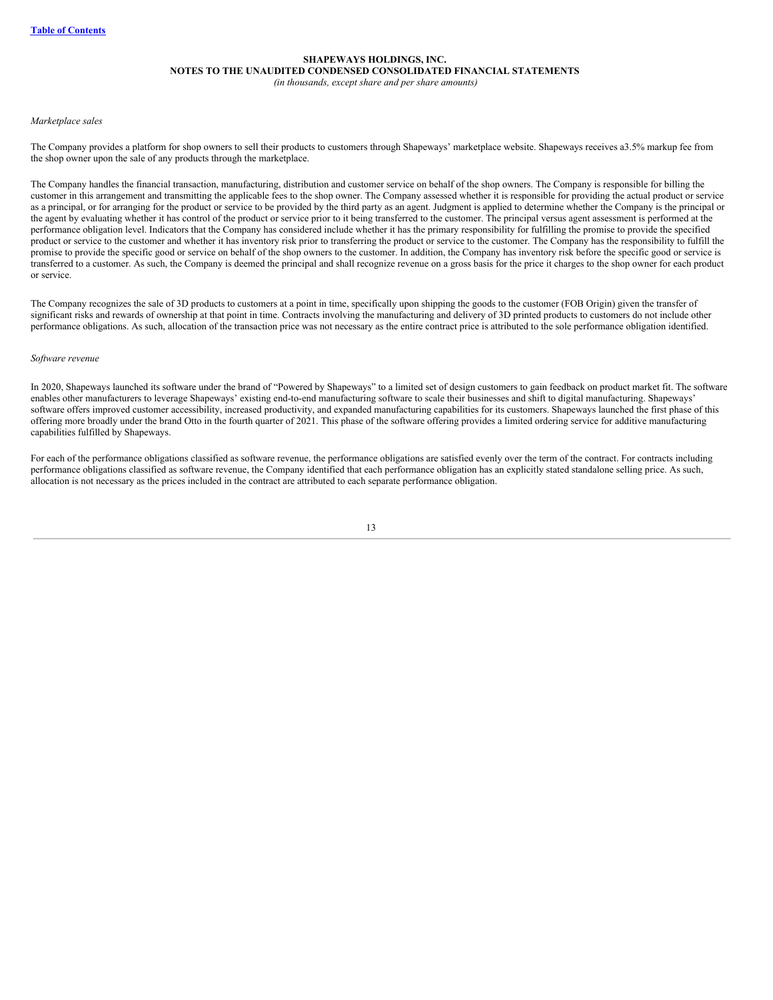*(in thousands, except share and per share amounts)*

#### *Marketplace sales*

The Company provides a platform for shop owners to sell their products to customers through Shapeways' marketplace website. Shapeways receives a3.5% markup fee from the shop owner upon the sale of any products through the marketplace.

The Company handles the financial transaction, manufacturing, distribution and customer service on behalf of the shop owners. The Company is responsible for billing the customer in this arrangement and transmitting the applicable fees to the shop owner. The Company assessed whether it is responsible for providing the actual product or service as a principal, or for arranging for the product or service to be provided by the third party as an agent. Judgment is applied to determine whether the Company is the principal or the agent by evaluating whether it has control of the product or service prior to it being transferred to the customer. The principal versus agent assessment is performed at the performance obligation level. Indicators that the Company has considered include whether it has the primary responsibility for fulfilling the promise to provide the specified product or service to the customer and whether it has inventory risk prior to transferring the product or service to the customer. The Company has the responsibility to fulfill the promise to provide the specific good or service on behalf of the shop owners to the customer. In addition, the Company has inventory risk before the specific good or service is transferred to a customer. As such, the Company is deemed the principal and shall recognize revenue on a gross basis for the price it charges to the shop owner for each product or service.

The Company recognizes the sale of 3D products to customers at a point in time, specifically upon shipping the goods to the customer (FOB Origin) given the transfer of significant risks and rewards of ownership at that point in time. Contracts involving the manufacturing and delivery of 3D printed products to customers do not include other performance obligations. As such, allocation of the transaction price was not necessary as the entire contract price is attributed to the sole performance obligation identified.

#### *Software revenue*

In 2020, Shapeways launched its software under the brand of "Powered by Shapeways" to a limited set of design customers to gain feedback on product market fit. The software enables other manufacturers to leverage Shapeways' existing end-to-end manufacturing software to scale their businesses and shift to digital manufacturing. Shapeways' software offers improved customer accessibility, increased productivity, and expanded manufacturing capabilities for its customers. Shapeways launched the first phase of this offering more broadly under the brand Otto in the fourth quarter of 2021. This phase of the software offering provides a limited ordering service for additive manufacturing capabilities fulfilled by Shapeways.

For each of the performance obligations classified as software revenue, the performance obligations are satisfied evenly over the term of the contract. For contracts including performance obligations classified as software revenue, the Company identified that each performance obligation has an explicitly stated standalone selling price. As such, allocation is not necessary as the prices included in the contract are attributed to each separate performance obligation.

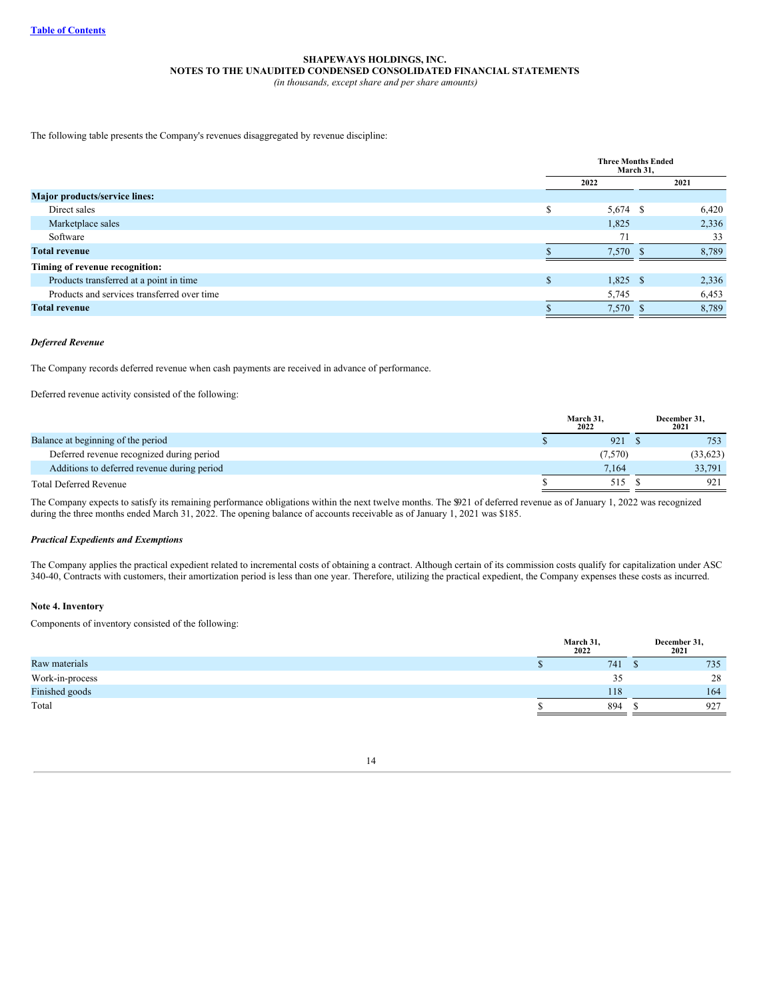*(in thousands, except share and per share amounts)*

The following table presents the Company's revenues disaggregated by revenue discipline:

|                                             | <b>Three Months Ended</b><br>March 31, |            |  |       |
|---------------------------------------------|----------------------------------------|------------|--|-------|
|                                             |                                        | 2022       |  | 2021  |
| <b>Major products/service lines:</b>        |                                        |            |  |       |
| Direct sales                                | S                                      | 5,674 \$   |  | 6,420 |
| Marketplace sales                           |                                        | 1,825      |  | 2,336 |
| Software                                    |                                        | 71         |  | 33    |
| <b>Total revenue</b>                        |                                        | 7,570 \$   |  | 8,789 |
| Timing of revenue recognition:              |                                        |            |  |       |
| Products transferred at a point in time     | \$                                     | $1,825$ \$ |  | 2,336 |
| Products and services transferred over time |                                        | 5,745      |  | 6,453 |
| <b>Total revenue</b>                        |                                        | 7,570 \$   |  | 8,789 |

# *Deferred Revenue*

The Company records deferred revenue when cash payments are received in advance of performance.

Deferred revenue activity consisted of the following:

|                                             | March 31.<br>2022 | December 31,<br>2021 |
|---------------------------------------------|-------------------|----------------------|
| Balance at beginning of the period          | 921               | 753                  |
| Deferred revenue recognized during period   | (7,570)           | (33,623)             |
| Additions to deferred revenue during period | 7.164             | 33.791               |
| <b>Total Deferred Revenue</b>               | 515               | 921                  |

The Company expects to satisfy its remaining performance obligations within the next twelve months. The \$921 of deferred revenue as of January 1, 2022 was recognized during the three months ended March 31, 2022. The opening balance of accounts receivable as of January 1, 2021 was \$185.

# *Practical Expedients and Exemptions*

The Company applies the practical expedient related to incremental costs of obtaining a contract. Although certain of its commission costs qualify for capitalization under ASC 340-40, Contracts with customers, their amortization period is less than one year. Therefore, utilizing the practical expedient, the Company expenses these costs as incurred.

# **Note 4. Inventory**

Components of inventory consisted of the following:

|                 | March 31,<br>2022 | December 31,<br>2021 |
|-----------------|-------------------|----------------------|
| Raw materials   | 741               | 735                  |
| Work-in-process | 35                | 28                   |
| Finished goods  | 118               | 164                  |
| Total           | 894               | 927                  |
|                 |                   |                      |

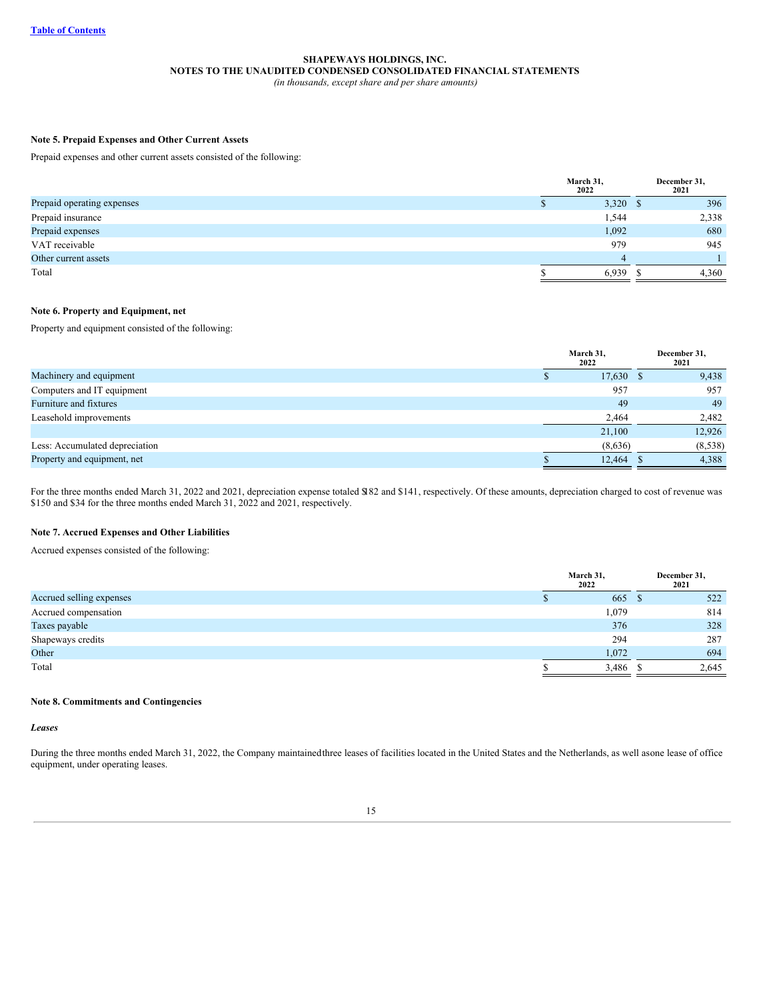### **SHAPEWAYS HOLDINGS, INC. NOTES TO THE UNAUDITED CONDENSED CONSOLIDATED FINANCIAL STATEMENTS** *(in thousands, except share and per share amounts)*

# **Note 5. Prepaid Expenses and Other Current Assets**

Prepaid expenses and other current assets consisted of the following:

|                            | March 31,<br>2022 | December 31,<br>2021 |
|----------------------------|-------------------|----------------------|
| Prepaid operating expenses | $3,320$ \$        | 396                  |
| Prepaid insurance          | 1,544             | 2,338                |
| Prepaid expenses           | 1,092             | 680                  |
| VAT receivable             | 979               | 945                  |
| Other current assets       |                   |                      |
| Total                      | 6,939             | 4,360                |

# **Note 6. Property and Equipment, net**

Property and equipment consisted of the following:

|                                | March 31.<br>2022 | December 31,<br>2021 |
|--------------------------------|-------------------|----------------------|
| Machinery and equipment        | $17,630$ \$       | 9,438                |
| Computers and IT equipment     | 957               | 957                  |
| Furniture and fixtures         | 49                | 49                   |
| Leasehold improvements         | 2,464             | 2,482                |
|                                | 21,100            | 12,926               |
| Less: Accumulated depreciation | (8,636)           | (8,538)              |
| Property and equipment, net    | 12,464            | 4,388                |

For the three months ended March 31, 2022 and 2021, depreciation expense totaled \$182 and \$141, respectively. Of these amounts, depreciation charged to cost of revenue was \$150 and \$34 for the three months ended March 31, 2022 and 2021, respectively.

# **Note 7. Accrued Expenses and Other Liabilities**

Accrued expenses consisted of the following:

|       |                   | December 31,<br>2021 |
|-------|-------------------|----------------------|
| 665   |                   | 522                  |
| 1,079 |                   | 814                  |
| 376   |                   | 328                  |
| 294   |                   | 287                  |
| 1,072 |                   | 694                  |
| 3,486 |                   | 2,645                |
|       | March 31,<br>2022 | ∟ S                  |

# **Note 8. Commitments and Contingencies**

# *Leases*

During the three months ended March 31, 2022, the Company maintainedthree leases of facilities located in the United States and the Netherlands, as well asone lease of office equipment, under operating leases.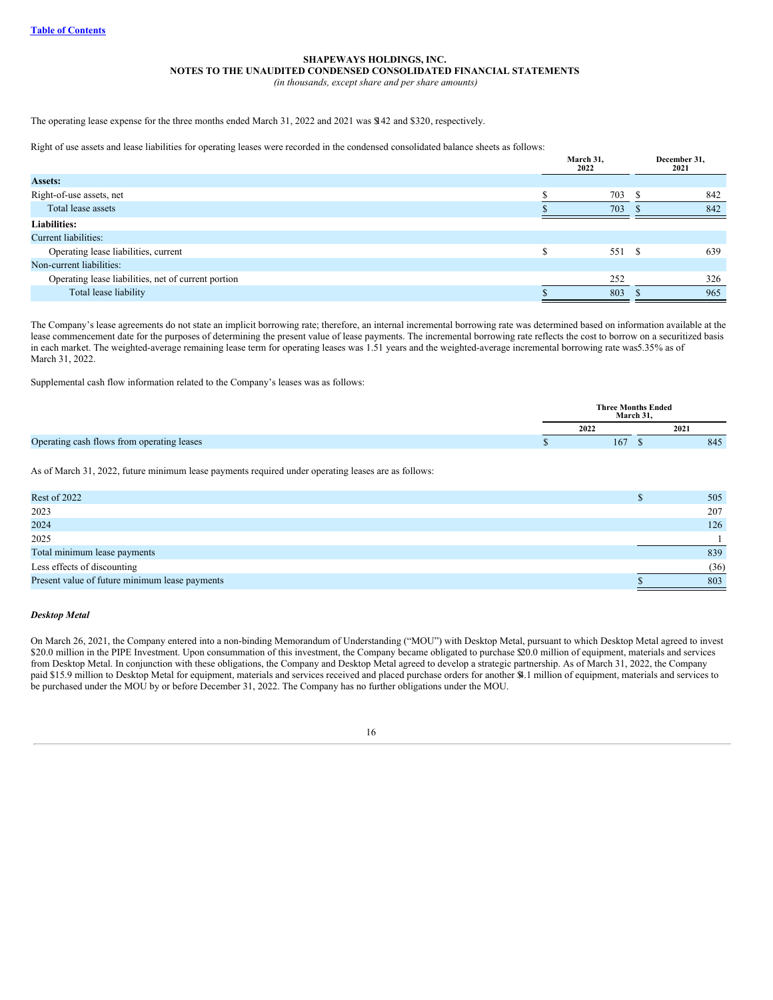*(in thousands, except share and per share amounts)*

# The operating lease expense for the three months ended March 31, 2022 and 2021 was \$142 and \$320, respectively.

# Right of use assets and lease liabilities for operating leases were recorded in the condensed consolidated balance sheets as follows:

|                                                     | March 31,<br>2022 |    | December 31,<br>2021 |
|-----------------------------------------------------|-------------------|----|----------------------|
| <b>Assets:</b>                                      |                   |    |                      |
| Right-of-use assets, net                            | 703               | -S | 842                  |
| Total lease assets                                  | 703               |    | 842                  |
| <b>Liabilities:</b>                                 |                   |    |                      |
| Current liabilities:                                |                   |    |                      |
| Operating lease liabilities, current                | 551 \$            |    | 639                  |
| Non-current liabilities:                            |                   |    |                      |
| Operating lease liabilities, net of current portion | 252               |    | 326                  |
| Total lease liability                               | 803               |    | 965                  |

The Company's lease agreements do not state an implicit borrowing rate; therefore, an internal incremental borrowing rate was determined based on information available at the lease commencement date for the purposes of determining the present value of lease payments. The incremental borrowing rate reflects the cost to borrow on a securitized basis in each market. The weighted-average remaining lease term for operating leases was 1.51 years and the weighted-average incremental borrowing rate was5.35% as of March 31, 2022.

Supplemental cash flow information related to the Company's leases was as follows:

|                                            | <b>Three Months Ended</b><br>March 31 |      |  |
|--------------------------------------------|---------------------------------------|------|--|
|                                            | 2022                                  | 2021 |  |
| Operating cash flows from operating leases | 167                                   | 845  |  |

As of March 31, 2022, future minimum lease payments required under operating leases are as follows:

| Rest of 2022                                   | ۰υ | 505  |
|------------------------------------------------|----|------|
| 2023                                           |    | 207  |
| 2024                                           |    | 126  |
| 2025                                           |    |      |
| Total minimum lease payments                   |    | 839  |
| Less effects of discounting                    |    | (36) |
| Present value of future minimum lease payments |    | 803  |

#### *Desktop Metal*

On March 26, 2021, the Company entered into a non-binding Memorandum of Understanding ("MOU") with Desktop Metal, pursuant to which Desktop Metal agreed to invest \$20.0 million in the PIPE Investment. Upon consummation of this investment, the Company became obligated to purchase \$20.0 million of equipment, materials and services from Desktop Metal. In conjunction with these obligations, the Company and Desktop Metal agreed to develop a strategic partnership. As of March 31, 2022, the Company paid \$15.9 million to Desktop Metal for equipment, materials and services received and placed purchase orders for another \$4.1 million of equipment, materials and services to be purchased under the MOU by or before December 31, 2022. The Company has no further obligations under the MOU.

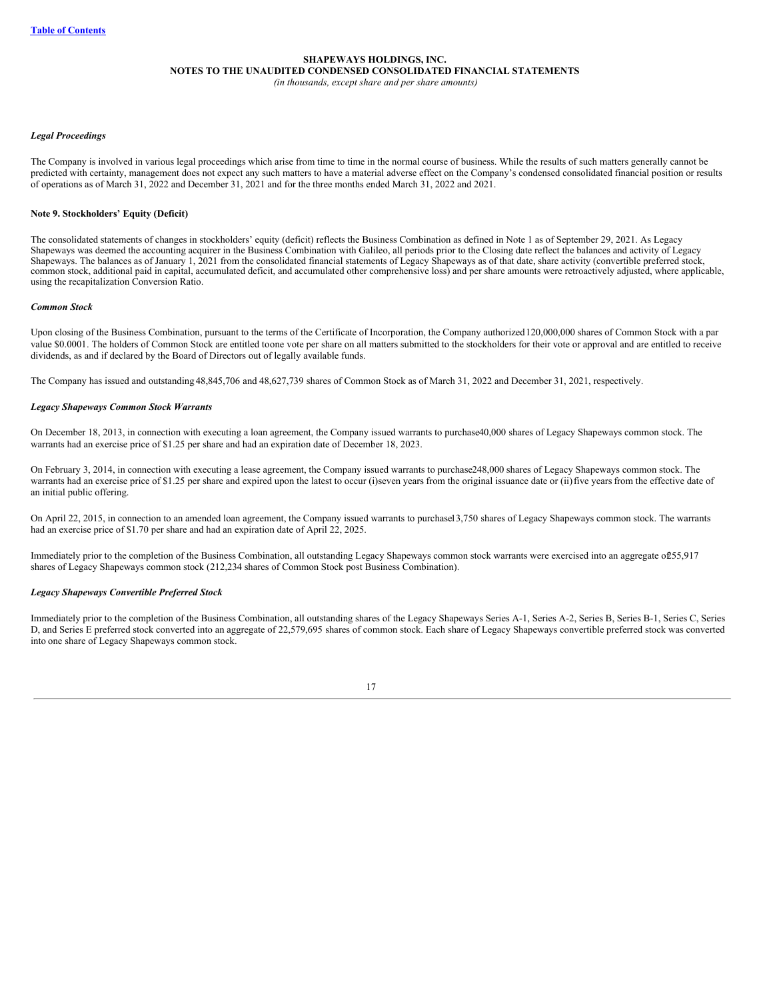*(in thousands, except share and per share amounts)*

#### *Legal Proceedings*

The Company is involved in various legal proceedings which arise from time to time in the normal course of business. While the results of such matters generally cannot be predicted with certainty, management does not expect any such matters to have a material adverse effect on the Company's condensed consolidated financial position or results of operations as of March 31, 2022 and December 31, 2021 and for the three months ended March 31, 2022 and 2021.

### **Note 9. Stockholders' Equity (Deficit)**

The consolidated statements of changes in stockholders' equity (deficit) reflects the Business Combination as defined in Note 1 as of September 29, 2021. As Legacy Shapeways was deemed the accounting acquirer in the Business Combination with Galileo, all periods prior to the Closing date reflect the balances and activity of Legacy Shapeways. The balances as of January 1, 2021 from the consolidated financial statements of Legacy Shapeways as of that date, share activity (convertible preferred stock, common stock, additional paid in capital, accumulated deficit, and accumulated other comprehensive loss) and per share amounts were retroactively adjusted, where applicable, using the recapitalization Conversion Ratio.

### *Common Stock*

Upon closing of the Business Combination, pursuant to the terms of the Certificate of Incorporation, the Company authorized120,000,000 shares of Common Stock with a par value \$0.0001. The holders of Common Stock are entitled toone vote per share on all matters submitted to the stockholders for their vote or approval and are entitled to receive dividends, as and if declared by the Board of Directors out of legally available funds.

The Company has issued and outstanding 48,845,706 and 48,627,739 shares of Common Stock as of March 31, 2022 and December 31, 2021, respectively.

#### *Legacy Shapeways Common Stock Warrants*

On December 18, 2013, in connection with executing a loan agreement, the Company issued warrants to purchase40,000 shares of Legacy Shapeways common stock. The warrants had an exercise price of \$1.25 per share and had an expiration date of December 18, 2023.

On February 3, 2014, in connection with executing a lease agreement, the Company issued warrants to purchase248,000 shares of Legacy Shapeways common stock. The warrants had an exercise price of \$1.25 per share and expired upon the latest to occur (i)seven years from the original issuance date or (ii) five years from the effective date of an initial public offering.

On April 22, 2015, in connection to an amended loan agreement, the Company issued warrants to purchase13,750 shares of Legacy Shapeways common stock. The warrants had an exercise price of \$1.70 per share and had an expiration date of April 22, 2025.

Immediately prior to the completion of the Business Combination, all outstanding Legacy Shapeways common stock warrants were exercised into an aggregate of255,917 shares of Legacy Shapeways common stock (212,234 shares of Common Stock post Business Combination).

#### *Legacy Shapeways Convertible Preferred Stock*

Immediately prior to the completion of the Business Combination, all outstanding shares of the Legacy Shapeways Series A-1, Series A-2, Series B, Series B-1, Series C, Series D, and Series E preferred stock converted into an aggregate of 22,579,695 shares of common stock. Each share of Legacy Shapeways convertible preferred stock was converted into one share of Legacy Shapeways common stock.

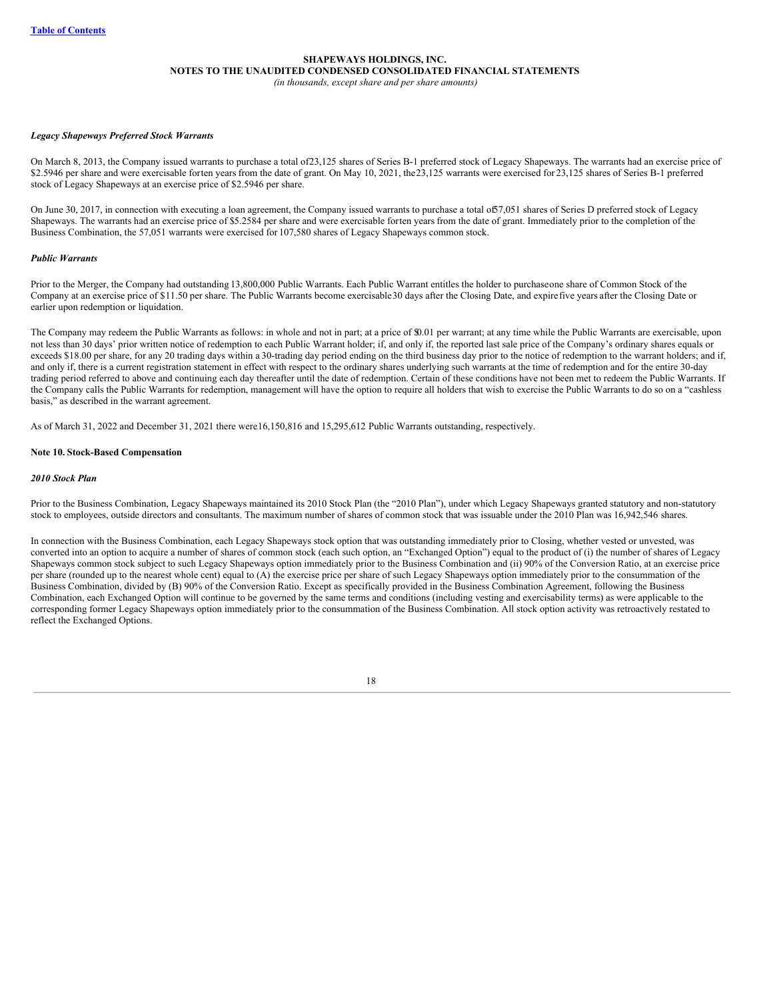### **SHAPEWAYS HOLDINGS, INC. NOTES TO THE UNAUDITED CONDENSED CONSOLIDATED FINANCIAL STATEMENTS** *(in thousands, except share and per share amounts)*

#### *Legacy Shapeways Preferred Stock Warrants*

On March 8, 2013, the Company issued warrants to purchase a total of23,125 shares of Series B-1 preferred stock of Legacy Shapeways. The warrants had an exercise price of \$2.5946 per share and were exercisable forten years from the date of grant. On May 10, 2021, the 23,125 warrants were exercised for 23,125 shares of Series B-1 preferred stock of Legacy Shapeways at an exercise price of \$2.5946 per share.

On June 30, 2017, in connection with executing a loan agreement, the Company issued warrants to purchase a total of57,051 shares of Series D preferred stock of Legacy Shapeways. The warrants had an exercise price of \$5.2584 per share and were exercisable forten years from the date of grant. Immediately prior to the completion of the Business Combination, the 57,051 warrants were exercised for 107,580 shares of Legacy Shapeways common stock.

### *Public Warrants*

Prior to the Merger, the Company had outstanding 13,800,000 Public Warrants. Each Public Warrant entitles the holder to purchaseone share of Common Stock of the Company at an exercise price of \$11.50 per share. The Public Warrants become exercisable30 days after the Closing Date, and expirefive years after the Closing Date or earlier upon redemption or liquidation.

The Company may redeem the Public Warrants as follows: in whole and not in part; at a price of \$0.01 per warrant; at any time while the Public Warrants are exercisable, upon not less than 30 days' prior written notice of redemption to each Public Warrant holder; if, and only if, the reported last sale price of the Company's ordinary shares equals or exceeds \$18.00 per share, for any 20 trading days within a 30-trading day period ending on the third business day prior to the notice of redemption to the warrant holders; and if, and only if, there is a current registration statement in effect with respect to the ordinary shares underlying such warrants at the time of redemption and for the entire 30-day trading period referred to above and continuing each day thereafter until the date of redemption. Certain of these conditions have not been met to redeem the Public Warrants. If the Company calls the Public Warrants for redemption, management will have the option to require all holders that wish to exercise the Public Warrants to do so on a "cashless basis," as described in the warrant agreement.

As of March 31, 2022 and December 31, 2021 there were16,150,816 and 15,295,612 Public Warrants outstanding, respectively.

#### **Note 10. Stock-Based Compensation**

# *2010 Stock Plan*

Prior to the Business Combination, Legacy Shapeways maintained its 2010 Stock Plan (the "2010 Plan"), under which Legacy Shapeways granted statutory and non-statutory stock to employees, outside directors and consultants. The maximum number of shares of common stock that was issuable under the 2010 Plan was 16,942,546 shares.

In connection with the Business Combination, each Legacy Shapeways stock option that was outstanding immediately prior to Closing, whether vested or unvested, was converted into an option to acquire a number of shares of common stock (each such option, an "Exchanged Option") equal to the product of (i) the number of shares of Legacy Shapeways common stock subject to such Legacy Shapeways option immediately prior to the Business Combination and (ii) 90% of the Conversion Ratio, at an exercise price per share (rounded up to the nearest whole cent) equal to (A) the exercise price per share of such Legacy Shapeways option immediately prior to the consummation of the Business Combination, divided by (B) 90% of the Conversion Ratio. Except as specifically provided in the Business Combination Agreement, following the Business Combination, each Exchanged Option will continue to be governed by the same terms and conditions (including vesting and exercisability terms) as were applicable to the corresponding former Legacy Shapeways option immediately prior to the consummation of the Business Combination. All stock option activity was retroactively restated to reflect the Exchanged Options.

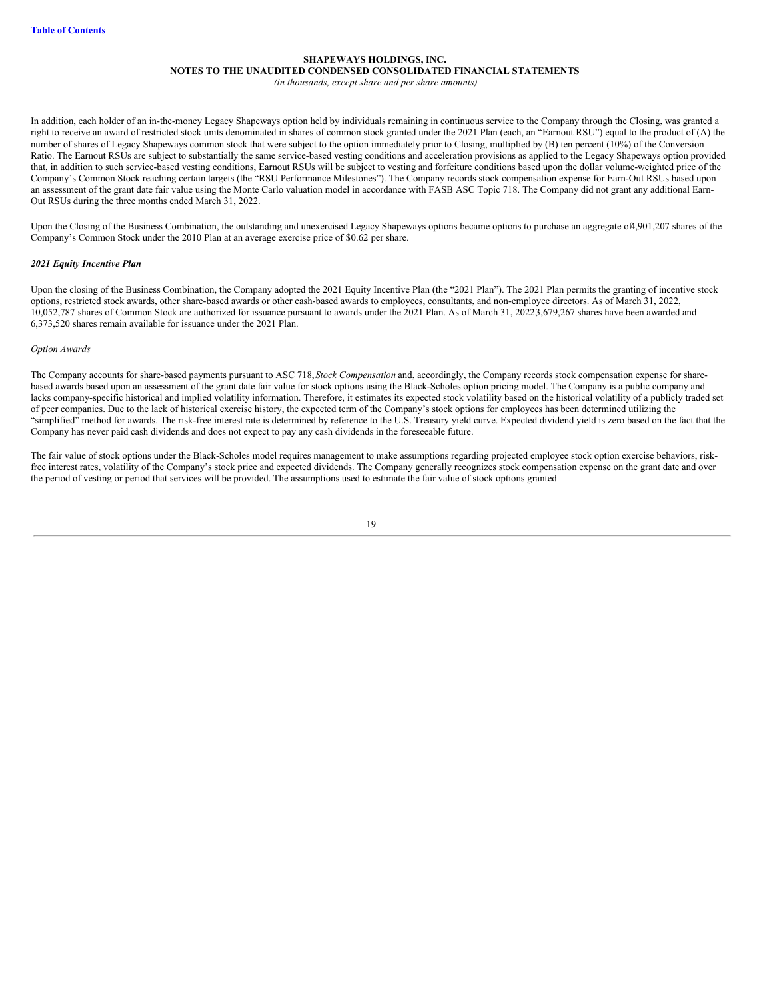*(in thousands, except share and per share amounts)*

In addition, each holder of an in-the-money Legacy Shapeways option held by individuals remaining in continuous service to the Company through the Closing, was granted a right to receive an award of restricted stock units denominated in shares of common stock granted under the 2021 Plan (each, an "Earnout RSU") equal to the product of (A) the number of shares of Legacy Shapeways common stock that were subject to the option immediately prior to Closing, multiplied by (B) ten percent (10%) of the Conversion Ratio. The Earnout RSUs are subject to substantially the same service-based vesting conditions and acceleration provisions as applied to the Legacy Shapeways option provided that, in addition to such service-based vesting conditions, Earnout RSUs will be subject to vesting and forfeiture conditions based upon the dollar volume-weighted price of the Company's Common Stock reaching certain targets (the "RSU Performance Milestones"). The Company records stock compensation expense for Earn-Out RSUs based upon an assessment of the grant date fair value using the Monte Carlo valuation model in accordance with FASB ASC Topic 718. The Company did not grant any additional Earn-Out RSUs during the three months ended March 31, 2022.

Upon the Closing of the Business Combination, the outstanding and unexercised Legacy Shapeways options became options to purchase an aggregate of 4,901,207 shares of the Company's Common Stock under the 2010 Plan at an average exercise price of \$0.62 per share.

#### *2021 Equity Incentive Plan*

Upon the closing of the Business Combination, the Company adopted the 2021 Equity Incentive Plan (the "2021 Plan"). The 2021 Plan permits the granting of incentive stock options, restricted stock awards, other share-based awards or other cash-based awards to employees, consultants, and non-employee directors. As of March 31, 2022, 10,052,787 shares of Common Stock are authorized for issuance pursuant to awards under the 2021 Plan. As of March 31, 2022,3,679,267 shares have been awarded and 6,373,520 shares remain available for issuance under the 2021 Plan.

#### *Option Awards*

The Company accounts for share-based payments pursuant to ASC 718,*Stock Compensation* and, accordingly, the Company records stock compensation expense for sharebased awards based upon an assessment of the grant date fair value for stock options using the Black-Scholes option pricing model. The Company is a public company and lacks company-specific historical and implied volatility information. Therefore, it estimates its expected stock volatility based on the historical volatility of a publicly traded set of peer companies. Due to the lack of historical exercise history, the expected term of the Company's stock options for employees has been determined utilizing the "simplified" method for awards. The risk-free interest rate is determined by reference to the U.S. Treasury yield curve. Expected dividend yield is zero based on the fact that the Company has never paid cash dividends and does not expect to pay any cash dividends in the foreseeable future.

The fair value of stock options under the Black-Scholes model requires management to make assumptions regarding projected employee stock option exercise behaviors, riskfree interest rates, volatility of the Company's stock price and expected dividends. The Company generally recognizes stock compensation expense on the grant date and over the period of vesting or period that services will be provided. The assumptions used to estimate the fair value of stock options granted

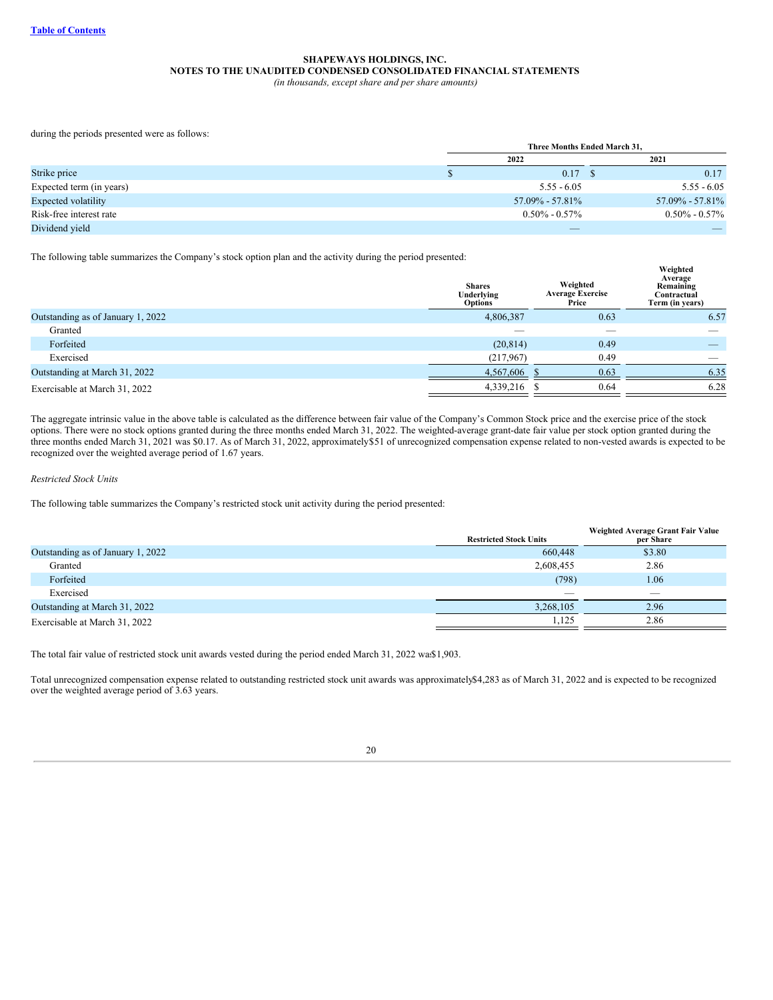### **SHAPEWAYS HOLDINGS, INC. NOTES TO THE UNAUDITED CONDENSED CONSOLIDATED FINANCIAL STATEMENTS** *(in thousands, except share and per share amounts)*

during the periods presented were as follows:

|                            | Three Months Ended March 31. |                     |  |  |  |
|----------------------------|------------------------------|---------------------|--|--|--|
|                            | 2022                         | 2021                |  |  |  |
| Strike price               | 0.17S                        | 0.17                |  |  |  |
| Expected term (in years)   | $5.55 - 6.05$                | $5.55 - 6.05$       |  |  |  |
| <b>Expected volatility</b> | 57.09% - 57.81%              | $57.09\% - 57.81\%$ |  |  |  |
| Risk-free interest rate    | $0.50\% - 0.57\%$            | $0.50\%$ - $0.57\%$ |  |  |  |
| Dividend yield             | _                            |                     |  |  |  |

The following table summarizes the Company's stock option plan and the activity during the period presented:

|                                   | <b>Shares</b><br>Underlying<br>Options | Weighted<br><b>Average Exercise</b><br>Price | Weighted<br><b>Average</b><br>Remaining<br>Contractual<br>Term (in years) |
|-----------------------------------|----------------------------------------|----------------------------------------------|---------------------------------------------------------------------------|
| Outstanding as of January 1, 2022 | 4,806,387                              | 0.63                                         | 6.57                                                                      |
| Granted                           | $\overline{\phantom{a}}$               |                                              |                                                                           |
| Forfeited                         | (20, 814)                              | 0.49                                         |                                                                           |
| Exercised                         | (217,967)                              | 0.49                                         |                                                                           |
| Outstanding at March 31, 2022     | 4,567,606                              | 0.63                                         | 6.35                                                                      |
| Exercisable at March 31, 2022     | 4,339,216                              | 0.64                                         | 6.28                                                                      |

The aggregate intrinsic value in the above table is calculated as the difference between fair value of the Company's Common Stock price and the exercise price of the stock options. There were no stock options granted during the three months ended March 31, 2022. The weighted-average grant-date fair value per stock option granted during the three months ended March 31, 2021 was \$0.17. As of March 31, 2022, approximately\$51 of unrecognized compensation expense related to non-vested awards is expected to be recognized over the weighted average period of 1.67 years.

# *Restricted Stock Units*

The following table summarizes the Company's restricted stock unit activity during the period presented:

|                                   | <b>Restricted Stock Units</b> | Weighted Average Grant Fair Value<br>per Share |
|-----------------------------------|-------------------------------|------------------------------------------------|
| Outstanding as of January 1, 2022 | 660,448                       | \$3.80                                         |
| Granted                           | 2,608,455                     | 2.86                                           |
| Forfeited                         | (798)                         | 1.06                                           |
| Exercised                         | $\overline{\phantom{a}}$      | $\overline{\phantom{a}}$                       |
| Outstanding at March 31, 2022     | 3,268,105                     | 2.96                                           |
| Exercisable at March 31, 2022     | 1,125                         | 2.86                                           |

The total fair value of restricted stock unit awards vested during the period ended March 31, 2022 was\$1,903.

Total unrecognized compensation expense related to outstanding restricted stock unit awards was approximately\$4,283 as of March 31, 2022 and is expected to be recognized over the weighted average period of 3.63 years.

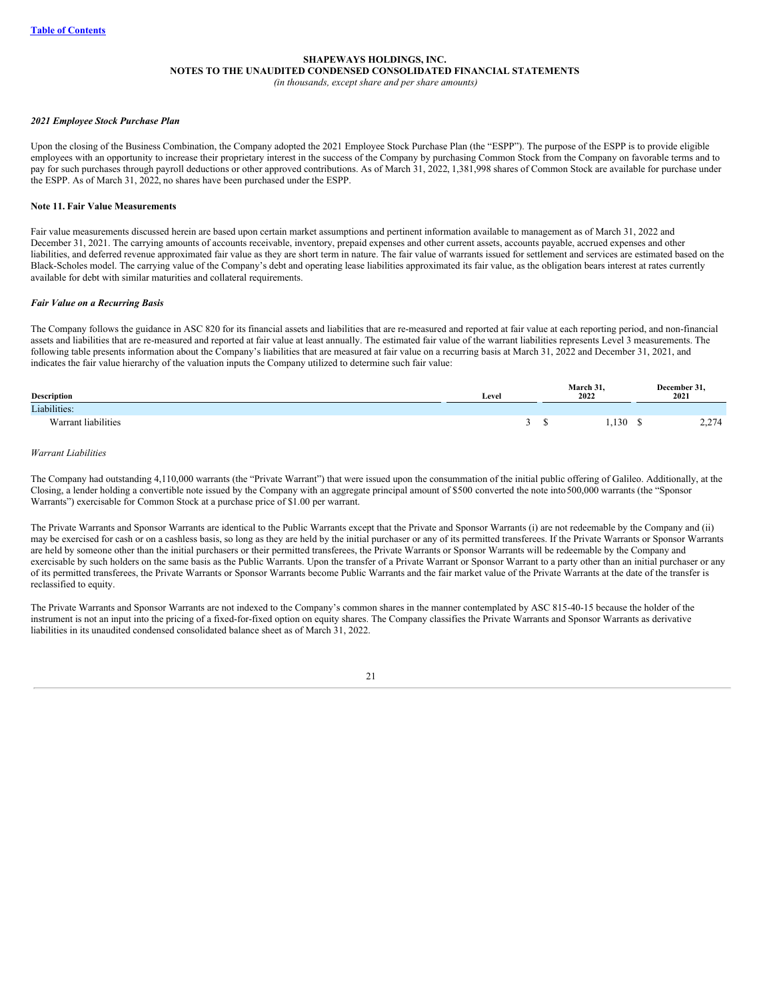*(in thousands, except share and per share amounts)*

#### *2021 Employee Stock Purchase Plan*

Upon the closing of the Business Combination, the Company adopted the 2021 Employee Stock Purchase Plan (the "ESPP"). The purpose of the ESPP is to provide eligible employees with an opportunity to increase their proprietary interest in the success of the Company by purchasing Common Stock from the Company on favorable terms and to pay for such purchases through payroll deductions or other approved contributions. As of March 31, 2022, 1,381,998 shares of Common Stock are available for purchase under the ESPP. As of March 31, 2022, no shares have been purchased under the ESPP.

### **Note 11. Fair Value Measurements**

Fair value measurements discussed herein are based upon certain market assumptions and pertinent information available to management as of March 31, 2022 and December 31, 2021. The carrying amounts of accounts receivable, inventory, prepaid expenses and other current assets, accounts payable, accrued expenses and other liabilities, and deferred revenue approximated fair value as they are short term in nature. The fair value of warrants issued for settlement and services are estimated based on the Black-Scholes model. The carrying value of the Company's debt and operating lease liabilities approximated its fair value, as the obligation bears interest at rates currently available for debt with similar maturities and collateral requirements.

# *Fair Value on a Recurring Basis*

The Company follows the guidance in ASC 820 for its financial assets and liabilities that are re-measured and reported at fair value at each reporting period, and non-financial assets and liabilities that are re-measured and reported at fair value at least annually. The estimated fair value of the warrant liabilities represents Level 3 measurements. The following table presents information about the Company's liabilities that are measured at fair value on a recurring basis at March 31, 2022 and December 31, 2021, and indicates the fair value hierarchy of the valuation inputs the Company utilized to determine such fair value:

| Description<br>Level |  | March 31,<br>2022 | December 31,<br>2021 |  |
|----------------------|--|-------------------|----------------------|--|
| Liabilities:         |  |                   |                      |  |
| Warrant liabilities  |  | 1,130             | 2.274<br>2.21        |  |

### *Warrant Liabilities*

The Company had outstanding 4,110,000 warrants (the "Private Warrant") that were issued upon the consummation of the initial public offering of Galileo. Additionally, at the Closing, a lender holding a convertible note issued by the Company with an aggregate principal amount of \$500 converted the note into500,000 warrants (the "Sponsor Warrants") exercisable for Common Stock at a purchase price of \$1.00 per warrant.

The Private Warrants and Sponsor Warrants are identical to the Public Warrants except that the Private and Sponsor Warrants (i) are not redeemable by the Company and (ii) may be exercised for cash or on a cashless basis, so long as they are held by the initial purchaser or any of its permitted transferees. If the Private Warrants or Sponsor Warrants are held by someone other than the initial purchasers or their permitted transferees, the Private Warrants or Sponsor Warrants will be redeemable by the Company and exercisable by such holders on the same basis as the Public Warrants. Upon the transfer of a Private Warrant or Sponsor Warrant to a party other than an initial purchaser or any of its permitted transferees, the Private Warrants or Sponsor Warrants become Public Warrants and the fair market value of the Private Warrants at the date of the transfer is reclassified to equity.

The Private Warrants and Sponsor Warrants are not indexed to the Company's common shares in the manner contemplated by ASC 815-40-15 because the holder of the instrument is not an input into the pricing of a fixed-for-fixed option on equity shares. The Company classifies the Private Warrants and Sponsor Warrants as derivative liabilities in its unaudited condensed consolidated balance sheet as of March 31, 2022.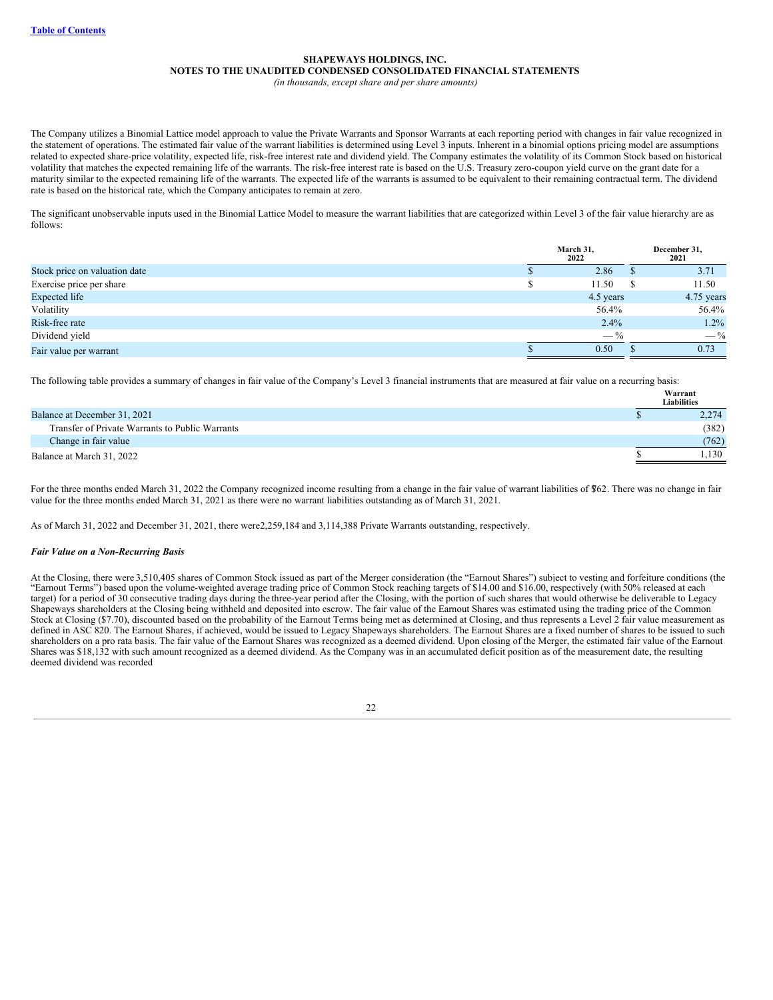*(in thousands, except share and per share amounts)*

The Company utilizes a Binomial Lattice model approach to value the Private Warrants and Sponsor Warrants at each reporting period with changes in fair value recognized in the statement of operations. The estimated fair value of the warrant liabilities is determined using Level 3 inputs. Inherent in a binomial options pricing model are assumptions related to expected share-price volatility, expected life, risk-free interest rate and dividend yield. The Company estimates the volatility of its Common Stock based on historical volatility that matches the expected remaining life of the warrants. The risk-free interest rate is based on the U.S. Treasury zero-coupon yield curve on the grant date for a maturity similar to the expected remaining life of the warrants. The expected life of the warrants is assumed to be equivalent to their remaining contractual term. The dividend rate is based on the historical rate, which the Company anticipates to remain at zero.

The significant unobservable inputs used in the Binomial Lattice Model to measure the warrant liabilities that are categorized within Level 3 of the fair value hierarchy are as follows:

|                               | March 31,<br>2022 |  |                |
|-------------------------------|-------------------|--|----------------|
| Stock price on valuation date | 2.86              |  | 3.71           |
| Exercise price per share      | 11.50             |  | 11.50          |
| Expected life                 | 4.5 years         |  | 4.75 years     |
| Volatility                    | 56.4%             |  | 56.4%          |
| Risk-free rate                | 2.4%              |  | 1.2%           |
| Dividend yield                | $-\frac{6}{6}$    |  | $-\frac{0}{0}$ |
| Fair value per warrant        | 0.50              |  | 0.73           |

The following table provides a summary of changes in fair value of the Company's Level 3 financial instruments that are measured at fair value on a recurring basis:

|                                                 | .<br><b>Liabilities</b> |
|-------------------------------------------------|-------------------------|
| Balance at December 31, 2021                    | 2,274                   |
| Transfer of Private Warrants to Public Warrants | (382)                   |
| Change in fair value                            | (762)                   |
| Balance at March 31, 2022                       | .130                    |
|                                                 |                         |

**Warrant**

For the three months ended March 31, 2022 the Company recognized income resulting from a change in the fair value of warrant liabilities of \$62. There was no change in fair value for the three months ended March 31, 2021 as there were no warrant liabilities outstanding as of March 31, 2021.

As of March 31, 2022 and December 31, 2021, there were2,259,184 and 3,114,388 Private Warrants outstanding, respectively.

#### *Fair Value on a Non-Recurring Basis*

At the Closing, there were 3,510,405 shares of Common Stock issued as part of the Merger consideration (the "Earnout Shares") subject to vesting and forfeiture conditions (the "Earnout Terms") based upon the volume-weighted average trading price of Common Stock reaching targets of \$14.00 and \$16.00, respectively (with 50% released at each target) for a period of 30 consecutive trading days during the three-year period after the Closing, with the portion of such shares that would otherwise be deliverable to Legacy Shapeways shareholders at the Closing being withheld and deposited into escrow. The fair value of the Earnout Shares was estimated using the trading price of the Common Stock at Closing (\$7.70), discounted based on the probability of the Earnout Terms being met as determined at Closing, and thus represents a Level 2 fair value measurement as defined in ASC 820. The Earnout Shares, if achieved, would be issued to Legacy Shapeways shareholders. The Earnout Shares are a fixed number of shares to be issued to such shareholders on a pro rata basis. The fair value of the Earnout Shares was recognized as a deemed dividend. Upon closing of the Merger, the estimated fair value of the Earnout shareholders on a pro rata basis. The fair val Shares was \$18,132 with such amount recognized as a deemed dividend. As the Company was in an accumulated deficit position as of the measurement date, the resulting deemed dividend was recorded

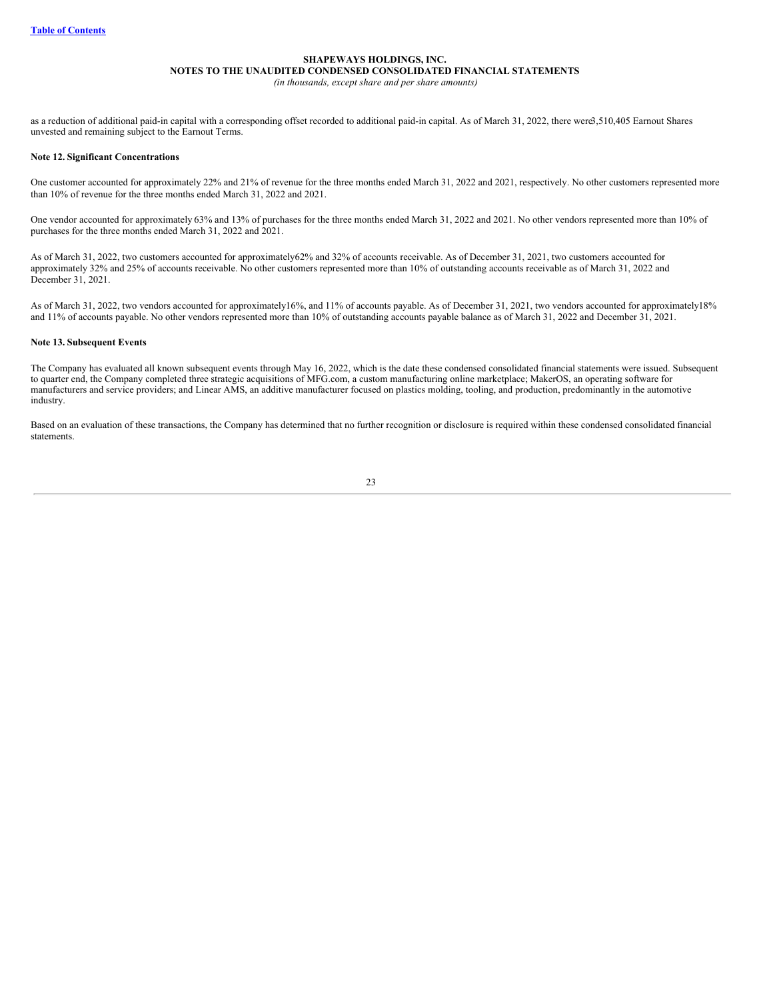*(in thousands, except share and per share amounts)*

as a reduction of additional paid-in capital with a corresponding offset recorded to additional paid-in capital. As of March 31, 2022, there were3,510,405 Earnout Shares unvested and remaining subject to the Earnout Terms.

#### **Note 12. Significant Concentrations**

One customer accounted for approximately 22% and 21% of revenue for the three months ended March 31, 2022 and 2021, respectively. No other customers represented more than 10% of revenue for the three months ended March 31, 2022 and 2021.

One vendor accounted for approximately 63% and 13% of purchases for the three months ended March 31, 2022 and 2021. No other vendors represented more than 10% of purchases for the three months ended March 31, 2022 and 2021.

As of March 31, 2022, two customers accounted for approximately62% and 32% of accounts receivable. As of December 31, 2021, two customers accounted for approximately 32% and 25% of accounts receivable. No other customers represented more than 10% of outstanding accounts receivable as of March 31, 2022 and December 31, 2021.

As of March 31, 2022, two vendors accounted for approximately16%, and 11% of accounts payable. As of December 31, 2021, two vendors accounted for approximately18% and 11% of accounts payable. No other vendors represented more than 10% of outstanding accounts payable balance as of March 31, 2022 and December 31, 2021.

#### **Note 13. Subsequent Events**

The Company has evaluated all known subsequent events through May 16, 2022, which is the date these condensed consolidated financial statements were issued. Subsequent to quarter end, the Company completed three strategic acquisitions of MFG.com, a custom manufacturing online marketplace; MakerOS, an operating software for manufacturers and service providers; and Linear AMS, an additive manufacturer focused on plastics molding, tooling, and production, predominantly in the automotive industry.

<span id="page-26-0"></span>Based on an evaluation of these transactions, the Company has determined that no further recognition or disclosure is required within these condensed consolidated financial statements.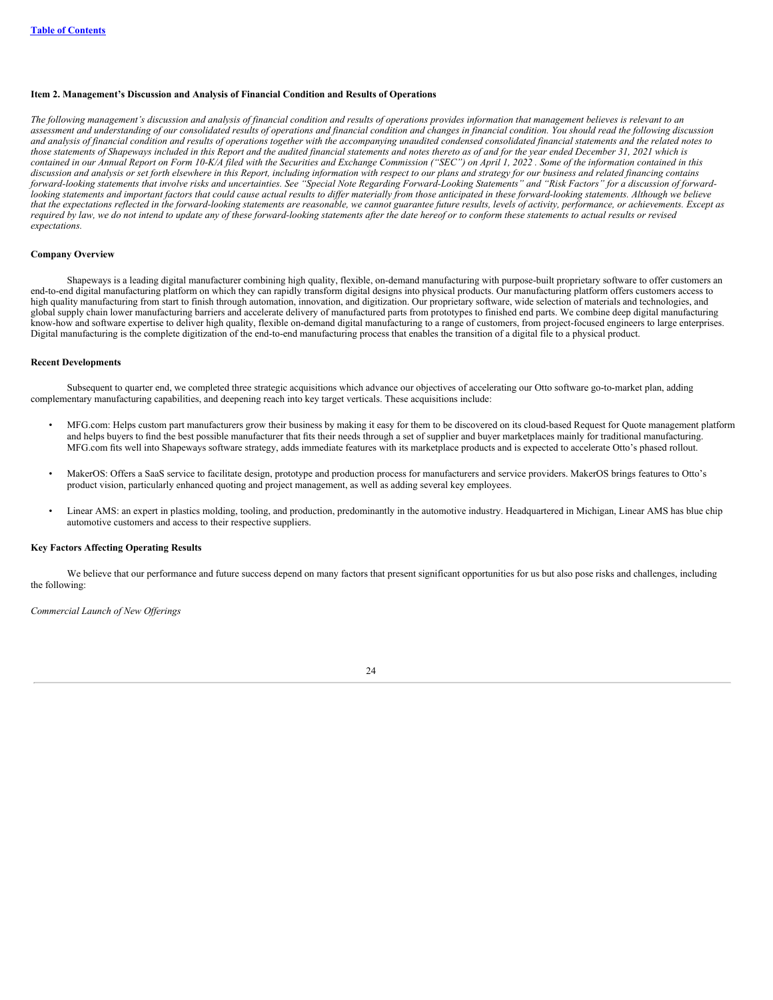#### **Item 2. Management's Discussion and Analysis of Financial Condition and Results of Operations**

The following management's discussion and analysis of financial condition and results of operations provides information that management believes is relevant to an assessment and understanding of our consolidated results of operations and financial condition and changes in financial condition. You should read the following discussion and analysis of financial condition and results of operations together with the accompanying unaudited condensed consolidated financial statements and the related notes to those statements of Shapeways included in this Report and the audited financial statements and notes thereto as of and for the year ended December 31, 2021 which is contained in our Annual Report on Form 10-K/A filed with the Securities and Exchange Commission ("SEC") on April 1, 2022 . Some of the information contained in this discussion and analysis or set forth elsewhere in this Report, including information with respect to our plans and strategy for our business and related financing contains forward-looking statements that involve risks and uncertainties. See "Special Note Regarding Forward-Looking Statements" and "Risk Factors" for a discussion of forwardlooking statements and important factors that could cause actual results to differ materially from those anticipated in these forward-looking statements. Although we believe that the expectations reflected in the forward-looking statements are reasonable, we cannot guarantee future results, levels of activity, performance, or achievements. Except as required by law, we do not intend to update any of these forward-looking statements after the date hereof or to conform these statements to actual results or revised *expectations.*

#### **Company Overview**

Shapeways is a leading digital manufacturer combining high quality, flexible, on-demand manufacturing with purpose-built proprietary software to offer customers an end-to-end digital manufacturing platform on which they can rapidly transform digital designs into physical products. Our manufacturing platform offers customers access to high quality manufacturing from start to finish through automation, innovation, and digitization. Our proprietary software, wide selection of materials and technologies, and global supply chain lower manufacturing barriers and accelerate delivery of manufactured parts from prototypes to finished end parts. We combine deep digital manufacturing know-how and software expertise to deliver high quality, flexible on-demand digital manufacturing to a range of customers, from project-focused engineers to large enterprises. Digital manufacturing is the complete digitization of the end-to-end manufacturing process that enables the transition of a digital file to a physical product.

#### **Recent Developments**

Subsequent to quarter end, we completed three strategic acquisitions which advance our objectives of accelerating our Otto software go-to-market plan, adding complementary manufacturing capabilities, and deepening reach into key target verticals. These acquisitions include:

- MFG.com: Helps custom part manufacturers grow their business by making it easy for them to be discovered on its cloud-based Request for Quote management platform and helps buyers to find the best possible manufacturer that fits their needs through a set of supplier and buyer marketplaces mainly for traditional manufacturing. MFG.com fits well into Shapeways software strategy, adds immediate features with its marketplace products and is expected to accelerate Otto's phased rollout.
- MakerOS: Offers a SaaS service to facilitate design, prototype and production process for manufacturers and service providers. MakerOS brings features to Otto's product vision, particularly enhanced quoting and project management, as well as adding several key employees.
- Linear AMS: an expert in plastics molding, tooling, and production, predominantly in the automotive industry. Headquartered in Michigan, Linear AMS has blue chip automotive customers and access to their respective suppliers.

# **Key Factors Affecting Operating Results**

We believe that our performance and future success depend on many factors that present significant opportunities for us but also pose risks and challenges, including the following:

*Commercial Launch of New Of erings*

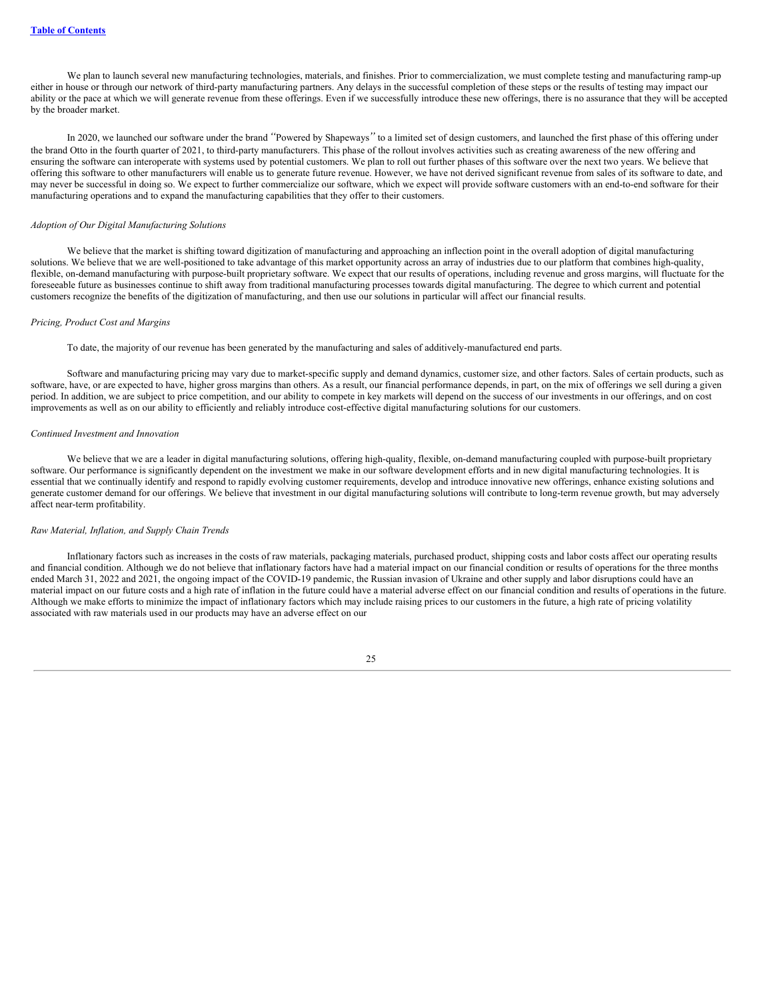We plan to launch several new manufacturing technologies, materials, and finishes. Prior to commercialization, we must complete testing and manufacturing ramp-up either in house or through our network of third-party manufacturing partners. Any delays in the successful completion of these steps or the results of testing may impact our ability or the pace at which we will generate revenue from these offerings. Even if we successfully introduce these new offerings, there is no assurance that they will be accepted by the broader market.

In 2020, we launched our software under the brand*"*Powered by Shapeways*"* to a limited set of design customers, and launched the first phase of this offering under the brand Otto in the fourth quarter of 2021, to third-party manufacturers. This phase of the rollout involves activities such as creating awareness of the new offering and ensuring the software can interoperate with systems used by potential customers. We plan to roll out further phases of this software over the next two years. We believe that offering this software to other manufacturers will enable us to generate future revenue. However, we have not derived significant revenue from sales of its software to date, and may never be successful in doing so. We expect to further commercialize our software, which we expect will provide software customers with an end-to-end software for their manufacturing operations and to expand the manufacturing capabilities that they offer to their customers.

### *Adoption of Our Digital Manufacturing Solutions*

We believe that the market is shifting toward digitization of manufacturing and approaching an inflection point in the overall adoption of digital manufacturing solutions. We believe that we are well-positioned to take advantage of this market opportunity across an array of industries due to our platform that combines high-quality, flexible, on-demand manufacturing with purpose-built proprietary software. We expect that our results of operations, including revenue and gross margins, will fluctuate for the foreseeable future as businesses continue to shift away from traditional manufacturing processes towards digital manufacturing. The degree to which current and potential customers recognize the benefits of the digitization of manufacturing, and then use our solutions in particular will affect our financial results.

#### *Pricing, Product Cost and Margins*

To date, the majority of our revenue has been generated by the manufacturing and sales of additively-manufactured end parts.

Software and manufacturing pricing may vary due to market-specific supply and demand dynamics, customer size, and other factors. Sales of certain products, such as software, have, or are expected to have, higher gross margins than others. As a result, our financial performance depends, in part, on the mix of offerings we sell during a given period. In addition, we are subject to price competition, and our ability to compete in key markets will depend on the success of our investments in our offerings, and on cost improvements as well as on our ability to efficiently and reliably introduce cost-effective digital manufacturing solutions for our customers.

#### *Continued Investment and Innovation*

We believe that we are a leader in digital manufacturing solutions, offering high-quality, flexible, on-demand manufacturing coupled with purpose-built proprietary software. Our performance is significantly dependent on the investment we make in our software development efforts and in new digital manufacturing technologies. It is essential that we continually identify and respond to rapidly evolving customer requirements, develop and introduce innovative new offerings, enhance existing solutions and generate customer demand for our offerings. We believe that investment in our digital manufacturing solutions will contribute to long-term revenue growth, but may adversely affect near-term profitability.

### *Raw Material, Inflation, and Supply Chain Trends*

Inflationary factors such as increases in the costs of raw materials, packaging materials, purchased product, shipping costs and labor costs affect our operating results and financial condition. Although we do not believe that inflationary factors have had a material impact on our financial condition or results of operations for the three months ended March 31, 2022 and 2021, the ongoing impact of the COVID-19 pandemic, the Russian invasion of Ukraine and other supply and labor disruptions could have an material impact on our future costs and a high rate of inflation in the future could have a material adverse effect on our financial condition and results of operations in the future. Although we make efforts to minimize the impact of inflationary factors which may include raising prices to our customers in the future, a high rate of pricing volatility associated with raw materials used in our products may have an adverse effect on our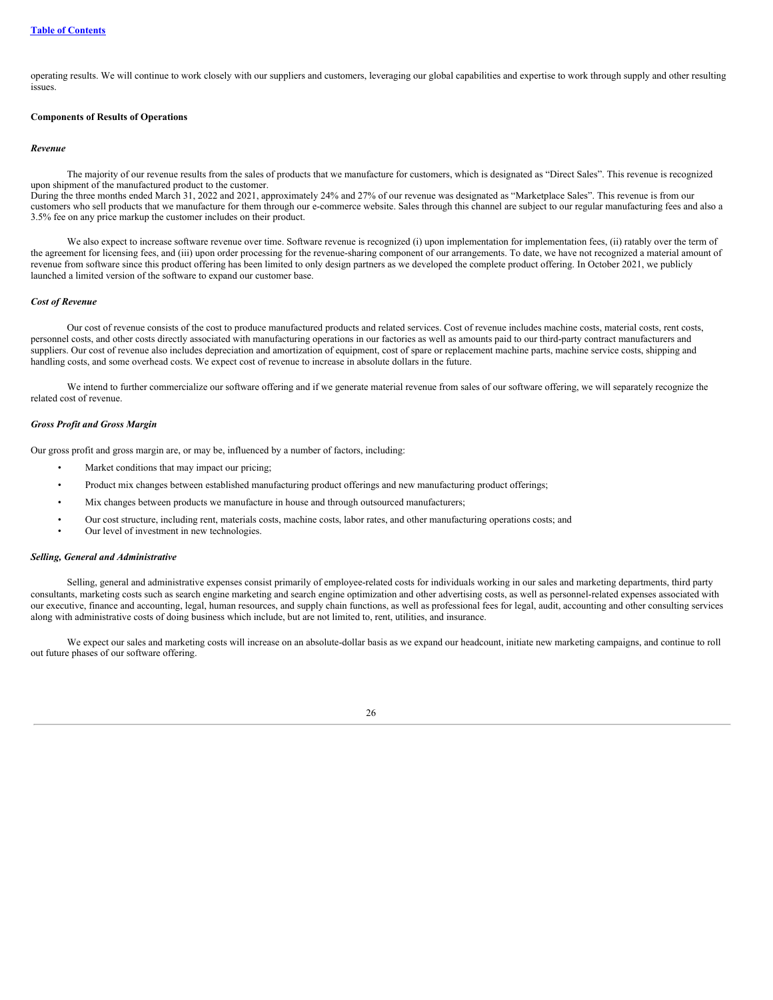operating results. We will continue to work closely with our suppliers and customers, leveraging our global capabilities and expertise to work through supply and other resulting issues.

# **Components of Results of Operations**

#### *Revenue*

The majority of our revenue results from the sales of products that we manufacture for customers, which is designated as "Direct Sales". This revenue is recognized upon shipment of the manufactured product to the customer.

During the three months ended March 31, 2022 and 2021, approximately 24% and 27% of our revenue was designated as "Marketplace Sales". This revenue is from our customers who sell products that we manufacture for them through our e-commerce website. Sales through this channel are subject to our regular manufacturing fees and also a 3.5% fee on any price markup the customer includes on their product.

We also expect to increase software revenue over time. Software revenue is recognized (i) upon implementation for implementation fees, (ii) ratably over the term of the agreement for licensing fees, and (iii) upon order processing for the revenue-sharing component of our arrangements. To date, we have not recognized a material amount of revenue from software since this product offering has been limited to only design partners as we developed the complete product offering. In October 2021, we publicly launched a limited version of the software to expand our customer base.

#### *Cost of Revenue*

Our cost of revenue consists of the cost to produce manufactured products and related services. Cost of revenue includes machine costs, material costs, rent costs, personnel costs, and other costs directly associated with manufacturing operations in our factories as well as amounts paid to our third-party contract manufacturers and suppliers. Our cost of revenue also includes depreciation and amortization of equipment, cost of spare or replacement machine parts, machine service costs, shipping and handling costs, and some overhead costs. We expect cost of revenue to increase in absolute dollars in the future.

We intend to further commercialize our software offering and if we generate material revenue from sales of our software offering, we will separately recognize the related cost of revenue.

# *Gross Profit and Gross Margin*

Our gross profit and gross margin are, or may be, influenced by a number of factors, including:

- Market conditions that may impact our pricing;
- Product mix changes between established manufacturing product offerings and new manufacturing product offerings;
- Mix changes between products we manufacture in house and through outsourced manufacturers;
- Our cost structure, including rent, materials costs, machine costs, labor rates, and other manufacturing operations costs; and
- Our level of investment in new technologies.

#### *Selling, General and Administrative*

Selling, general and administrative expenses consist primarily of employee-related costs for individuals working in our sales and marketing departments, third party consultants, marketing costs such as search engine marketing and search engine optimization and other advertising costs, as well as personnel-related expenses associated with our executive, finance and accounting, legal, human resources, and supply chain functions, as well as professional fees for legal, audit, accounting and other consulting services along with administrative costs of doing business which include, but are not limited to, rent, utilities, and insurance.

We expect our sales and marketing costs will increase on an absolute-dollar basis as we expand our headcount, initiate new marketing campaigns, and continue to roll out future phases of our software offering.

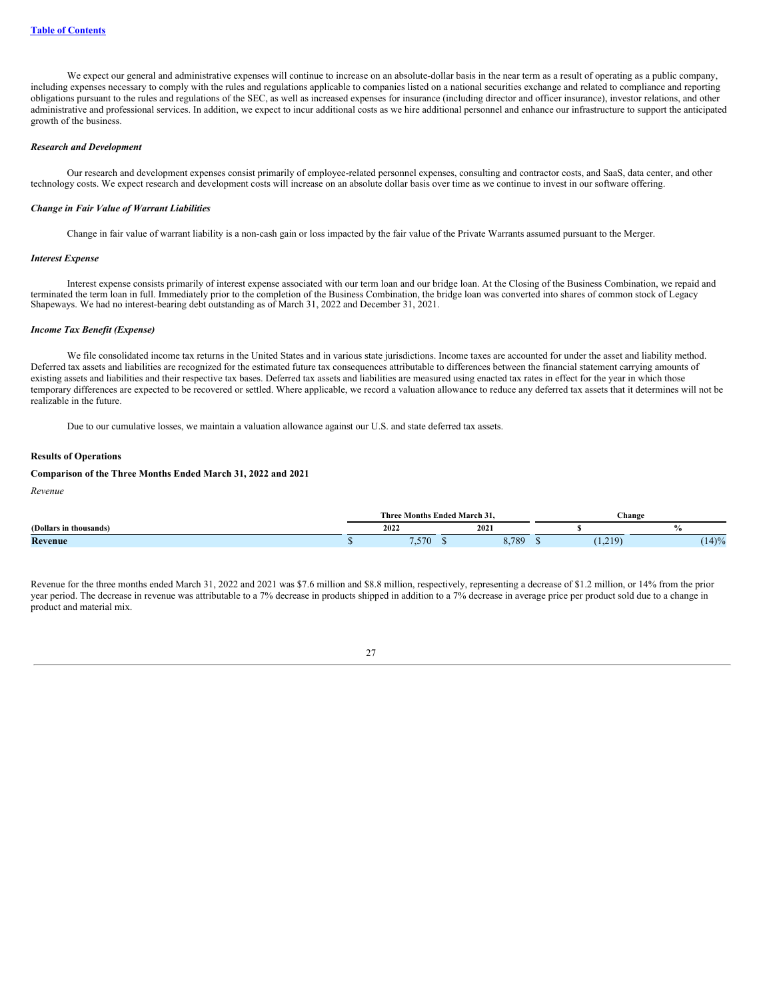We expect our general and administrative expenses will continue to increase on an absolute-dollar basis in the near term as a result of operating as a public company, including expenses necessary to comply with the rules and regulations applicable to companies listed on a national securities exchange and related to compliance and reporting obligations pursuant to the rules and regulations of the SEC, as well as increased expenses for insurance (including director and officer insurance), investor relations, and other administrative and professional services. In addition, we expect to incur additional costs as we hire additional personnel and enhance our infrastructure to support the anticipated growth of the business.

# *Research and Development*

Our research and development expenses consist primarily of employee-related personnel expenses, consulting and contractor costs, and SaaS, data center, and other technology costs. We expect research and development costs will increase on an absolute dollar basis over time as we continue to invest in our software offering.

#### *Change in Fair Value of Warrant Liabilities*

Change in fair value of warrant liability is a non-cash gain or loss impacted by the fair value of the Private Warrants assumed pursuant to the Merger.

#### *Interest Expense*

Interest expense consists primarily of interest expense associated with our term loan and our bridge loan. At the Closing of the Business Combination, we repaid and terminated the term loan in full. Immediately prior to the completion of the Business Combination, the bridge loan was converted into shares of common stock of Legacy Shapeways. We had no interest-bearing debt outstanding as of March 31, 2022 and December 31, 2021.

# *Income Tax Benefit (Expense)*

We file consolidated income tax returns in the United States and in various state jurisdictions. Income taxes are accounted for under the asset and liability method. Deferred tax assets and liabilities are recognized for the estimated future tax consequences attributable to differences between the financial statement carrying amounts of existing assets and liabilities and their respective tax bases. Deferred tax assets and liabilities are measured using enacted tax rates in effect for the year in which those temporary differences are expected to be recovered or settled. Where applicable, we record a valuation allowance to reduce any deferred tax assets that it determines will not be realizable in the future.

Due to our cumulative losses, we maintain a valuation allowance against our U.S. and state deferred tax assets.

### **Results of Operations**

# **Comparison of the Three Months Ended March 31, 2022 and 2021**

*Revenue*

|                              | <b>COLUMN</b><br>s Ended March 31.<br>l hree<br>Months |               |  | Change |  |                        |                   |
|------------------------------|--------------------------------------------------------|---------------|--|--------|--|------------------------|-------------------|
| <b>(Dollars</b><br>thousands |                                                        | 2022          |  | 202    |  |                        |                   |
| <b>Revenue</b>               |                                                        | 7.570<br>.570 |  | 8.789  |  | 210'<br>$\overline{1}$ | 140%<br>$1 + 170$ |

Revenue for the three months ended March 31, 2022 and 2021 was \$7.6 million and \$8.8 million, respectively, representing a decrease of \$1.2 million, or 14% from the prior year period. The decrease in revenue was attributable to a 7% decrease in products shipped in addition to a 7% decrease in average price per product sold due to a change in product and material mix.

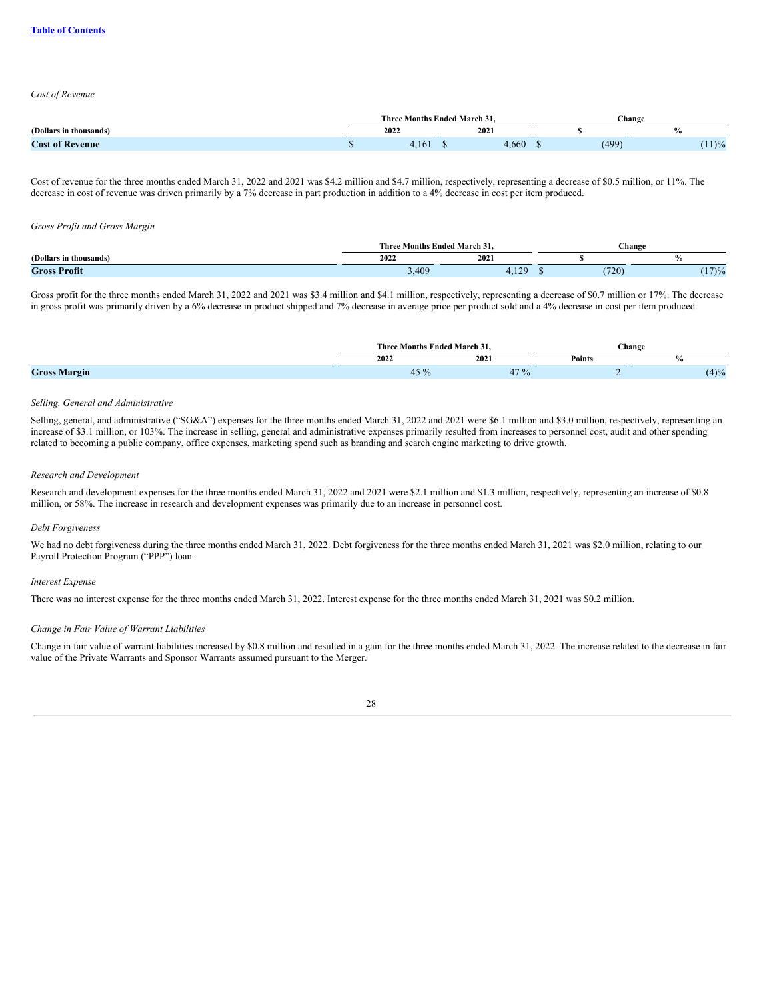*Cost of Revenue*

|                        | Three Months Ended March 31. |       |  | <b>Change</b> |  |       |  |       |
|------------------------|------------------------------|-------|--|---------------|--|-------|--|-------|
| (Dollars in thousands) | 2022                         |       |  | 2021          |  |       |  |       |
| <b>Cost of Revenue</b> |                              | 4.161 |  | 4.660         |  | (499) |  | (11)% |

Cost of revenue for the three months ended March 31, 2022 and 2021 was \$4.2 million and \$4.7 million, respectively, representing a decrease of \$0.5 million, or 11%. The decrease in cost of revenue was driven primarily by a 7% decrease in part production in addition to a 4% decrease in cost per item produced.

### *Gross Profit and Gross Margin*

|                                     | I hre | The Months Ended March 31. |       | Change                |
|-------------------------------------|-------|----------------------------|-------|-----------------------|
| <b>(Dollars</b><br>; in thousands). | 2022  | 2021                       |       |                       |
| <b>Gross Profit</b>                 | 3,409 | 120<br>エコレノ                | (720) | 170/<br>$\pm$ 1 1 7 0 |

Gross profit for the three months ended March 31, 2022 and 2021 was \$3.4 million and \$4.1 million, respectively, representing a decrease of \$0.7 million or 17%. The decrease in gross profit was primarily driven by a 6% decrease in product shipped and 7% decrease in average price per product sold and a 4% decrease in cost per item produced.

|                      | Months -<br>hree             | - Ended March . |               | . hange                |
|----------------------|------------------------------|-----------------|---------------|------------------------|
|                      | 2022                         | 202             | <b>Points</b> | Ω.                     |
| <b>Gross</b><br>"2IN | $1 \in \Omega$<br>$\sqrt{0}$ | 4.<br>$\cdots$  |               | $\Delta$<br>$\sim 170$ |

### *Selling, General and Administrative*

Selling, general, and administrative ("SG&A") expenses for the three months ended March 31, 2022 and 2021 were \$6.1 million and \$3.0 million, respectively, representing an increase of \$3.1 million, or 103%. The increase in selling, general and administrative expenses primarily resulted from increases to personnel cost, audit and other spending related to becoming a public company, office expenses, marketing spend such as branding and search engine marketing to drive growth.

#### *Research and Development*

Research and development expenses for the three months ended March 31, 2022 and 2021 were \$2.1 million and \$1.3 million, respectively, representing an increase of \$0.8 million, or 58%. The increase in research and development expenses was primarily due to an increase in personnel cost.

#### *Debt Forgiveness*

We had no debt forgiveness during the three months ended March 31, 2022. Debt forgiveness for the three months ended March 31, 2021 was \$2.0 million, relating to our Payroll Protection Program ("PPP") loan.

#### *Interest Expense*

There was no interest expense for the three months ended March 31, 2022. Interest expense for the three months ended March 31, 2021 was \$0.2 million.

#### *Change in Fair Value of Warrant Liabilities*

Change in fair value of warrant liabilities increased by \$0.8 million and resulted in a gain for the three months ended March 31, 2022. The increase related to the decrease in fair value of the Private Warrants and Sponsor Warrants assumed pursuant to the Merger.

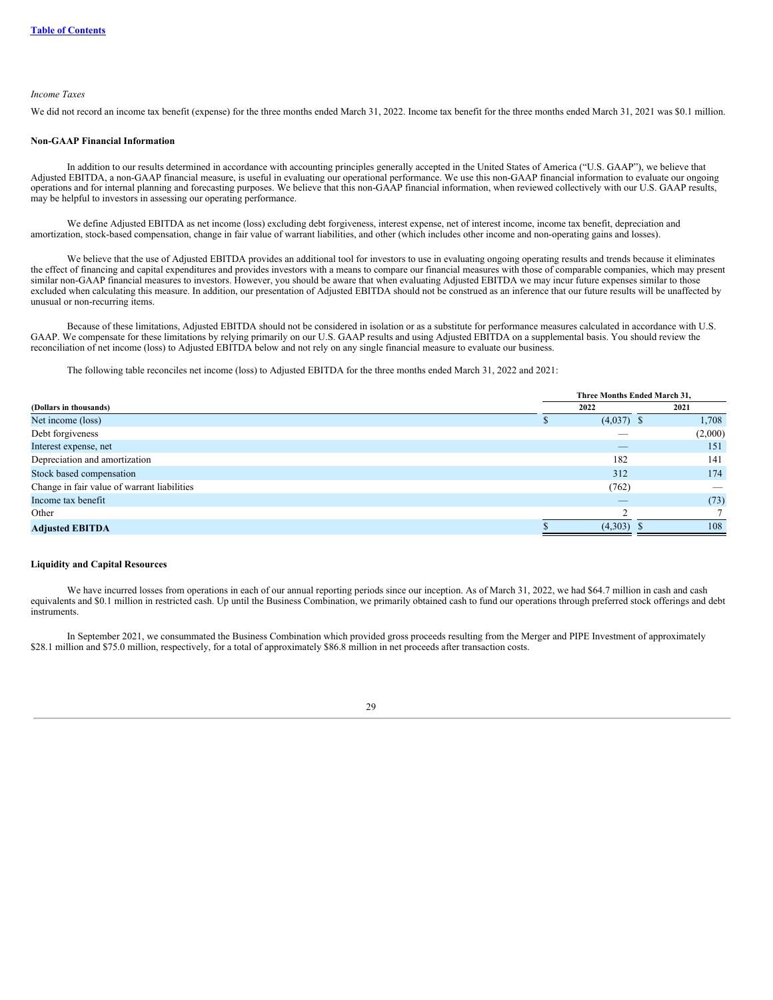# *Income Taxes*

We did not record an income tax benefit (expense) for the three months ended March 31, 2022. Income tax benefit for the three months ended March 31, 2021 was \$0.1 million.

#### **Non-GAAP Financial Information**

In addition to our results determined in accordance with accounting principles generally accepted in the United States of America ("U.S. GAAP"), we believe that Adjusted EBITDA, a non-GAAP financial measure, is useful in evaluating our operational performance. We use this non-GAAP financial information to evaluate our ongoing operations and for internal planning and forecasting purposes. We believe that this non-GAAP financial information, when reviewed collectively with our U.S. GAAP results, may be helpful to investors in assessing our operating performance.

We define Adjusted EBITDA as net income (loss) excluding debt forgiveness, interest expense, net of interest income, income tax benefit, depreciation and amortization, stock-based compensation, change in fair value of warrant liabilities, and other (which includes other income and non-operating gains and losses).

We believe that the use of Adjusted EBITDA provides an additional tool for investors to use in evaluating ongoing operating results and trends because it eliminates the effect of financing and capital expenditures and provides investors with a means to compare our financial measures with those of comparable companies, which may present similar non-GAAP financial measures to investors. However, you should be aware that when evaluating Adjusted EBITDA we may incur future expenses similar to those excluded when calculating this measure. In addition, our presentation of Adjusted EBITDA should not be construed as an inference that our future results will be unaffected by unusual or non-recurring items.

Because of these limitations, Adjusted EBITDA should not be considered in isolation or as a substitute for performance measures calculated in accordance with U.S. GAAP. We compensate for these limitations by relying primarily on our U.S. GAAP results and using Adjusted EBITDA on a supplemental basis. You should review the reconciliation of net income (loss) to Adjusted EBITDA below and not rely on any single financial measure to evaluate our business.

The following table reconciles net income (loss) to Adjusted EBITDA for the three months ended March 31, 2022 and 2021:

|                                             | Three Months Ended March 31, |              |      |         |  |  |
|---------------------------------------------|------------------------------|--------------|------|---------|--|--|
| (Dollars in thousands)                      | 2022                         |              | 2021 |         |  |  |
| Net income (loss)                           |                              | $(4,037)$ \$ |      | 1,708   |  |  |
| Debt forgiveness                            |                              | _            |      | (2,000) |  |  |
| Interest expense, net                       |                              |              |      | 151     |  |  |
| Depreciation and amortization               |                              | 182          |      | 141     |  |  |
| Stock based compensation                    |                              | 312          |      | 174     |  |  |
| Change in fair value of warrant liabilities |                              | (762)        |      |         |  |  |
| Income tax benefit                          |                              |              |      | (73)    |  |  |
| Other                                       |                              | ◠            |      |         |  |  |
| <b>Adjusted EBITDA</b>                      |                              | (4,303)      |      | 108     |  |  |

#### **Liquidity and Capital Resources**

We have incurred losses from operations in each of our annual reporting periods since our inception. As of March 31, 2022, we had \$64.7 million in cash and cash equivalents and \$0.1 million in restricted cash. Up until the Business Combination, we primarily obtained cash to fund our operations through preferred stock offerings and debt instruments.

In September 2021, we consummated the Business Combination which provided gross proceeds resulting from the Merger and PIPE Investment of approximately \$28.1 million and \$75.0 million, respectively, for a total of approximately \$86.8 million in net proceeds after transaction costs.

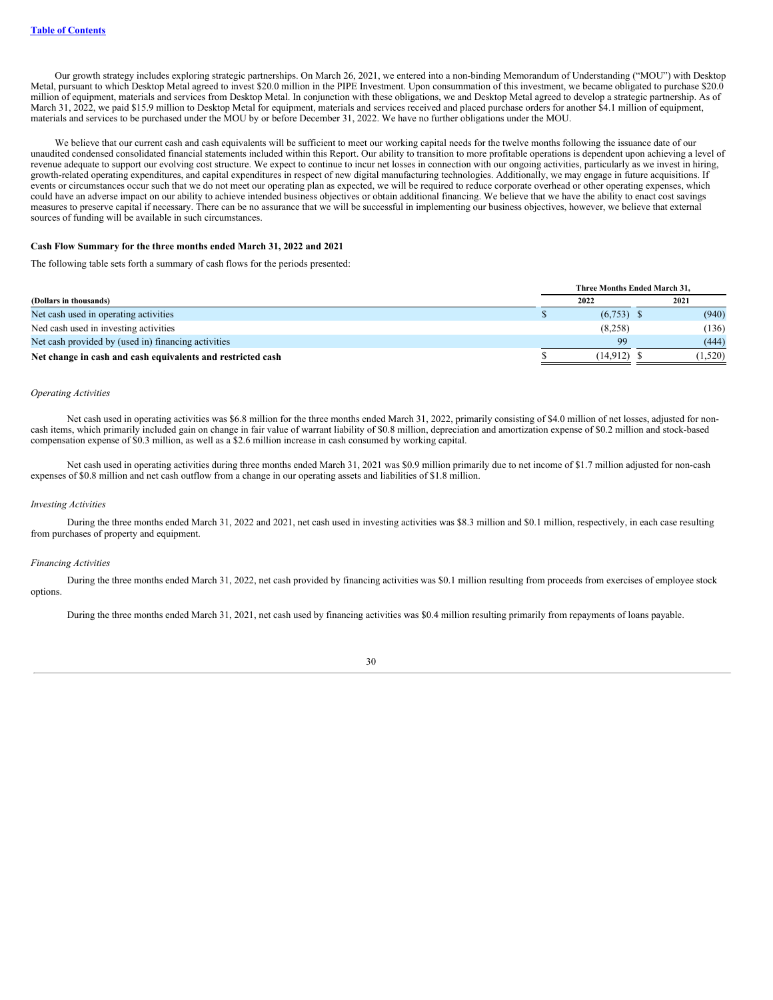Our growth strategy includes exploring strategic partnerships. On March 26, 2021, we entered into a non-binding Memorandum of Understanding ("MOU") with Desktop Metal, pursuant to which Desktop Metal agreed to invest \$20.0 million in the PIPE Investment. Upon consummation of this investment, we became obligated to purchase \$20.0 million of equipment, materials and services from Desktop Metal. In conjunction with these obligations, we and Desktop Metal agreed to develop a strategic partnership. As of March 31, 2022, we paid \$15.9 million to Desktop Metal for equipment, materials and services received and placed purchase orders for another \$4.1 million of equipment, materials and services to be purchased under the MOU by or before December 31, 2022. We have no further obligations under the MOU.

We believe that our current cash and cash equivalents will be sufficient to meet our working capital needs for the twelve months following the issuance date of our unaudited condensed consolidated financial statements included within this Report. Our ability to transition to more profitable operations is dependent upon achieving a level of revenue adequate to support our evolving cost structure. We expect to continue to incur net losses in connection with our ongoing activities, particularly as we invest in hiring, growth-related operating expenditures, and capital expenditures in respect of new digital manufacturing technologies. Additionally, we may engage in future acquisitions. If events or circumstances occur such that we do not meet our operating plan as expected, we will be required to reduce corporate overhead or other operating expenses, which could have an adverse impact on our ability to achieve intended business objectives or obtain additional financing. We believe that we have the ability to enact cost savings measures to preserve capital if necessary. There can be no assurance that we will be successful in implementing our business objectives, however, we believe that external sources of funding will be available in such circumstances.

#### **Cash Flow Summary for the three months ended March 31, 2022 and 2021**

The following table sets forth a summary of cash flows for the periods presented:

|                                                             | Three Months Ended March 31, |  |          |  |  |
|-------------------------------------------------------------|------------------------------|--|----------|--|--|
| (Dollars in thousands)                                      | 2022                         |  | 2021     |  |  |
| Net cash used in operating activities                       | $(6,753)$ \$                 |  | (940)    |  |  |
| Ned cash used in investing activities                       | (8,258)                      |  | (136)    |  |  |
| Net cash provided by (used in) financing activities         | 99                           |  | (444)    |  |  |
| Net change in cash and cash equivalents and restricted cash | $(14.912)$ \$                |  | (1, 520) |  |  |

# *Operating Activities*

Net cash used in operating activities was \$6.8 million for the three months ended March 31, 2022, primarily consisting of \$4.0 million of net losses, adjusted for noncash items, which primarily included gain on change in fair value of warrant liability of \$0.8 million, depreciation and amortization expense of \$0.2 million and stock-based compensation expense of \$0.3 million, as well as a \$2.6 million increase in cash consumed by working capital.

Net cash used in operating activities during three months ended March 31, 2021 was \$0.9 million primarily due to net income of \$1.7 million adjusted for non-cash expenses of \$0.8 million and net cash outflow from a change in our operating assets and liabilities of \$1.8 million.

#### *Investing Activities*

During the three months ended March 31, 2022 and 2021, net cash used in investing activities was \$8.3 million and \$0.1 million, respectively, in each case resulting from purchases of property and equipment.

#### *Financing Activities*

During the three months ended March 31, 2022, net cash provided by financing activities was \$0.1 million resulting from proceeds from exercises of employee stock options.

During the three months ended March 31, 2021, net cash used by financing activities was \$0.4 million resulting primarily from repayments of loans payable.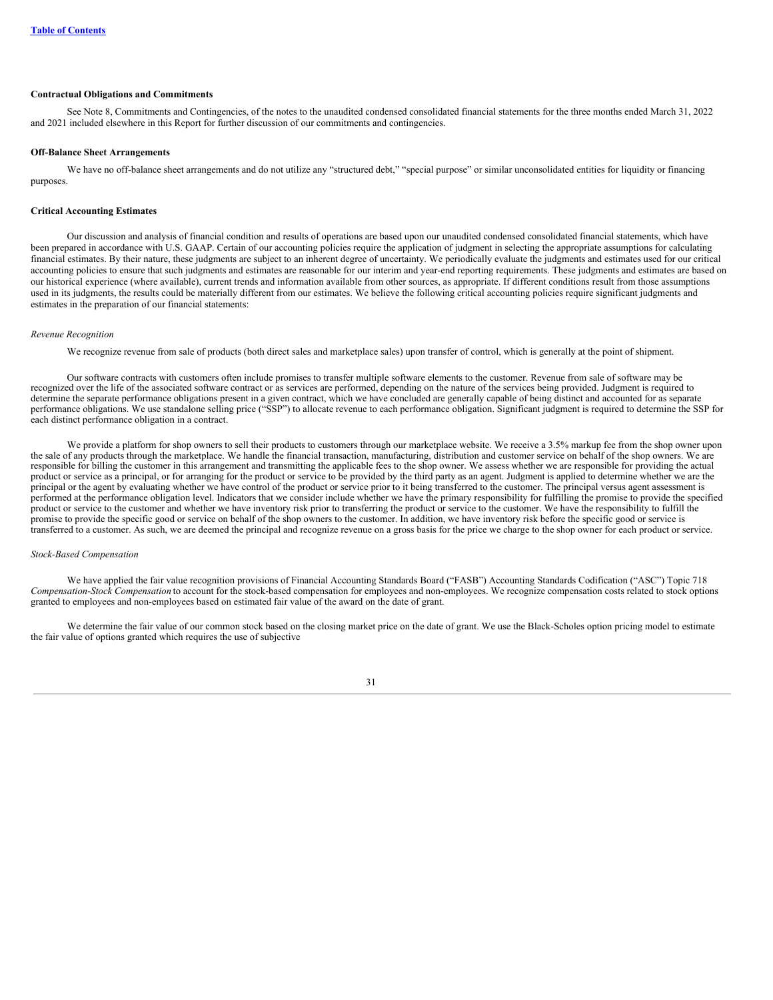#### **Contractual Obligations and Commitments**

See Note 8, Commitments and Contingencies, of the notes to the unaudited condensed consolidated financial statements for the three months ended March 31, 2022 and 2021 included elsewhere in this Report for further discussion of our commitments and contingencies.

#### **Off-Balance Sheet Arrangements**

We have no off-balance sheet arrangements and do not utilize any "structured debt," "special purpose" or similar unconsolidated entities for liquidity or financing purposes.

#### **Critical Accounting Estimates**

Our discussion and analysis of financial condition and results of operations are based upon our unaudited condensed consolidated financial statements, which have been prepared in accordance with U.S. GAAP. Certain of our accounting policies require the application of judgment in selecting the appropriate assumptions for calculating financial estimates. By their nature, these judgments are subject to an inherent degree of uncertainty. We periodically evaluate the judgments and estimates used for our critical accounting policies to ensure that such judgments and estimates are reasonable for our interim and year-end reporting requirements. These judgments and estimates are based on our historical experience (where available), current trends and information available from other sources, as appropriate. If different conditions result from those assumptions used in its judgments, the results could be materially different from our estimates. We believe the following critical accounting policies require significant judgments and estimates in the preparation of our financial statements:

#### *Revenue Recognition*

We recognize revenue from sale of products (both direct sales and marketplace sales) upon transfer of control, which is generally at the point of shipment.

Our software contracts with customers often include promises to transfer multiple software elements to the customer. Revenue from sale of software may be recognized over the life of the associated software contract or as services are performed, depending on the nature of the services being provided. Judgment is required to determine the separate performance obligations present in a given contract, which we have concluded are generally capable of being distinct and accounted for as separate performance obligations. We use standalone selling price ("SSP") to allocate revenue to each performance obligation. Significant judgment is required to determine the SSP for each distinct performance obligation in a contract.

We provide a platform for shop owners to sell their products to customers through our marketplace website. We receive a 3.5% markup fee from the shop owner upon the sale of any products through the marketplace. We handle the financial transaction, manufacturing, distribution and customer service on behalf of the shop owners. We are responsible for billing the customer in this arrangement and transmitting the applicable fees to the shop owner. We assess whether we are responsible for providing the actual product or service as a principal, or for arranging for the product or service to be provided by the third party as an agent. Judgment is applied to determine whether we are the principal or the agent by evaluating whether we have control of the product or service prior to it being transferred to the customer. The principal versus agent assessment is performed at the performance obligation level. Indicators that we consider include whether we have the primary responsibility for fulfilling the promise to provide the specified product or service to the customer and whether we have inventory risk prior to transferring the product or service to the customer. We have the responsibility to fulfill the promise to provide the specific good or service on behalf of the shop owners to the customer. In addition, we have inventory risk before the specific good or service is transferred to a customer. As such, we are deemed the principal and recognize revenue on a gross basis for the price we charge to the shop owner for each product or service.

#### *Stock-Based Compensation*

We have applied the fair value recognition provisions of Financial Accounting Standards Board ("FASB") Accounting Standards Codification ("ASC") Topic 718 *Compensation-Stock Compensation* to account for the stock-based compensation for employees and non-employees. We recognize compensation costs related to stock options granted to employees and non-employees based on estimated fair value of the award on the date of grant.

We determine the fair value of our common stock based on the closing market price on the date of grant. We use the Black-Scholes option pricing model to estimate the fair value of options granted which requires the use of subjective

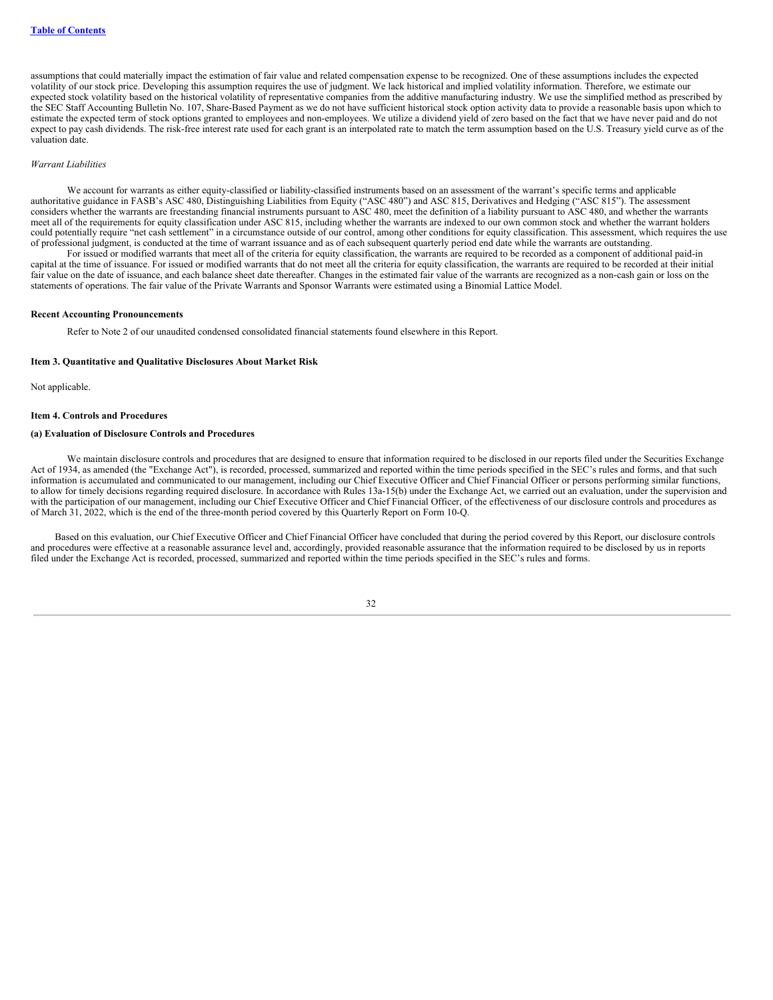assumptions that could materially impact the estimation of fair value and related compensation expense to be recognized. One of these assumptions includes the expected volatility of our stock price. Developing this assumption requires the use of judgment. We lack historical and implied volatility information. Therefore, we estimate our expected stock volatility based on the historical volatility of representative companies from the additive manufacturing industry. We use the simplified method as prescribed by the SEC Staff Accounting Bulletin No. 107, Share-Based Payment as we do not have sufficient historical stock option activity data to provide a reasonable basis upon which to estimate the expected term of stock options granted to employees and non-employees. We utilize a dividend yield of zero based on the fact that we have never paid and do not expect to pay cash dividends. The risk-free interest rate used for each grant is an interpolated rate to match the term assumption based on the U.S. Treasury yield curve as of the valuation date.

### *Warrant Liabilities*

We account for warrants as either equity-classified or liability-classified instruments based on an assessment of the warrant's specific terms and applicable authoritative guidance in FASB's ASC 480, Distinguishing Liabilities from Equity ("ASC 480") and ASC 815, Derivatives and Hedging ("ASC 815"). The assessment considers whether the warrants are freestanding financial instruments pursuant to ASC 480, meet the definition of a liability pursuant to ASC 480, and whether the warrants meet all of the requirements for equity classification under ASC 815, including whether the warrants are indexed to our own common stock and whether the warrant holders could potentially require "net cash settlement" in a circumstance outside of our control, among other conditions for equity classification. This assessment, which requires the use of professional judgment, is conducted at the time of warrant issuance and as of each subsequent quarterly period end date while the warrants are outstanding.

For issued or modified warrants that meet all of the criteria for equity classification, the warrants are required to be recorded as a component of additional paid-in capital at the time of issuance. For issued or modified warrants that do not meet all the criteria for equity classification, the warrants are required to be recorded at their initial fair value on the date of issuance, and each balance sheet date thereafter. Changes in the estimated fair value of the warrants are recognized as a non-cash gain or loss on the statements of operations. The fair value of the Private Warrants and Sponsor Warrants were estimated using a Binomial Lattice Model.

#### **Recent Accounting Pronouncements**

Refer to Note 2 of our unaudited condensed consolidated financial statements found elsewhere in this Report.

#### <span id="page-35-0"></span>**Item 3. Quantitative and Qualitative Disclosures About Market Risk**

<span id="page-35-1"></span>Not applicable.

# **Item 4. Controls and Procedures**

### **(a) Evaluation of Disclosure Controls and Procedures**

We maintain disclosure controls and procedures that are designed to ensure that information required to be disclosed in our reports filed under the Securities Exchange Act of 1934, as amended (the "Exchange Act"), is recorded, processed, summarized and reported within the time periods specified in the SEC's rules and forms, and that such information is accumulated and communicated to our management, including our Chief Executive Officer and Chief Financial Officer or persons performing similar functions, to allow for timely decisions regarding required disclosure. In accordance with Rules 13a-15(b) under the Exchange Act, we carried out an evaluation, under the supervision and with the participation of our management, including our Chief Executive Officer and Chief Financial Officer, of the effectiveness of our disclosure controls and procedures as of March 31, 2022, which is the end of the three-month period covered by this Quarterly Report on Form 10-Q.

Based on this evaluation, our Chief Executive Officer and Chief Financial Officer have concluded that during the period covered by this Report, our disclosure controls and procedures were effective at a reasonable assurance level and, accordingly, provided reasonable assurance that the information required to be disclosed by us in reports filed under the Exchange Act is recorded, processed, summarized and reported within the time periods specified in the SEC's rules and forms.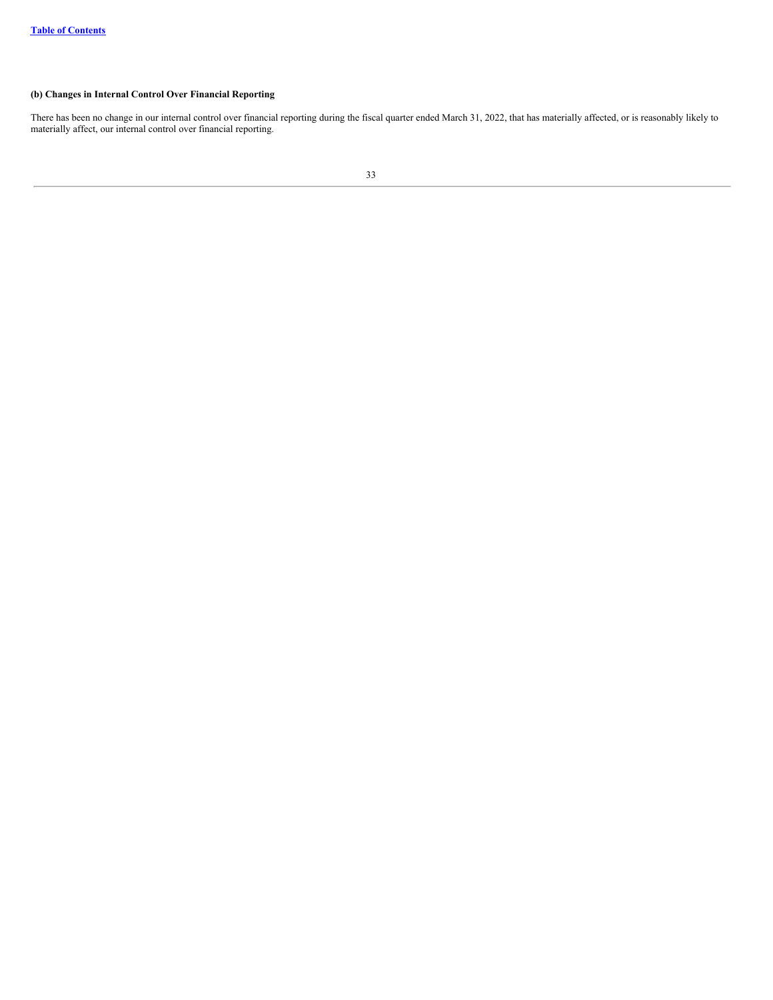# **(b) Changes in Internal Control Over Financial Reporting**

<span id="page-36-0"></span>There has been no change in our internal control over financial reporting during the fiscal quarter ended March 31, 2022, that has materially affected, or is reasonably likely to materially affect, our internal control over financial reporting.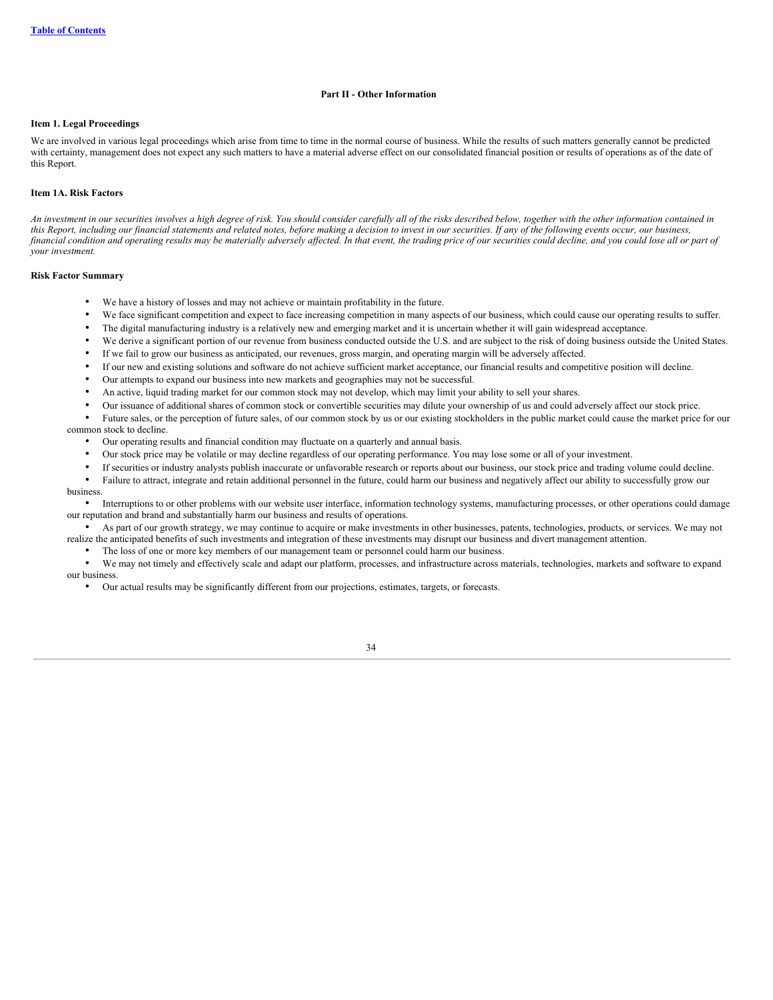# **Part II - Other Information**

# <span id="page-37-0"></span>**Item 1. Legal Proceedings**

We are involved in various legal proceedings which arise from time to time in the normal course of business. While the results of such matters generally cannot be predicted with certainty, management does not expect any such matters to have a material adverse effect on our consolidated financial position or results of operations as of the date of this Report.

# <span id="page-37-1"></span>**Item 1A. Risk Factors**

An investment in our securities involves a high degree of risk. You should consider carefully all of the risks described below, together with the other information contained in this Report, including our financial statements and related notes, before making a decision to invest in our securities. If any of the following events occur, our business, financial condition and operating results may be materially adversely affected. In that event, the trading price of our securities could decline, and you could lose all or part of *your investment.*

# **Risk Factor Summary**

- We have a history of losses and may not achieve or maintain profitability in the future.
- We face significant competition and expect to face increasing competition in many aspects of our business, which could cause our operating results to suffer.
- The digital manufacturing industry is a relatively new and emerging market and it is uncertain whether it will gain widespread acceptance.
- We derive a significant portion of our revenue from business conducted outside the U.S. and are subject to the risk of doing business outside the United States.
- If we fail to grow our business as anticipated, our revenues, gross margin, and operating margin will be adversely affected.
- If our new and existing solutions and software do not achieve sufficient market acceptance, our financial results and competitive position will decline.
- Our attempts to expand our business into new markets and geographies may not be successful.
- An active, liquid trading market for our common stock may not develop, which may limit your ability to sell your shares.
- Our issuance of additional shares of common stock or convertible securities may dilute your ownership of us and could adversely affect our stock price.

• Future sales, or the perception of future sales, of our common stock by us or our existing stockholders in the public market could cause the market price for our common stock to decline.

- Our operating results and financial condition may fluctuate on a quarterly and annual basis.
- Our stock price may be volatile or may decline regardless of our operating performance. You may lose some or all of your investment.
- If securities or industry analysts publish inaccurate or unfavorable research or reports about our business, our stock price and trading volume could decline.

• Failure to attract, integrate and retain additional personnel in the future, could harm our business and negatively affect our ability to successfully grow our business.

• Interruptions to or other problems with our website user interface, information technology systems, manufacturing processes, or other operations could damage our reputation and brand and substantially harm our business and results of operations.

As part of our growth strategy, we may continue to acquire or make investments in other businesses, patents, technologies, products, or services. We may not realize the anticipated benefits of such investments and integration of these investments may disrupt our business and divert management attention.

• The loss of one or more key members of our management team or personnel could harm our business.

• We may not timely and effectively scale and adapt our platform, processes, and infrastructure across materials, technologies, markets and software to expand our business.

• Our actual results may be significantly different from our projections, estimates, targets, or forecasts.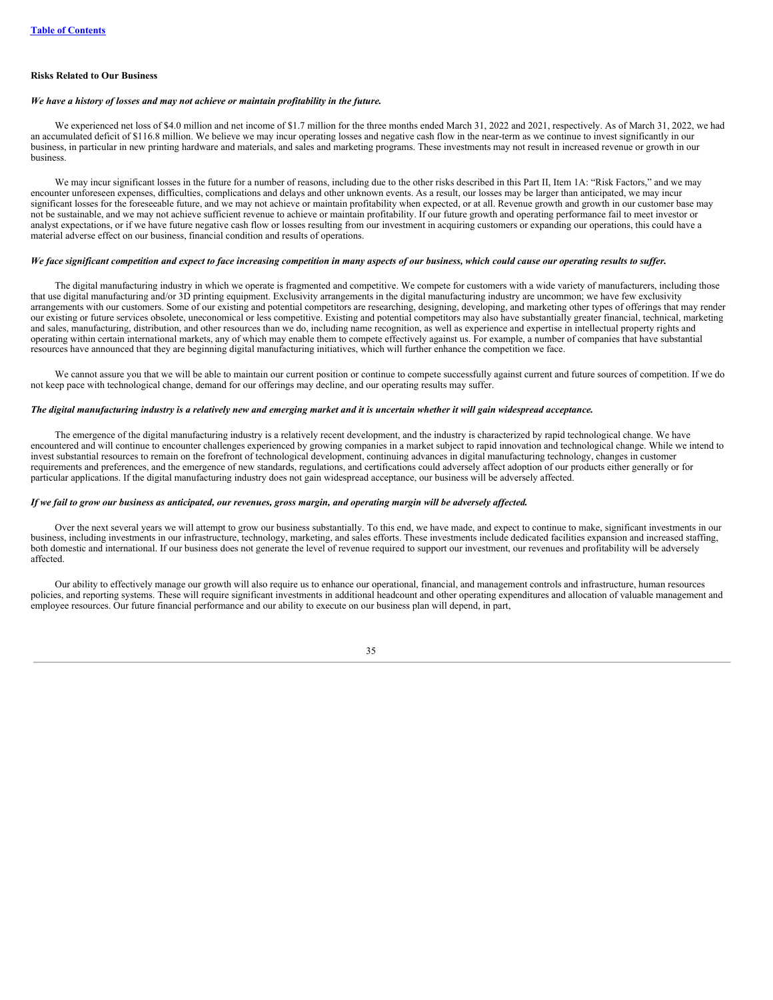# **Risks Related to Our Business**

#### *We have a history of losses and may not achieve or maintain profitability in the future.*

We experienced net loss of \$4.0 million and net income of \$1.7 million for the three months ended March 31, 2022 and 2021, respectively. As of March 31, 2022, we had an accumulated deficit of \$116.8 million. We believe we may incur operating losses and negative cash flow in the near-term as we continue to invest significantly in our business, in particular in new printing hardware and materials, and sales and marketing programs. These investments may not result in increased revenue or growth in our business.

We may incur significant losses in the future for a number of reasons, including due to the other risks described in this Part II, Item 1A: "Risk Factors," and we may encounter unforeseen expenses, difficulties, complications and delays and other unknown events. As a result, our losses may be larger than anticipated, we may incur significant losses for the foreseeable future, and we may not achieve or maintain profitability when expected, or at all. Revenue growth and growth in our customer base may not be sustainable, and we may not achieve sufficient revenue to achieve or maintain profitability. If our future growth and operating performance fail to meet investor or analyst expectations, or if we have future negative cash flow or losses resulting from our investment in acquiring customers or expanding our operations, this could have a material adverse effect on our business, financial condition and results of operations.

### We face significant competition and expect to face increasing competition in many aspects of our business, which could cause our operating results to suffer.

The digital manufacturing industry in which we operate is fragmented and competitive. We compete for customers with a wide variety of manufacturers, including those that use digital manufacturing and/or 3D printing equipment. Exclusivity arrangements in the digital manufacturing industry are uncommon; we have few exclusivity arrangements with our customers. Some of our existing and potential competitors are researching, designing, developing, and marketing other types of offerings that may render our existing or future services obsolete, uneconomical or less competitive. Existing and potential competitors may also have substantially greater financial, technical, marketing and sales, manufacturing, distribution, and other resources than we do, including name recognition, as well as experience and expertise in intellectual property rights and operating within certain international markets, any of which may enable them to compete effectively against us. For example, a number of companies that have substantial resources have announced that they are beginning digital manufacturing initiatives, which will further enhance the competition we face.

We cannot assure you that we will be able to maintain our current position or continue to compete successfully against current and future sources of competition. If we do not keep pace with technological change, demand for our offerings may decline, and our operating results may suffer.

### The digital manufacturing industry is a relatively new and emerging market and it is uncertain whether it will gain widespread acceptance.

The emergence of the digital manufacturing industry is a relatively recent development, and the industry is characterized by rapid technological change. We have encountered and will continue to encounter challenges experienced by growing companies in a market subject to rapid innovation and technological change. While we intend to invest substantial resources to remain on the forefront of technological development, continuing advances in digital manufacturing technology, changes in customer requirements and preferences, and the emergence of new standards, regulations, and certifications could adversely affect adoption of our products either generally or for particular applications. If the digital manufacturing industry does not gain widespread acceptance, our business will be adversely affected.

#### If we fail to grow our business as anticipated, our revenues, gross margin, and operating margin will be adversely affected.

Over the next several years we will attempt to grow our business substantially. To this end, we have made, and expect to continue to make, significant investments in our business, including investments in our infrastructure, technology, marketing, and sales efforts. These investments include dedicated facilities expansion and increased staffing, both domestic and international. If our business does not generate the level of revenue required to support our investment, our revenues and profitability will be adversely affected.

Our ability to effectively manage our growth will also require us to enhance our operational, financial, and management controls and infrastructure, human resources policies, and reporting systems. These will require significant investments in additional headcount and other operating expenditures and allocation of valuable management and employee resources. Our future financial performance and our ability to execute on our business plan will depend, in part,

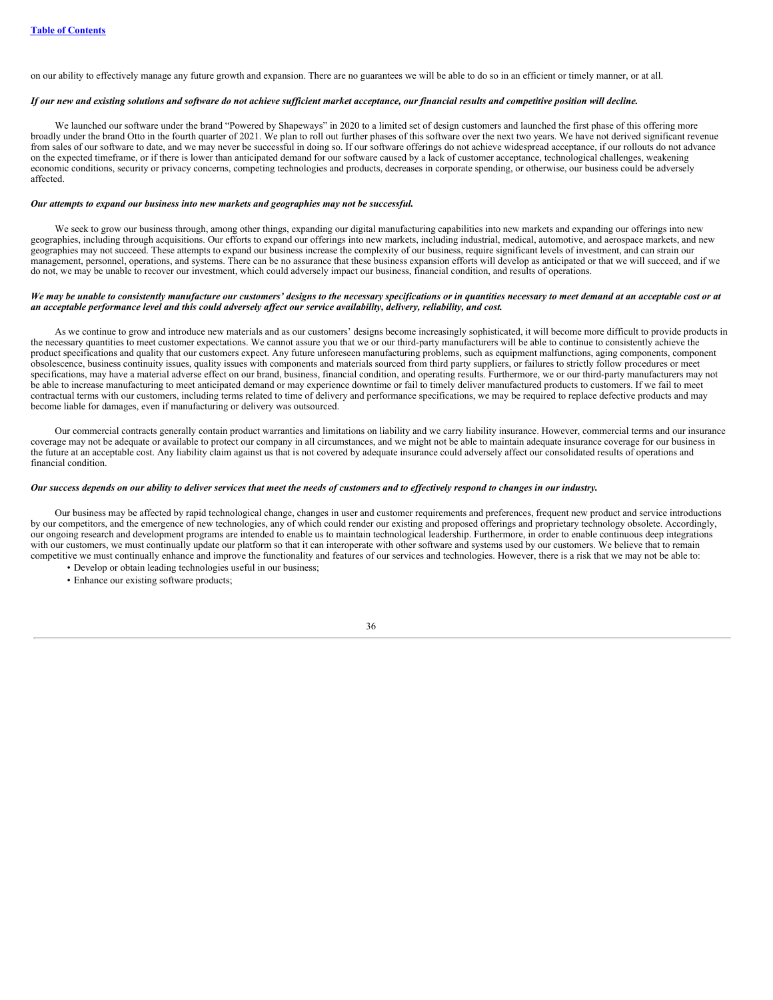on our ability to effectively manage any future growth and expansion. There are no guarantees we will be able to do so in an efficient or timely manner, or at all.

#### If our new and existing solutions and software do not achieve sufficient market acceptance, our financial results and competitive position will decline.

We launched our software under the brand "Powered by Shapeways" in 2020 to a limited set of design customers and launched the first phase of this offering more broadly under the brand Otto in the fourth quarter of 2021. We plan to roll out further phases of this software over the next two years. We have not derived significant revenue from sales of our software to date, and we may never be successful in doing so. If our software offerings do not achieve widespread acceptance, if our rollouts do not advance on the expected timeframe, or if there is lower than anticipated demand for our software caused by a lack of customer acceptance, technological challenges, weakening economic conditions, security or privacy concerns, competing technologies and products, decreases in corporate spending, or otherwise, our business could be adversely affected.

### *Our attempts to expand our business into new markets and geographies may not be successful.*

We seek to grow our business through, among other things, expanding our digital manufacturing capabilities into new markets and expanding our offerings into new geographies, including through acquisitions. Our efforts to expand our offerings into new markets, including industrial, medical, automotive, and aerospace markets, and new geographies may not succeed. These attempts to expand our business increase the complexity of our business, require significant levels of investment, and can strain our management, personnel, operations, and systems. There can be no assurance that these business expansion efforts will develop as anticipated or that we will succeed, and if we do not, we may be unable to recover our investment, which could adversely impact our business, financial condition, and results of operations.

#### We may be unable to consistently manufacture our customers' designs to the necessary specifications or in quantities necessary to meet demand at an acceptable cost or at an acceptable performance level and this could adversely affect our service availability, delivery, reliability, and cost.

As we continue to grow and introduce new materials and as our customers' designs become increasingly sophisticated, it will become more difficult to provide products in the necessary quantities to meet customer expectations. We cannot assure you that we or our third-party manufacturers will be able to continue to consistently achieve the product specifications and quality that our customers expect. Any future unforeseen manufacturing problems, such as equipment malfunctions, aging components, component obsolescence, business continuity issues, quality issues with components and materials sourced from third party suppliers, or failures to strictly follow procedures or meet specifications, may have a material adverse effect on our brand, business, financial condition, and operating results. Furthermore, we or our third-party manufacturers may not be able to increase manufacturing to meet anticipated demand or may experience downtime or fail to timely deliver manufactured products to customers. If we fail to meet contractual terms with our customers, including terms related to time of delivery and performance specifications, we may be required to replace defective products and may become liable for damages, even if manufacturing or delivery was outsourced.

Our commercial contracts generally contain product warranties and limitations on liability and we carry liability insurance. However, commercial terms and our insurance coverage may not be adequate or available to protect our company in all circumstances, and we might not be able to maintain adequate insurance coverage for our business in the future at an acceptable cost. Any liability claim against us that is not covered by adequate insurance could adversely affect our consolidated results of operations and financial condition.

### Our success depends on our ability to deliver services that meet the needs of customers and to effectively respond to changes in our industry.

Our business may be affected by rapid technological change, changes in user and customer requirements and preferences, frequent new product and service introductions by our competitors, and the emergence of new technologies, any of which could render our existing and proposed offerings and proprietary technology obsolete. Accordingly, our ongoing research and development programs are intended to enable us to maintain technological leadership. Furthermore, in order to enable continuous deep integrations with our customers, we must continually update our platform so that it can interoperate with other software and systems used by our customers. We believe that to remain competitive we must continually enhance and improve the functionality and features of our services and technologies. However, there is a risk that we may not be able to:

- Develop or obtain leading technologies useful in our business;
- Enhance our existing software products;

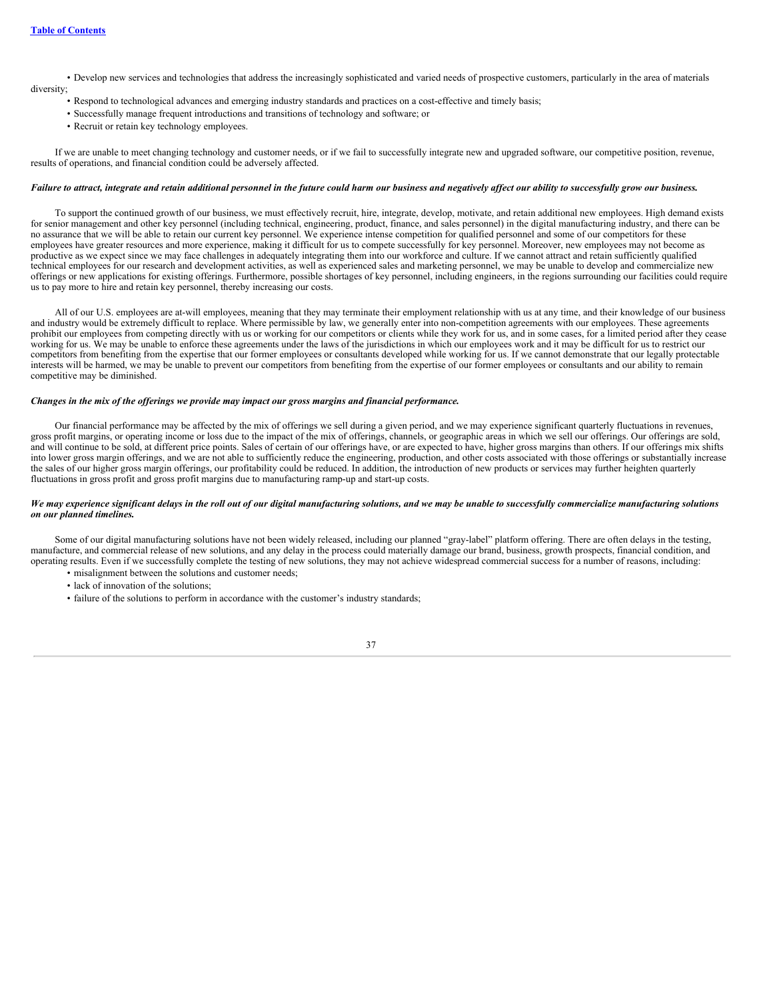• Develop new services and technologies that address the increasingly sophisticated and varied needs of prospective customers, particularly in the area of materials diversity;

- Respond to technological advances and emerging industry standards and practices on a cost-effective and timely basis;
- Successfully manage frequent introductions and transitions of technology and software; or
- Recruit or retain key technology employees.

If we are unable to meet changing technology and customer needs, or if we fail to successfully integrate new and upgraded software, our competitive position, revenue, results of operations, and financial condition could be adversely affected.

# Failure to attract, integrate and retain additional personnel in the future could harm our business and negatively affect our ability to successfully grow our business.

To support the continued growth of our business, we must effectively recruit, hire, integrate, develop, motivate, and retain additional new employees. High demand exists for senior management and other key personnel (including technical, engineering, product, finance, and sales personnel) in the digital manufacturing industry, and there can be no assurance that we will be able to retain our current key personnel. We experience intense competition for qualified personnel and some of our competitors for these employees have greater resources and more experience, making it difficult for us to compete successfully for key personnel. Moreover, new employees may not become as productive as we expect since we may face challenges in adequately integrating them into our workforce and culture. If we cannot attract and retain sufficiently qualified technical employees for our research and development activities, as well as experienced sales and marketing personnel, we may be unable to develop and commercialize new offerings or new applications for existing offerings. Furthermore, possible shortages of key personnel, including engineers, in the regions surrounding our facilities could require us to pay more to hire and retain key personnel, thereby increasing our costs.

All of our U.S. employees are at-will employees, meaning that they may terminate their employment relationship with us at any time, and their knowledge of our business and industry would be extremely difficult to replace. Where permissible by law, we generally enter into non-competition agreements with our employees. These agreements prohibit our employees from competing directly with us or working for our competitors or clients while they work for us, and in some cases, for a limited period after they cease working for us. We may be unable to enforce these agreements under the laws of the jurisdictions in which our employees work and it may be difficult for us to restrict our competitors from benefiting from the expertise that our former employees or consultants developed while working for us. If we cannot demonstrate that our legally protectable interests will be harmed, we may be unable to prevent our competitors from benefiting from the expertise of our former employees or consultants and our ability to remain competitive may be diminished.

### Changes in the mix of the offerings we provide may impact our gross margins and financial performance.

Our financial performance may be affected by the mix of offerings we sell during a given period, and we may experience significant quarterly fluctuations in revenues, gross profit margins, or operating income or loss due to the impact of the mix of offerings, channels, or geographic areas in which we sell our offerings. Our offerings are sold, and will continue to be sold, at different price points. Sales of certain of our offerings have, or are expected to have, higher gross margins than others. If our offerings mix shifts into lower gross margin offerings, and we are not able to sufficiently reduce the engineering, production, and other costs associated with those offerings or substantially increase the sales of our higher gross margin offerings, our profitability could be reduced. In addition, the introduction of new products or services may further heighten quarterly fluctuations in gross profit and gross profit margins due to manufacturing ramp-up and start-up costs.

#### We may experience significant delays in the roll out of our digital manufacturing solutions, and we may be unable to successfully commercialize manufacturing solutions *on our planned timelines.*

Some of our digital manufacturing solutions have not been widely released, including our planned "gray-label" platform offering. There are often delays in the testing, manufacture, and commercial release of new solutions, and any delay in the process could materially damage our brand, business, growth prospects, financial condition, and operating results. Even if we successfully complete the testing of new solutions, they may not achieve widespread commercial success for a number of reasons, including: • misalignment between the solutions and customer needs;

- lack of innovation of the solutions;
- failure of the solutions to perform in accordance with the customer's industry standards;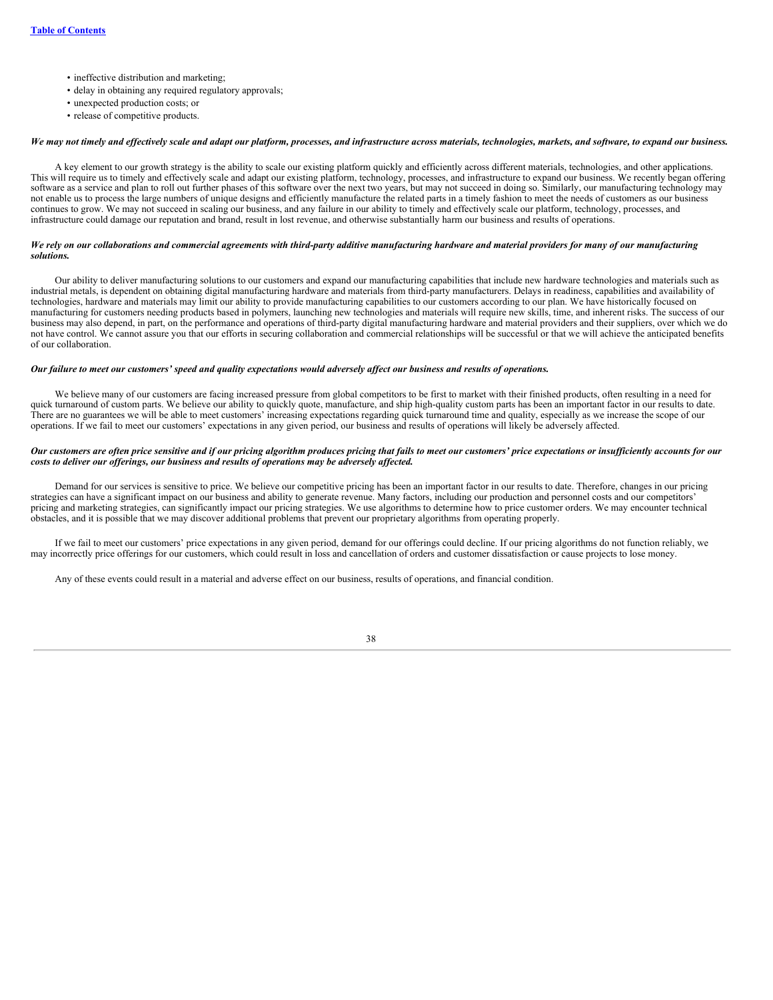- ineffective distribution and marketing;
- delay in obtaining any required regulatory approvals;
- unexpected production costs; or
- release of competitive products.

#### We may not timely and effectively scale and adapt our platform, processes, and infrastructure across materials, technologies, markets, and software, to expand our business.

A key element to our growth strategy is the ability to scale our existing platform quickly and efficiently across different materials, technologies, and other applications. This will require us to timely and effectively scale and adapt our existing platform, technology, processes, and infrastructure to expand our business. We recently began offering software as a service and plan to roll out further phases of this software over the next two years, but may not succeed in doing so. Similarly, our manufacturing technology may not enable us to process the large numbers of unique designs and efficiently manufacture the related parts in a timely fashion to meet the needs of customers as our business continues to grow. We may not succeed in scaling our business, and any failure in our ability to timely and effectively scale our platform, technology, processes, and infrastructure could damage our reputation and brand, result in lost revenue, and otherwise substantially harm our business and results of operations.

#### We rely on our collaborations and commercial agreements with third-party additive manufacturing hardware and material providers for many of our manufacturing *solutions.*

Our ability to deliver manufacturing solutions to our customers and expand our manufacturing capabilities that include new hardware technologies and materials such as industrial metals, is dependent on obtaining digital manufacturing hardware and materials from third-party manufacturers. Delays in readiness, capabilities and availability of technologies, hardware and materials may limit our ability to provide manufacturing capabilities to our customers according to our plan. We have historically focused on manufacturing for customers needing products based in polymers, launching new technologies and materials will require new skills, time, and inherent risks. The success of our business may also depend, in part, on the performance and operations of third-party digital manufacturing hardware and material providers and their suppliers, over which we do not have control. We cannot assure you that our efforts in securing collaboration and commercial relationships will be successful or that we will achieve the anticipated benefits of our collaboration.

#### Our failure to meet our customers' speed and quality expectations would adversely affect our business and results of operations.

We believe many of our customers are facing increased pressure from global competitors to be first to market with their finished products, often resulting in a need for quick turnaround of custom parts. We believe our ability to quickly quote, manufacture, and ship high-quality custom parts has been an important factor in our results to date. There are no guarantees we will be able to meet customers' increasing expectations regarding quick turnaround time and quality, especially as we increase the scope of our operations. If we fail to meet our customers' expectations in any given period, our business and results of operations will likely be adversely affected.

# Our customers are often price sensitive and if our pricing algorithm produces pricing that fails to meet our customers' price expectations or insufficiently accounts for our *costs to deliver our of erings, our business and results of operations may be adversely af ected.*

Demand for our services is sensitive to price. We believe our competitive pricing has been an important factor in our results to date. Therefore, changes in our pricing strategies can have a significant impact on our business and ability to generate revenue. Many factors, including our production and personnel costs and our competitors' pricing and marketing strategies, can significantly impact our pricing strategies. We use algorithms to determine how to price customer orders. We may encounter technical obstacles, and it is possible that we may discover additional problems that prevent our proprietary algorithms from operating properly.

If we fail to meet our customers' price expectations in any given period, demand for our offerings could decline. If our pricing algorithms do not function reliably, we may incorrectly price offerings for our customers, which could result in loss and cancellation of orders and customer dissatisfaction or cause projects to lose money.

Any of these events could result in a material and adverse effect on our business, results of operations, and financial condition.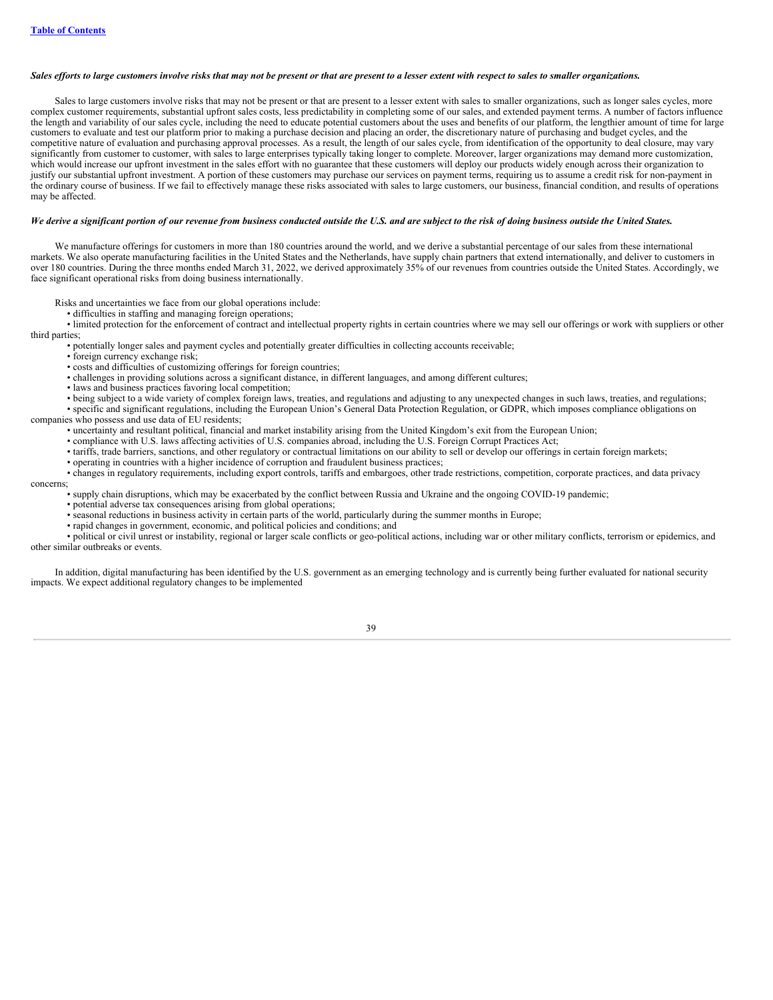#### Sales efforts to large customers involve risks that may not be present or that are present to a lesser extent with respect to sales to smaller organizations.

Sales to large customers involve risks that may not be present or that are present to a lesser extent with sales to smaller organizations, such as longer sales cycles, more complex customer requirements, substantial upfront sales costs, less predictability in completing some of our sales, and extended payment terms. A number of factors influence the length and variability of our sales cycle, including the need to educate potential customers about the uses and benefits of our platform, the lengthier amount of time for large customers to evaluate and test our platform prior to making a purchase decision and placing an order, the discretionary nature of purchasing and budget cycles, and the competitive nature of evaluation and purchasing approval processes. As a result, the length of our sales cycle, from identification of the opportunity to deal closure, may vary significantly from customer to customer, with sales to large enterprises typically taking longer to complete. Moreover, larger organizations may demand more customization, which would increase our upfront investment in the sales effort with no guarantee that these customers will deploy our products widely enough across their organization to justify our substantial upfront investment. A portion of these customers may purchase our services on payment terms, requiring us to assume a credit risk for non-payment in the ordinary course of business. If we fail to effectively manage these risks associated with sales to large customers, our business, financial condition, and results of operations may be affected.

### We derive a significant portion of our revenue from business conducted outside the U.S. and are subject to the risk of doing business outside the United States.

We manufacture offerings for customers in more than 180 countries around the world, and we derive a substantial percentage of our sales from these international markets. We also operate manufacturing facilities in the United States and the Netherlands, have supply chain partners that extend internationally, and deliver to customers in over 180 countries. During the three months ended March 31, 2022, we derived approximately 35% of our revenues from countries outside the United States. Accordingly, we face significant operational risks from doing business internationally.

Risks and uncertainties we face from our global operations include:

- difficulties in staffing and managing foreign operations;
- limited protection for the enforcement of contract and intellectual property rights in certain countries where we may sell our offerings or work with suppliers or other third parties;

• potentially longer sales and payment cycles and potentially greater difficulties in collecting accounts receivable;

- foreign currency exchange risk;
- costs and difficulties of customizing offerings for foreign countries;
- challenges in providing solutions across a significant distance, in different languages, and among different cultures;
- laws and business practices favoring local competition;
- being subject to a wide variety of complex foreign laws, treaties, and regulations and adjusting to any unexpected changes in such laws, treaties, and regulations;
- specific and significant regulations, including the European Union's General Data Protection Regulation, or GDPR, which imposes compliance obligations on

companies who possess and use data of EU residents;

- uncertainty and resultant political, financial and market instability arising from the United Kingdom's exit from the European Union;
- compliance with U.S. laws affecting activities of U.S. companies abroad, including the U.S. Foreign Corrupt Practices Act;
- tariffs, trade barriers, sanctions, and other regulatory or contractual limitations on our ability to sell or develop our offerings in certain foreign markets;
- operating in countries with a higher incidence of corruption and fraudulent business practices;
- changes in regulatory requirements, including export controls, tariffs and embargoes, other trade restrictions, competition, corporate practices, and data privacy

# concerns;

• supply chain disruptions, which may be exacerbated by the conflict between Russia and Ukraine and the ongoing COVID-19 pandemic;

- potential adverse tax consequences arising from global operations;
- seasonal reductions in business activity in certain parts of the world, particularly during the summer months in Europe;
- rapid changes in government, economic, and political policies and conditions; and
- political or civil unrest or instability, regional or larger scale conflicts or geo-political actions, including war or other military conflicts, terrorism or epidemics, and other similar outbreaks or events.

In addition, digital manufacturing has been identified by the U.S. government as an emerging technology and is currently being further evaluated for national security impacts. We expect additional regulatory changes to be implemented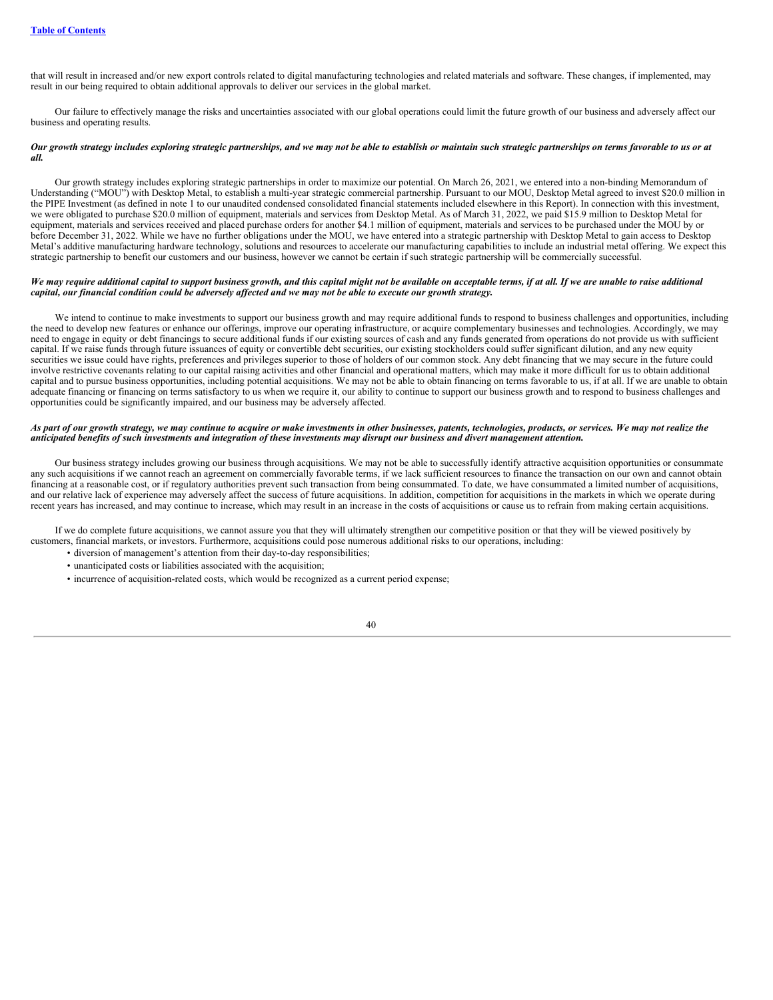that will result in increased and/or new export controls related to digital manufacturing technologies and related materials and software. These changes, if implemented, may result in our being required to obtain additional approvals to deliver our services in the global market.

Our failure to effectively manage the risks and uncertainties associated with our global operations could limit the future growth of our business and adversely affect our business and operating results.

#### Our growth strategy includes exploring strategic partnerships, and we may not be able to establish or maintain such strategic partnerships on terms favorable to us or at *all.*

Our growth strategy includes exploring strategic partnerships in order to maximize our potential. On March 26, 2021, we entered into a non-binding Memorandum of Understanding ("MOU") with Desktop Metal, to establish a multi-year strategic commercial partnership. Pursuant to our MOU, Desktop Metal agreed to invest \$20.0 million in the PIPE Investment (as defined in note 1 to our unaudited condensed consolidated financial statements included elsewhere in this Report). In connection with this investment, we were obligated to purchase \$20.0 million of equipment, materials and services from Desktop Metal. As of March 31, 2022, we paid \$15.9 million to Desktop Metal for equipment, materials and services received and placed purchase orders for another \$4.1 million of equipment, materials and services to be purchased under the MOU by or before December 31, 2022. While we have no further obligations under the MOU, we have entered into a strategic partnership with Desktop Metal to gain access to Desktop Metal's additive manufacturing hardware technology, solutions and resources to accelerate our manufacturing capabilities to include an industrial metal offering. We expect this strategic partnership to benefit our customers and our business, however we cannot be certain if such strategic partnership will be commercially successful.

#### We may require additional capital to support business growth, and this capital might not be available on acceptable terms, if at all. If we are unable to raise additional capital, our financial condition could be adversely affected and we may not be able to execute our growth strategy.

We intend to continue to make investments to support our business growth and may require additional funds to respond to business challenges and opportunities, including the need to develop new features or enhance our offerings, improve our operating infrastructure, or acquire complementary businesses and technologies. Accordingly, we may need to engage in equity or debt financings to secure additional funds if our existing sources of cash and any funds generated from operations do not provide us with sufficient capital. If we raise funds through future issuances of equity or convertible debt securities, our existing stockholders could suffer significant dilution, and any new equity securities we issue could have rights, preferences and privileges superior to those of holders of our common stock. Any debt financing that we may secure in the future could involve restrictive covenants relating to our capital raising activities and other financial and operational matters, which may make it more difficult for us to obtain additional capital and to pursue business opportunities, including potential acquisitions. We may not be able to obtain financing on terms favorable to us, if at all. If we are unable to obtain adequate financing or financing on terms satisfactory to us when we require it, our ability to continue to support our business growth and to respond to business challenges and opportunities could be significantly impaired, and our business may be adversely affected.

#### As part of our growth strategy, we may continue to acquire or make investments in other businesses, patents, technologies, products, or services. We may not realize the anticipated benefits of such investments and integration of these investments may disrupt our business and divert management attention.

Our business strategy includes growing our business through acquisitions. We may not be able to successfully identify attractive acquisition opportunities or consummate any such acquisitions if we cannot reach an agreement on commercially favorable terms, if we lack sufficient resources to finance the transaction on our own and cannot obtain financing at a reasonable cost, or if regulatory authorities prevent such transaction from being consummated. To date, we have consummated a limited number of acquisitions, and our relative lack of experience may adversely affect the success of future acquisitions. In addition, competition for acquisitions in the markets in which we operate during recent years has increased, and may continue to increase, which may result in an increase in the costs of acquisitions or cause us to refrain from making certain acquisitions.

If we do complete future acquisitions, we cannot assure you that they will ultimately strengthen our competitive position or that they will be viewed positively by customers, financial markets, or investors. Furthermore, acquisitions could pose numerous additional risks to our operations, including:

- diversion of management's attention from their day-to-day responsibilities;
- unanticipated costs or liabilities associated with the acquisition;
- incurrence of acquisition-related costs, which would be recognized as a current period expense;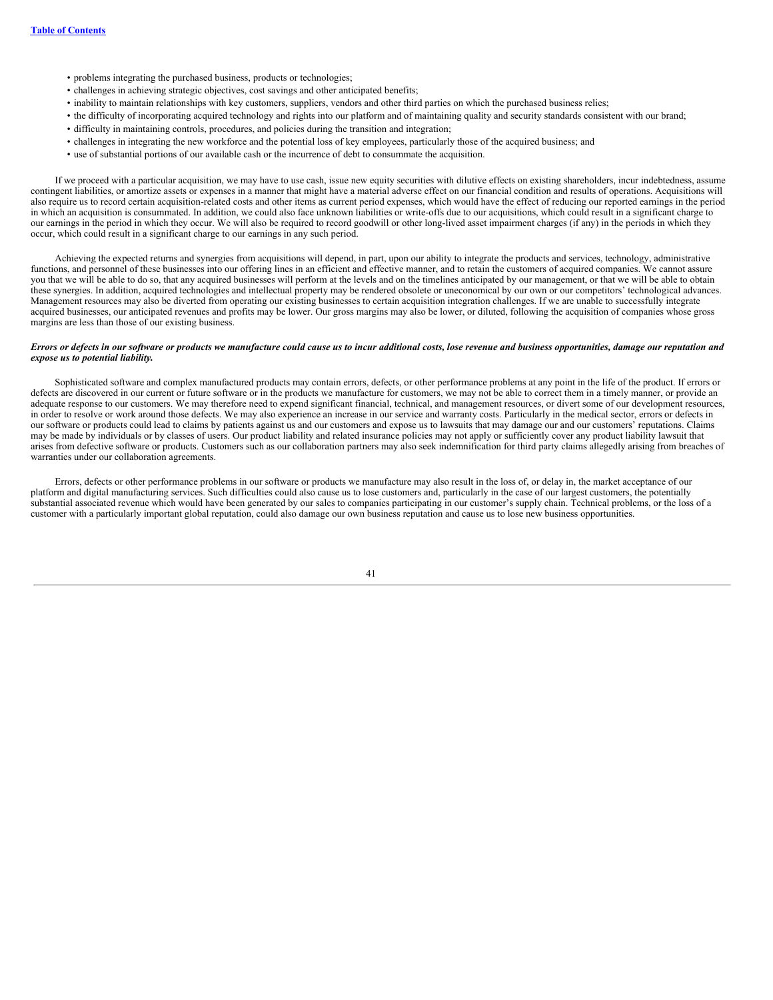- problems integrating the purchased business, products or technologies;
- challenges in achieving strategic objectives, cost savings and other anticipated benefits;
- inability to maintain relationships with key customers, suppliers, vendors and other third parties on which the purchased business relies;
- the difficulty of incorporating acquired technology and rights into our platform and of maintaining quality and security standards consistent with our brand;
- difficulty in maintaining controls, procedures, and policies during the transition and integration;
- challenges in integrating the new workforce and the potential loss of key employees, particularly those of the acquired business; and
- use of substantial portions of our available cash or the incurrence of debt to consummate the acquisition.

If we proceed with a particular acquisition, we may have to use cash, issue new equity securities with dilutive effects on existing shareholders, incur indebtedness, assume contingent liabilities, or amortize assets or expenses in a manner that might have a material adverse effect on our financial condition and results of operations. Acquisitions will also require us to record certain acquisition-related costs and other items as current period expenses, which would have the effect of reducing our reported earnings in the period in which an acquisition is consummated. In addition, we could also face unknown liabilities or write-offs due to our acquisitions, which could result in a significant charge to our earnings in the period in which they occur. We will also be required to record goodwill or other long-lived asset impairment charges (if any) in the periods in which they occur, which could result in a significant charge to our earnings in any such period.

Achieving the expected returns and synergies from acquisitions will depend, in part, upon our ability to integrate the products and services, technology, administrative functions, and personnel of these businesses into our offering lines in an efficient and effective manner, and to retain the customers of acquired companies. We cannot assure you that we will be able to do so, that any acquired businesses will perform at the levels and on the timelines anticipated by our management, or that we will be able to obtain these synergies. In addition, acquired technologies and intellectual property may be rendered obsolete or uneconomical by our own or our competitors' technological advances. Management resources may also be diverted from operating our existing businesses to certain acquisition integration challenges. If we are unable to successfully integrate acquired businesses, our anticipated revenues and profits may be lower. Our gross margins may also be lower, or diluted, following the acquisition of companies whose gross margins are less than those of our existing business.

#### Errors or defects in our software or products we manufacture could cause us to incur additional costs, lose revenue and business opportunities, damage our reputation and *expose us to potential liability.*

Sophisticated software and complex manufactured products may contain errors, defects, or other performance problems at any point in the life of the product. If errors or defects are discovered in our current or future software or in the products we manufacture for customers, we may not be able to correct them in a timely manner, or provide an adequate response to our customers. We may therefore need to expend significant financial, technical, and management resources, or divert some of our development resources, in order to resolve or work around those defects. We may also experience an increase in our service and warranty costs. Particularly in the medical sector, errors or defects in our software or products could lead to claims by patients against us and our customers and expose us to lawsuits that may damage our and our customers' reputations. Claims may be made by individuals or by classes of users. Our product liability and related insurance policies may not apply or sufficiently cover any product liability lawsuit that arises from defective software or products. Customers such as our collaboration partners may also seek indemnification for third party claims allegedly arising from breaches of warranties under our collaboration agreements.

Errors, defects or other performance problems in our software or products we manufacture may also result in the loss of, or delay in, the market acceptance of our platform and digital manufacturing services. Such difficulties could also cause us to lose customers and, particularly in the case of our largest customers, the potentially substantial associated revenue which would have been generated by our sales to companies participating in our customer's supply chain. Technical problems, or the loss of a customer with a particularly important global reputation, could also damage our own business reputation and cause us to lose new business opportunities.

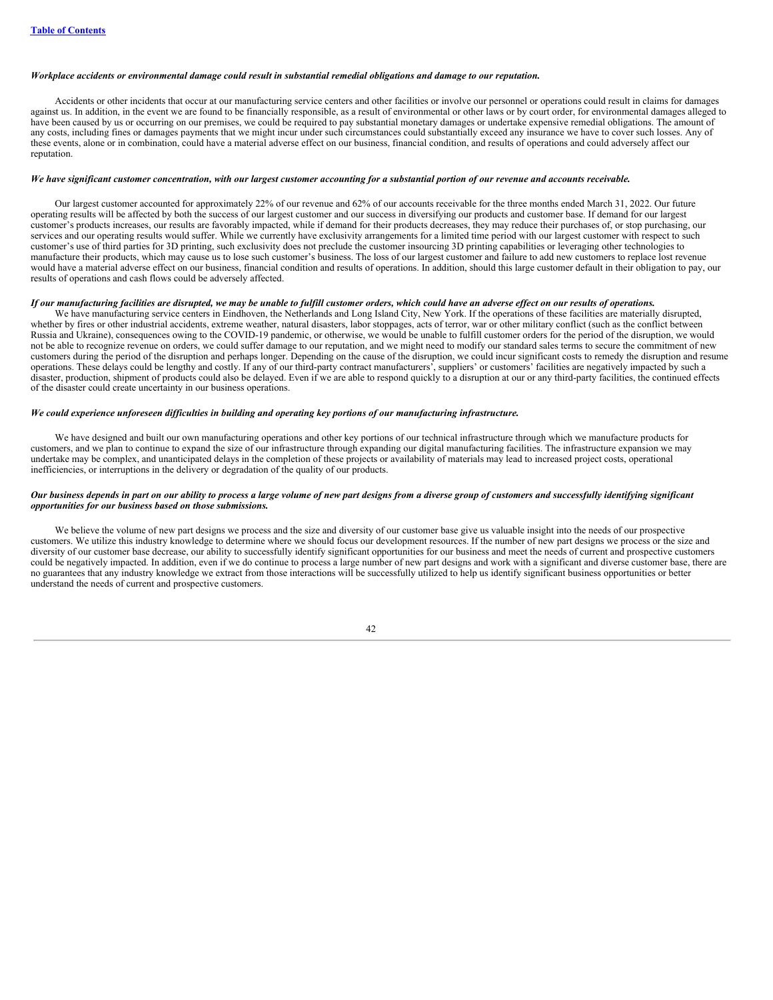# Workplace accidents or environmental damage could result in substantial remedial obligations and damage to our reputation.

Accidents or other incidents that occur at our manufacturing service centers and other facilities or involve our personnel or operations could result in claims for damages against us. In addition, in the event we are found to be financially responsible, as a result of environmental or other laws or by court order, for environmental damages alleged to have been caused by us or occurring on our premises, we could be required to pay substantial monetary damages or undertake expensive remedial obligations. The amount of any costs, including fines or damages payments that we might incur under such circumstances could substantially exceed any insurance we have to cover such losses. Any of these events, alone or in combination, could have a material adverse effect on our business, financial condition, and results of operations and could adversely affect our reputation.

### We have significant customer concentration, with our largest customer accounting for a substantial portion of our revenue and accounts receivable.

Our largest customer accounted for approximately 22% of our revenue and 62% of our accounts receivable for the three months ended March 31, 2022. Our future operating results will be affected by both the success of our largest customer and our success in diversifying our products and customer base. If demand for our largest customer's products increases, our results are favorably impacted, while if demand for their products decreases, they may reduce their purchases of, or stop purchasing, our services and our operating results would suffer. While we currently have exclusivity arrangements for a limited time period with our largest customer with respect to such customer's use of third parties for 3D printing, such exclusivity does not preclude the customer insourcing 3D printing capabilities or leveraging other technologies to manufacture their products, which may cause us to lose such customer's business. The loss of our largest customer and failure to add new customers to replace lost revenue would have a material adverse effect on our business, financial condition and results of operations. In addition, should this large customer default in their obligation to pay, our results of operations and cash flows could be adversely affected.

### If our manufacturing facilities are disrupted, we may be unable to fulfill customer orders, which could have an adverse effect on our results of operations.

We have manufacturing service centers in Eindhoven, the Netherlands and Long Island City, New York. If the operations of these facilities are materially disrupted, whether by fires or other industrial accidents, extreme weather, natural disasters, labor stoppages, acts of terror, war or other military conflict (such as the conflict between Russia and Ukraine), consequences owing to the COVID-19 pandemic, or otherwise, we would be unable to fulfill customer orders for the period of the disruption, we would not be able to recognize revenue on orders, we could suffer damage to our reputation, and we might need to modify our standard sales terms to secure the commitment of new customers during the period of the disruption and perhaps longer. Depending on the cause of the disruption, we could incur significant costs to remedy the disruption and resume operations. These delays could be lengthy and costly. If any of our third-party contract manufacturers', suppliers' or customers' facilities are negatively impacted by such a disaster, production, shipment of products could also be delayed. Even if we are able to respond quickly to a disruption at our or any third-party facilities, the continued effects of the disaster could create uncertainty in our business operations.

#### We could experience unforeseen difficulties in building and operating key portions of our manufacturing infrastructure.

We have designed and built our own manufacturing operations and other key portions of our technical infrastructure through which we manufacture products for customers, and we plan to continue to expand the size of our infrastructure through expanding our digital manufacturing facilities. The infrastructure expansion we may undertake may be complex, and unanticipated delays in the completion of these projects or availability of materials may lead to increased project costs, operational inefficiencies, or interruptions in the delivery or degradation of the quality of our products.

#### Our business depends in part on our ability to process a large volume of new part designs from a diverse group of customers and successfully identifying significant *opportunities for our business based on those submissions.*

We believe the volume of new part designs we process and the size and diversity of our customer base give us valuable insight into the needs of our prospective customers. We utilize this industry knowledge to determine where we should focus our development resources. If the number of new part designs we process or the size and diversity of our customer base decrease, our ability to successfully identify significant opportunities for our business and meet the needs of current and prospective customers could be negatively impacted. In addition, even if we do continue to process a large number of new part designs and work with a significant and diverse customer base, there are no guarantees that any industry knowledge we extract from those interactions will be successfully utilized to help us identify significant business opportunities or better understand the needs of current and prospective customers.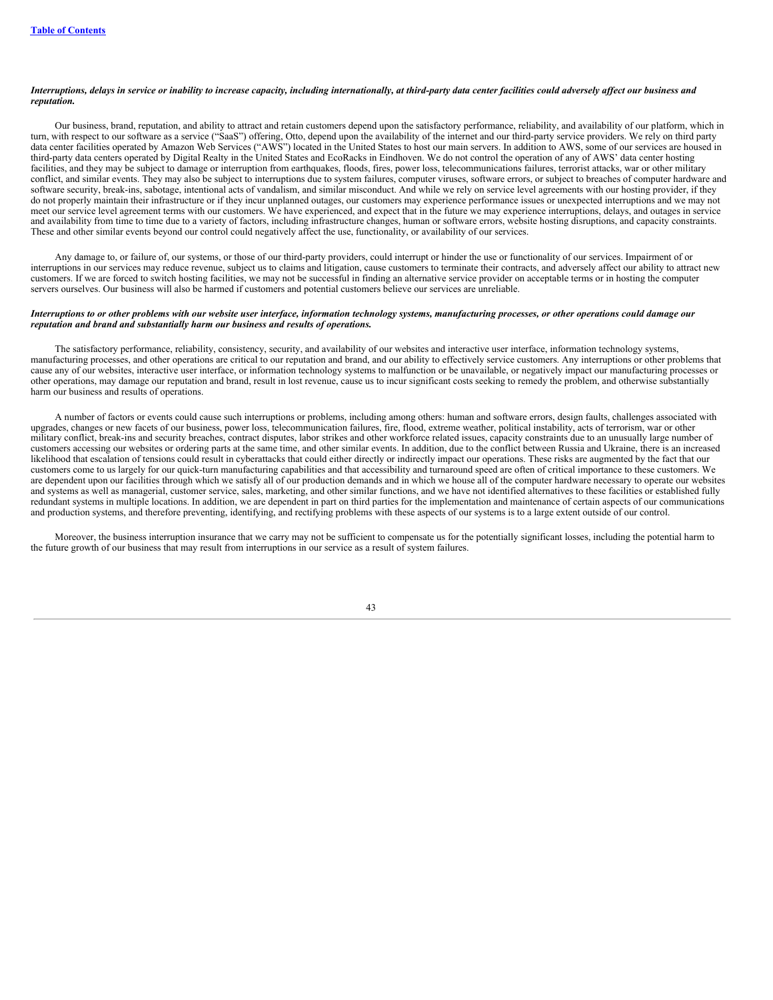#### Interruptions, delays in service or inability to increase capacity, including internationally, at third-party data center facilities could adversely affect our business and *reputation.*

Our business, brand, reputation, and ability to attract and retain customers depend upon the satisfactory performance, reliability, and availability of our platform, which in turn, with respect to our software as a service ("SaaS") offering, Otto, depend upon the availability of the internet and our third-party service providers. We rely on third party data center facilities operated by Amazon Web Services ("AWS") located in the United States to host our main servers. In addition to AWS, some of our services are housed in third-party data centers operated by Digital Realty in the United States and EcoRacks in Eindhoven. We do not control the operation of any of AWS' data center hosting facilities, and they may be subject to damage or interruption from earthquakes, floods, fires, power loss, telecommunications failures, terrorist attacks, war or other military conflict, and similar events. They may also be subject to interruptions due to system failures, computer viruses, software errors, or subject to breaches of computer hardware and software security, break-ins, sabotage, intentional acts of vandalism, and similar misconduct. And while we rely on service level agreements with our hosting provider, if they do not properly maintain their infrastructure or if they incur unplanned outages, our customers may experience performance issues or unexpected interruptions and we may not meet our service level agreement terms with our customers. We have experienced, and expect that in the future we may experience interruptions, delays, and outages in service and availability from time to time due to a variety of factors, including infrastructure changes, human or software errors, website hosting disruptions, and capacity constraints. These and other similar events beyond our control could negatively affect the use, functionality, or availability of our services.

Any damage to, or failure of, our systems, or those of our third-party providers, could interrupt or hinder the use or functionality of our services. Impairment of or interruptions in our services may reduce revenue, subject us to claims and litigation, cause customers to terminate their contracts, and adversely affect our ability to attract new customers. If we are forced to switch hosting facilities, we may not be successful in finding an alternative service provider on acceptable terms or in hosting the computer servers ourselves. Our business will also be harmed if customers and potential customers believe our services are unreliable.

# Interruptions to or other problems with our website user interface, information technology systems, manufacturing processes, or other operations could damage our *reputation and brand and substantially harm our business and results of operations.*

The satisfactory performance, reliability, consistency, security, and availability of our websites and interactive user interface, information technology systems, manufacturing processes, and other operations are critical to our reputation and brand, and our ability to effectively service customers. Any interruptions or other problems that cause any of our websites, interactive user interface, or information technology systems to malfunction or be unavailable, or negatively impact our manufacturing processes or other operations, may damage our reputation and brand, result in lost revenue, cause us to incur significant costs seeking to remedy the problem, and otherwise substantially harm our business and results of operations.

A number of factors or events could cause such interruptions or problems, including among others: human and software errors, design faults, challenges associated with upgrades, changes or new facets of our business, power loss, telecommunication failures, fire, flood, extreme weather, political instability, acts of terrorism, war or other military conflict, break-ins and security breaches, contract disputes, labor strikes and other workforce related issues, capacity constraints due to an unusually large number of customers accessing our websites or ordering parts at the same time, and other similar events. In addition, due to the conflict between Russia and Ukraine, there is an increased likelihood that escalation of tensions could result in cyberattacks that could either directly or indirectly impact our operations. These risks are augmented by the fact that our customers come to us largely for our quick-turn manufacturing capabilities and that accessibility and turnaround speed are often of critical importance to these customers. We are dependent upon our facilities through which we satisfy all of our production demands and in which we house all of the computer hardware necessary to operate our websites and systems as well as managerial, customer service, sales, marketing, and other similar functions, and we have not identified alternatives to these facilities or established fully redundant systems in multiple locations. In addition, we are dependent in part on third parties for the implementation and maintenance of certain aspects of our communications and production systems, and therefore preventing, identifying, and rectifying problems with these aspects of our systems is to a large extent outside of our control.

Moreover, the business interruption insurance that we carry may not be sufficient to compensate us for the potentially significant losses, including the potential harm to the future growth of our business that may result from interruptions in our service as a result of system failures.

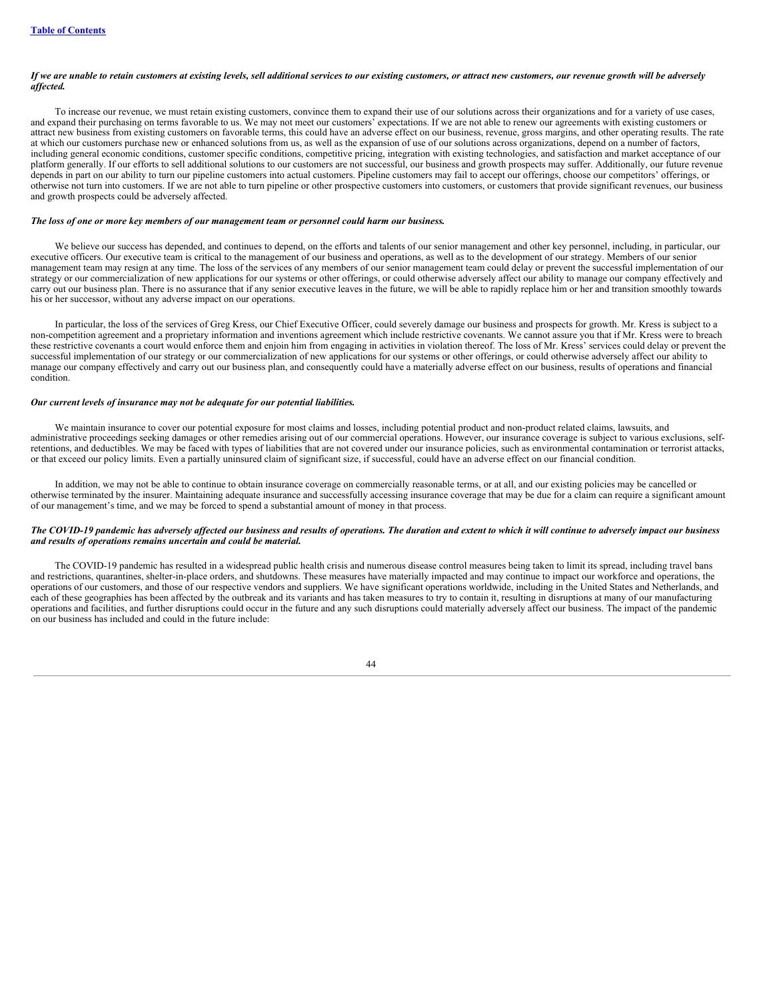### If we are unable to retain customers at existing levels, sell additional services to our existing customers, or attract new customers, our revenue growth will be adversely *af ected.*

To increase our revenue, we must retain existing customers, convince them to expand their use of our solutions across their organizations and for a variety of use cases, and expand their purchasing on terms favorable to us. We may not meet our customers' expectations. If we are not able to renew our agreements with existing customers or attract new business from existing customers on favorable terms, this could have an adverse effect on our business, revenue, gross margins, and other operating results. The rate at which our customers purchase new or enhanced solutions from us, as well as the expansion of use of our solutions across organizations, depend on a number of factors, including general economic conditions, customer specific conditions, competitive pricing, integration with existing technologies, and satisfaction and market acceptance of our platform generally. If our efforts to sell additional solutions to our customers are not successful, our business and growth prospects may suffer. Additionally, our future revenue depends in part on our ability to turn our pipeline customers into actual customers. Pipeline customers may fail to accept our offerings, choose our competitors' offerings, or otherwise not turn into customers. If we are not able to turn pipeline or other prospective customers into customers, or customers that provide significant revenues, our business and growth prospects could be adversely affected.

### *The loss of one or more key members of our management team or personnel could harm our business.*

We believe our success has depended, and continues to depend, on the efforts and talents of our senior management and other key personnel, including, in particular, our executive officers. Our executive team is critical to the management of our business and operations, as well as to the development of our strategy. Members of our senior management team may resign at any time. The loss of the services of any members of our senior management team could delay or prevent the successful implementation of our strategy or our commercialization of new applications for our systems or other offerings, or could otherwise adversely affect our ability to manage our company effectively and carry out our business plan. There is no assurance that if any senior executive leaves in the future, we will be able to rapidly replace him or her and transition smoothly towards his or her successor, without any adverse impact on our operations.

In particular, the loss of the services of Greg Kress, our Chief Executive Officer, could severely damage our business and prospects for growth. Mr. Kress is subject to a non-competition agreement and a proprietary information and inventions agreement which include restrictive covenants. We cannot assure you that if Mr. Kress were to breach these restrictive covenants a court would enforce them and enjoin him from engaging in activities in violation thereof. The loss of Mr. Kress' services could delay or prevent the successful implementation of our strategy or our commercialization of new applications for our systems or other offerings, or could otherwise adversely affect our ability to manage our company effectively and carry out our business plan, and consequently could have a materially adverse effect on our business, results of operations and financial condition.

#### *Our current levels of insurance may not be adequate for our potential liabilities.*

We maintain insurance to cover our potential exposure for most claims and losses, including potential product and non-product related claims, lawsuits, and administrative proceedings seeking damages or other remedies arising out of our commercial operations. However, our insurance coverage is subject to various exclusions, selfretentions, and deductibles. We may be faced with types of liabilities that are not covered under our insurance policies, such as environmental contamination or terrorist attacks, or that exceed our policy limits. Even a partially uninsured claim of significant size, if successful, could have an adverse effect on our financial condition.

In addition, we may not be able to continue to obtain insurance coverage on commercially reasonable terms, or at all, and our existing policies may be cancelled or otherwise terminated by the insurer. Maintaining adequate insurance and successfully accessing insurance coverage that may be due for a claim can require a significant amount of our management's time, and we may be forced to spend a substantial amount of money in that process.

#### The COVID-19 pandemic has adversely affected our business and results of operations. The duration and extent to which it will continue to adversely impact our business *and results of operations remains uncertain and could be material.*

The COVID-19 pandemic has resulted in a widespread public health crisis and numerous disease control measures being taken to limit its spread, including travel bans and restrictions, quarantines, shelter-in-place orders, and shutdowns. These measures have materially impacted and may continue to impact our workforce and operations, the operations of our customers, and those of our respective vendors and suppliers. We have significant operations worldwide, including in the United States and Netherlands, and each of these geographies has been affected by the outbreak and its variants and has taken measures to try to contain it, resulting in disruptions at many of our manufacturing operations and facilities, and further disruptions could occur in the future and any such disruptions could materially adversely affect our business. The impact of the pandemic on our business has included and could in the future include:

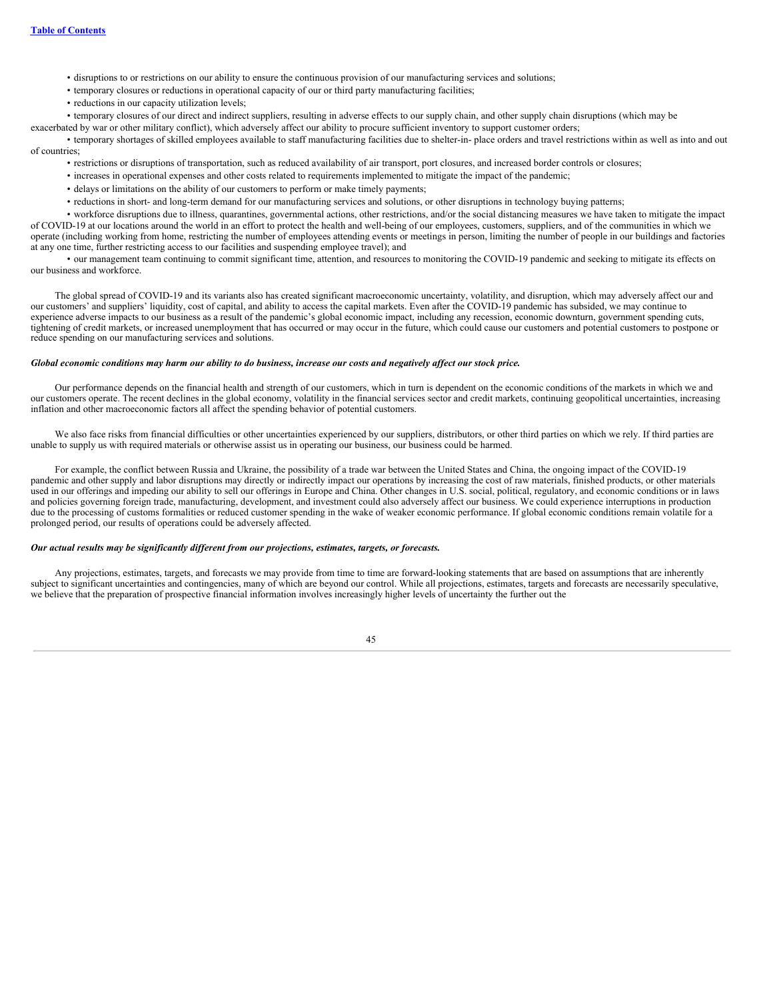- disruptions to or restrictions on our ability to ensure the continuous provision of our manufacturing services and solutions;
- temporary closures or reductions in operational capacity of our or third party manufacturing facilities;
- reductions in our capacity utilization levels;
- temporary closures of our direct and indirect suppliers, resulting in adverse effects to our supply chain, and other supply chain disruptions (which may be

exacerbated by war or other military conflict), which adversely affect our ability to procure sufficient inventory to support customer orders;

• temporary shortages of skilled employees available to staff manufacturing facilities due to shelter-in- place orders and travel restrictions within as well as into and out of countries;

- restrictions or disruptions of transportation, such as reduced availability of air transport, port closures, and increased border controls or closures;
- increases in operational expenses and other costs related to requirements implemented to mitigate the impact of the pandemic;
- delays or limitations on the ability of our customers to perform or make timely payments;
- reductions in short- and long-term demand for our manufacturing services and solutions, or other disruptions in technology buying patterns;

• workforce disruptions due to illness, quarantines, governmental actions, other restrictions, and/or the social distancing measures we have taken to mitigate the impact of COVID-19 at our locations around the world in an effort to protect the health and well-being of our employees, customers, suppliers, and of the communities in which we operate (including working from home, restricting the number of employees attending events or meetings in person, limiting the number of people in our buildings and factories at any one time, further restricting access to our facilities and suspending employee travel); and

• our management team continuing to commit significant time, attention, and resources to monitoring the COVID-19 pandemic and seeking to mitigate its effects on our business and workforce.

The global spread of COVID-19 and its variants also has created significant macroeconomic uncertainty, volatility, and disruption, which may adversely affect our and our customers' and suppliers' liquidity, cost of capital, and ability to access the capital markets. Even after the COVID-19 pandemic has subsided, we may continue to experience adverse impacts to our business as a result of the pandemic's global economic impact, including any recession, economic downturn, government spending cuts, tightening of credit markets, or increased unemployment that has occurred or may occur in the future, which could cause our customers and potential customers to postpone or reduce spending on our manufacturing services and solutions.

#### Global economic conditions may harm our ability to do business, increase our costs and negatively affect our stock price.

Our performance depends on the financial health and strength of our customers, which in turn is dependent on the economic conditions of the markets in which we and our customers operate. The recent declines in the global economy, volatility in the financial services sector and credit markets, continuing geopolitical uncertainties, increasing inflation and other macroeconomic factors all affect the spending behavior of potential customers.

We also face risks from financial difficulties or other uncertainties experienced by our suppliers, distributors, or other third parties on which we rely. If third parties are unable to supply us with required materials or otherwise assist us in operating our business, our business could be harmed.

For example, the conflict between Russia and Ukraine, the possibility of a trade war between the United States and China, the ongoing impact of the COVID-19 pandemic and other supply and labor disruptions may directly or indirectly impact our operations by increasing the cost of raw materials, finished products, or other materials used in our offerings and impeding our ability to sell our offerings in Europe and China. Other changes in U.S. social, political, regulatory, and economic conditions or in laws and policies governing foreign trade, manufacturing, development, and investment could also adversely affect our business. We could experience interruptions in production due to the processing of customs formalities or reduced customer spending in the wake of weaker economic performance. If global economic conditions remain volatile for a prolonged period, our results of operations could be adversely affected.

#### *Our actual results may be significantly dif erent from our projections, estimates, targets, or forecasts.*

Any projections, estimates, targets, and forecasts we may provide from time to time are forward-looking statements that are based on assumptions that are inherently subject to significant uncertainties and contingencies, many of which are beyond our control. While all projections, estimates, targets and forecasts are necessarily speculative, we believe that the preparation of prospective financial information involves increasingly higher levels of uncertainty the further out the

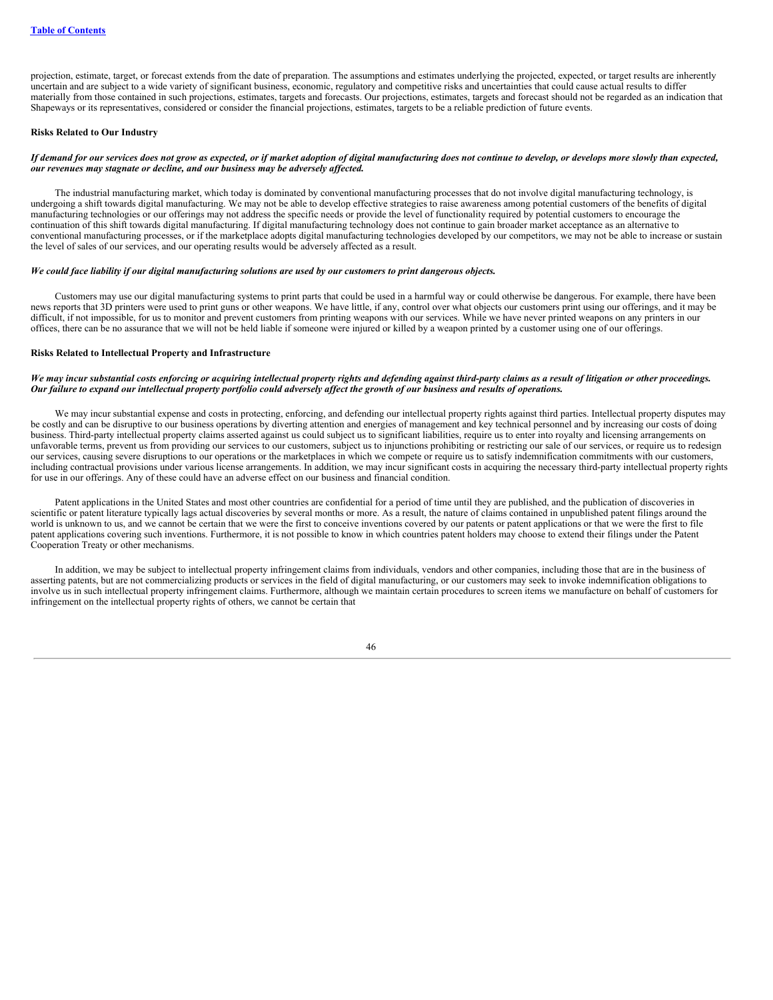projection, estimate, target, or forecast extends from the date of preparation. The assumptions and estimates underlying the projected, expected, or target results are inherently uncertain and are subject to a wide variety of significant business, economic, regulatory and competitive risks and uncertainties that could cause actual results to differ materially from those contained in such projections, estimates, targets and forecasts. Our projections, estimates, targets and forecast should not be regarded as an indication that Shapeways or its representatives, considered or consider the financial projections, estimates, targets to be a reliable prediction of future events.

#### **Risks Related to Our Industry**

#### If demand for our services does not grow as expected, or if market adoption of digital manufacturing does not continue to develop, or develops more slowly than expected, *our revenues may stagnate or decline, and our business may be adversely af ected.*

The industrial manufacturing market, which today is dominated by conventional manufacturing processes that do not involve digital manufacturing technology, is undergoing a shift towards digital manufacturing. We may not be able to develop effective strategies to raise awareness among potential customers of the benefits of digital manufacturing technologies or our offerings may not address the specific needs or provide the level of functionality required by potential customers to encourage the continuation of this shift towards digital manufacturing. If digital manufacturing technology does not continue to gain broader market acceptance as an alternative to conventional manufacturing processes, or if the marketplace adopts digital manufacturing technologies developed by our competitors, we may not be able to increase or sustain the level of sales of our services, and our operating results would be adversely affected as a result.

#### We could face liability if our digital manufacturing solutions are used by our customers to print dangerous objects.

Customers may use our digital manufacturing systems to print parts that could be used in a harmful way or could otherwise be dangerous. For example, there have been news reports that 3D printers were used to print guns or other weapons. We have little, if any, control over what objects our customers print using our offerings, and it may be difficult, if not impossible, for us to monitor and prevent customers from printing weapons with our services. While we have never printed weapons on any printers in our offices, there can be no assurance that we will not be held liable if someone were injured or killed by a weapon printed by a customer using one of our offerings.

### **Risks Related to Intellectual Property and Infrastructure**

#### We may incur substantial costs enforcing or acquiring intellectual property rights and defending against third-party claims as a result of litigation or other proceedings. Our failure to expand our intellectual property portfolio could adversely affect the growth of our business and results of operations.

We may incur substantial expense and costs in protecting, enforcing, and defending our intellectual property rights against third parties. Intellectual property disputes may be costly and can be disruptive to our business operations by diverting attention and energies of management and key technical personnel and by increasing our costs of doing business. Third-party intellectual property claims asserted against us could subject us to significant liabilities, require us to enter into royalty and licensing arrangements on unfavorable terms, prevent us from providing our services to our customers, subject us to injunctions prohibiting or restricting our sale of our services, or require us to redesign our services, causing severe disruptions to our operations or the marketplaces in which we compete or require us to satisfy indemnification commitments with our customers, including contractual provisions under various license arrangements. In addition, we may incur significant costs in acquiring the necessary third-party intellectual property rights for use in our offerings. Any of these could have an adverse effect on our business and financial condition.

Patent applications in the United States and most other countries are confidential for a period of time until they are published, and the publication of discoveries in scientific or patent literature typically lags actual discoveries by several months or more. As a result, the nature of claims contained in unpublished patent filings around the world is unknown to us, and we cannot be certain that we were the first to conceive inventions covered by our patents or patent applications or that we were the first to file patent applications covering such inventions. Furthermore, it is not possible to know in which countries patent holders may choose to extend their filings under the Patent Cooperation Treaty or other mechanisms.

In addition, we may be subject to intellectual property infringement claims from individuals, vendors and other companies, including those that are in the business of asserting patents, but are not commercializing products or services in the field of digital manufacturing, or our customers may seek to invoke indemnification obligations to involve us in such intellectual property infringement claims. Furthermore, although we maintain certain procedures to screen items we manufacture on behalf of customers for infringement on the intellectual property rights of others, we cannot be certain that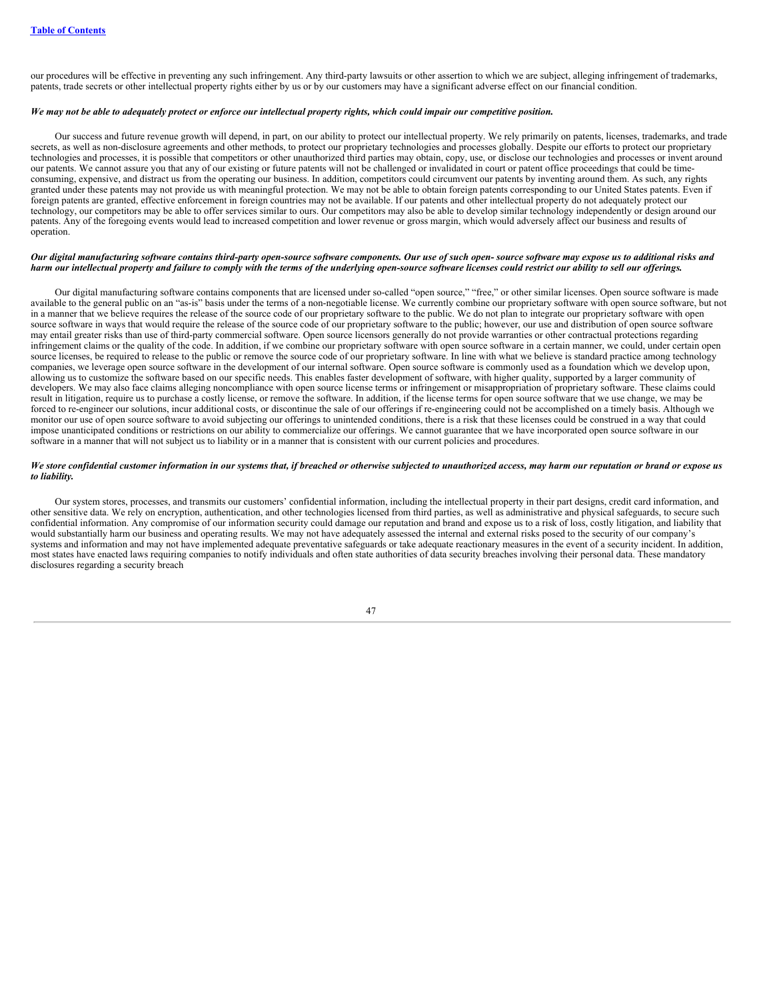our procedures will be effective in preventing any such infringement. Any third-party lawsuits or other assertion to which we are subject, alleging infringement of trademarks, patents, trade secrets or other intellectual property rights either by us or by our customers may have a significant adverse effect on our financial condition.

# We may not be able to adequately protect or enforce our intellectual property rights, which could impair our competitive position.

Our success and future revenue growth will depend, in part, on our ability to protect our intellectual property. We rely primarily on patents, licenses, trademarks, and trade secrets, as well as non-disclosure agreements and other methods, to protect our proprietary technologies and processes globally. Despite our efforts to protect our proprietary technologies and processes, it is possible that competitors or other unauthorized third parties may obtain, copy, use, or disclose our technologies and processes or invent around technologies and processes or invent around our patents. We cannot assure you that any of our existing or future patents will not be challenged or invalidated in court or patent office proceedings that could be timeconsuming, expensive, and distract us from the operating our business. In addition, competitors could circumvent our patents by inventing around them. As such, any rights granted under these patents may not provide us with meaningful protection. We may not be able to obtain foreign patents corresponding to our United States patents. Even if foreign patents are granted, effective enforcement in foreign countries may not be available. If our patents and other intellectual property do not adequately protect our technology, our competitors may be able to offer services similar to ours. Our competitors may also be able to develop similar technology independently or design around our patents. Any of the foregoing events would lead to increased competition and lower revenue or gross margin, which would adversely affect our business and results of operation.

#### Our digital manufacturing software contains third-party open-source software components. Our use of such open- source software may expose us to additional risks and harm our intellectual property and failure to comply with the terms of the underlying open-source software licenses could restrict our ability to sell our offerings.

Our digital manufacturing software contains components that are licensed under so-called "open source," "free," or other similar licenses. Open source software is made available to the general public on an "as-is" basis under the terms of a non-negotiable license. We currently combine our proprietary software with open source software, but not in a manner that we believe requires the release of the source code of our proprietary software to the public. We do not plan to integrate our proprietary software with open source software in ways that would require the release of the source code of our proprietary software to the public; however, our use and distribution of open source software may entail greater risks than use of third-party commercial software. Open source licensors generally do not provide warranties or other contractual protections regarding infringement claims or the quality of the code. In addition, if we combine our proprietary software with open source software in a certain manner, we could, under certain open source licenses, be required to release to the public or remove the source code of our proprietary software. In line with what we believe is standard practice among technology companies, we leverage open source software in the development of our internal software. Open source software is commonly used as a foundation which we develop upon, allowing us to customize the software based on our specific needs. This enables faster development of software, with higher quality, supported by a larger community of developers. We may also face claims alleging noncompliance with open source license terms or infringement or misappropriation of proprietary software. These claims could result in litigation, require us to purchase a costly license, or remove the software. In addition, if the license terms for open source software that we use change, we may be forced to re-engineer our solutions, incur additional costs, or discontinue the sale of our offerings if re-engineering could not be accomplished on a timely basis. Although we monitor our use of open source software to avoid subjecting our offerings to unintended conditions, there is a risk that these licenses could be construed in a way that could impose unanticipated conditions or restrictions on our ability to commercialize our offerings. We cannot guarantee that we have incorporated open source software in our software in a manner that will not subject us to liability or in a manner that is consistent with our current policies and procedures.

# We store confidential customer information in our systems that, if breached or otherwise subjected to unauthorized access, may harm our reputation or brand or expose us *to liability.*

Our system stores, processes, and transmits our customers' confidential information, including the intellectual property in their part designs, credit card information, and other sensitive data. We rely on encryption, authentication, and other technologies licensed from third parties, as well as administrative and physical safeguards, to secure such confidential information. Any compromise of our information security could damage our reputation and brand and expose us to a risk of loss, costly litigation, and liability that would substantially harm our business and operating results. We may not have adequately assessed the internal and external risks posed to the security of our company's systems and information and may not have implemented adequate preventative safeguards or take adequate reactionary measures in the event of a security incident. In addition, most states have enacted laws requiring companies to notify individuals and often state authorities of data security breaches involving their personal data. These mandatory disclosures regarding a security breach

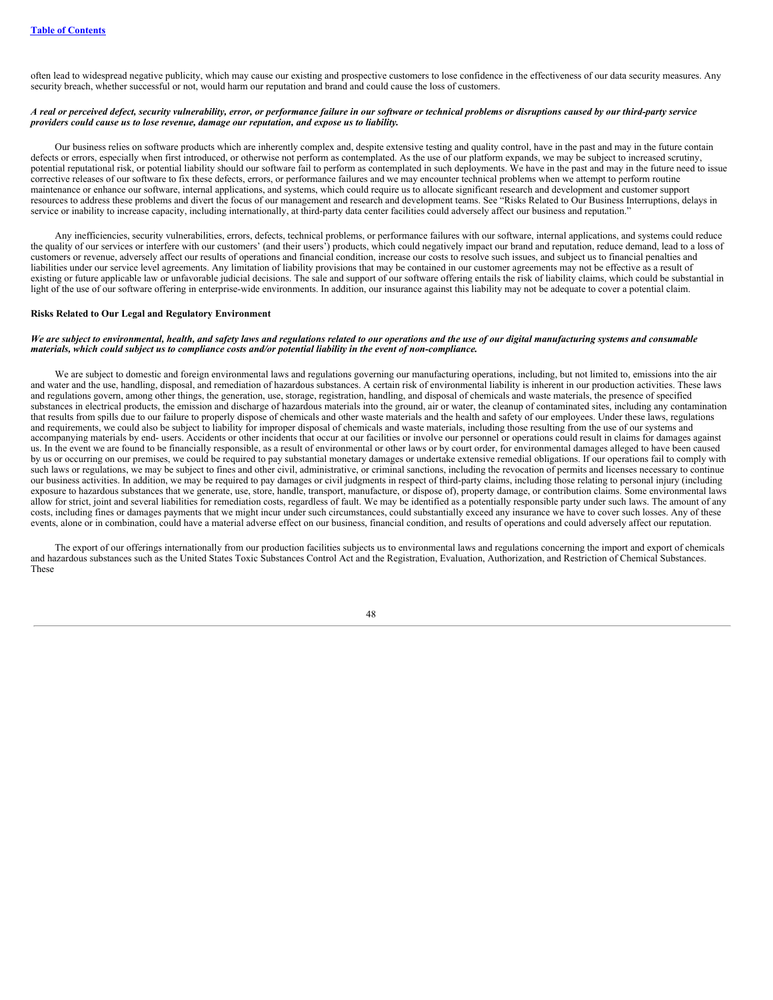often lead to widespread negative publicity, which may cause our existing and prospective customers to lose confidence in the effectiveness of our data security measures. Any security breach, whether successful or not, would harm our reputation and brand and could cause the loss of customers.

#### A real or perceived defect, security vulnerability, error, or performance failure in our software or technical problems or disruptions caused by our third-party service *providers could cause us to lose revenue, damage our reputation, and expose us to liability.*

Our business relies on software products which are inherently complex and, despite extensive testing and quality control, have in the past and may in the future contain defects or errors, especially when first introduced, or otherwise not perform as contemplated. As the use of our platform expands, we may be subject to increased scrutiny, potential reputational risk, or potential liability should our software fail to perform as contemplated in such deployments. We have in the past and may in the future need to issue corrective releases of our software to fix these defects, errors, or performance failures and we may encounter technical problems when we attempt to perform routine maintenance or enhance our software, internal applications, and systems, which could require us to allocate significant research and development and customer support resources to address these problems and divert the focus of our management and research and development teams. See "Risks Related to Our Business Interruptions, delays in service or inability to increase capacity, including internationally, at third-party data center facilities could adversely affect our business and reputation."

Any inefficiencies, security vulnerabilities, errors, defects, technical problems, or performance failures with our software, internal applications, and systems could reduce the quality of our services or interfere with our customers' (and their users') products, which could negatively impact our brand and reputation, reduce demand, lead to a loss of customers or revenue, adversely affect our results of operations and financial condition, increase our costs to resolve such issues, and subject us to financial penalties and liabilities under our service level agreements. Any limitation of liability provisions that may be contained in our customer agreements may not be effective as a result of existing or future applicable law or unfavorable judicial decisions. The sale and support of our software offering entails the risk of liability claims, which could be substantial in existing or future applicable law or un light of the use of our software offering in enterprise-wide environments. In addition, our insurance against this liability may not be adequate to cover a potential claim.

# **Risks Related to Our Legal and Regulatory Environment**

#### We are subject to environmental, health, and safety laws and regulations related to our operations and the use of our digital manufacturing systems and consumable *materials, which could subject us to compliance costs and/or potential liability in the event of non-compliance.*

We are subject to domestic and foreign environmental laws and regulations governing our manufacturing operations, including, but not limited to, emissions into the air and water and the use, handling, disposal, and remediation of hazardous substances. A certain risk of environmental liability is inherent in our production activities. These laws and regulations govern, among other things, the generation, use, storage, registration, handling, and disposal of chemicals and waste materials, the presence of specified substances in electrical products, the emission and discharge of hazardous materials into the ground, air or water, the cleanup of contaminated sites, including any contamination that results from spills due to our failure to properly dispose of chemicals and other waste materials and the health and safety of our employees. Under these laws, regulations and requirements, we could also be subject to liability for improper disposal of chemicals and waste materials, including those resulting from the use of our systems and accompanying materials by end- users. Accidents or other incidents that occur at our facilities or involve our personnel or operations could result in claims for damages against us. In the event we are found to be financially responsible, as a result of environmental or other laws or by court order, for environmental damages alleged to have been caused by us or occurring on our premises, we could be required to pay substantial monetary damages or undertake extensive remedial obligations. If our operations fail to comply with such laws or regulations, we may be subject to fines and other civil, administrative, or criminal sanctions, including the revocation of permits and licenses necessary to continue our business activities. In addition, we may be required to pay damages or civil judgments in respect of third-party claims, including those relating to personal injury (including exposure to hazardous substances that we generate, use, store, handle, transport, manufacture, or dispose of), property damage, or contribution claims. Some environmental laws allow for strict, joint and several liabilities for remediation costs, regardless of fault. We may be identified as a potentially responsible party under such laws. The amount of any costs, including fines or damages payments that we might incur under such circumstances, could substantially exceed any insurance we have to cover such losses. Any of these events, alone or in combination, could have a material adverse effect on our business, financial condition, and results of operations and could adversely affect our reputation.

The export of our offerings internationally from our production facilities subjects us to environmental laws and regulations concerning the import and export of chemicals and hazardous substances such as the United States Toxic Substances Control Act and the Registration, Evaluation, Authorization, and Restriction of Chemical Substances. These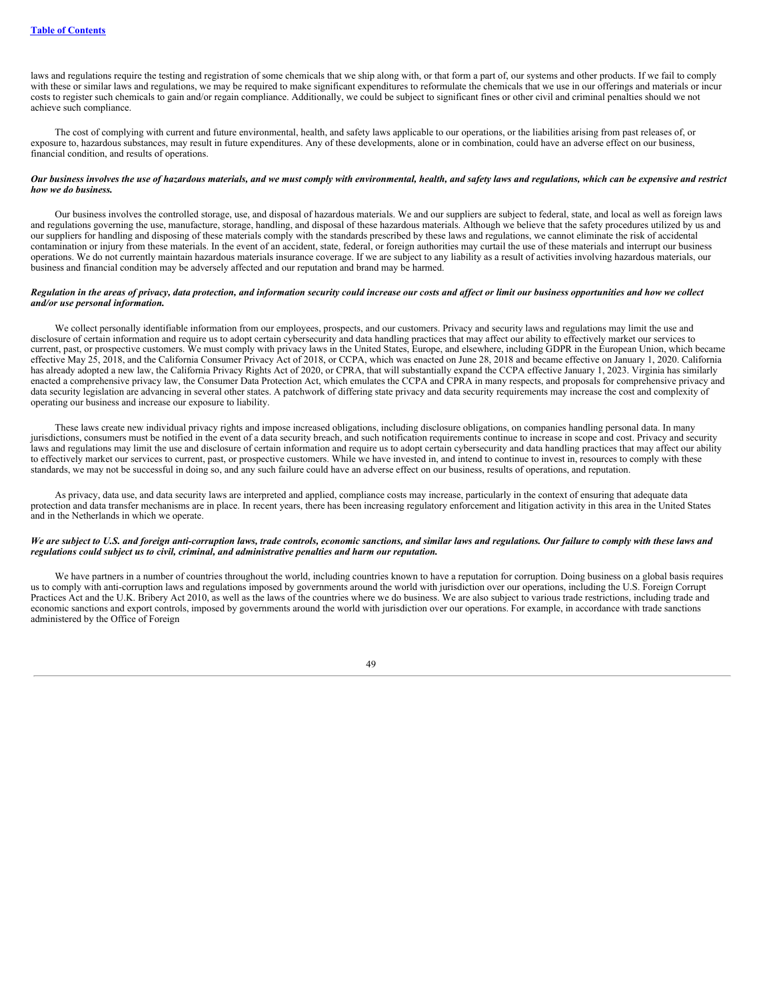laws and regulations require the testing and registration of some chemicals that we ship along with, or that form a part of, our systems and other products. If we fail to comply with these or similar laws and regulations, we may be required to make significant expenditures to reformulate the chemicals that we use in our offerings and materials or incur costs to register such chemicals to gain and/or regain compliance. Additionally, we could be subject to significant fines or other civil and criminal penalties should we not achieve such compliance.

The cost of complying with current and future environmental, health, and safety laws applicable to our operations, or the liabilities arising from past releases of, or exposure to, hazardous substances, may result in future expenditures. Any of these developments, alone or in combination, could have an adverse effect on our business, financial condition, and results of operations.

### Our business involves the use of hazardous materials, and we must comply with environmental, health, and safety laws and regulations, which can be expensive and restrict *how we do business.*

Our business involves the controlled storage, use, and disposal of hazardous materials. We and our suppliers are subject to federal, state, and local as well as foreign laws and regulations governing the use, manufacture, storage, handling, and disposal of these hazardous materials. Although we believe that the safety procedures utilized by us and our suppliers for handling and disposing of these materials comply with the standards prescribed by these laws and regulations, we cannot eliminate the risk of accidental contamination or injury from these materials. In the event of an accident, state, federal, or foreign authorities may curtail the use of these materials and interrupt our business operations. We do not currently maintain hazardous materials insurance coverage. If we are subject to any liability as a result of activities involving hazardous materials, our business and financial condition may be adversely affected and our reputation and brand may be harmed.

#### Regulation in the areas of privacy, data protection, and information security could increase our costs and affect or limit our business opportunities and how we collect *and/or use personal information.*

We collect personally identifiable information from our employees, prospects, and our customers. Privacy and security laws and regulations may limit the use and disclosure of certain information and require us to adopt certain cybersecurity and data handling practices that may affect our ability to effectively market our services to current, past, or prospective customers. We must comply with privacy laws in the United States, Europe, and elsewhere, including GDPR in the European Union, which became effective May 25, 2018, and the California Consumer Privacy Act of 2018, or CCPA, which was enacted on June 28, 2018 and became effective on January 1, 2020. California has already adopted a new law, the California Privacy Rights Act of 2020, or CPRA, that will substantially expand the CCPA effective January 1, 2023. Virginia has similarly enacted a comprehensive privacy law, the Consumer Data Protection Act, which emulates the CCPA and CPRA in many respects, and proposals for comprehensive privacy and data security legislation are advancing in several other states. A patchwork of differing state privacy and data security requirements may increase the cost and complexity of operating our business and increase our exposure to liability.

These laws create new individual privacy rights and impose increased obligations, including disclosure obligations, on companies handling personal data. In many jurisdictions, consumers must be notified in the event of a data security breach, and such notification requirements continue to increase in scope and cost. Privacy and security laws and regulations may limit the use and disclosure of certain information and require us to adopt certain cybersecurity and data handling practices that may affect our ability to effectively market our services to current, past, or prospective customers. While we have invested in, and intend to continue to invest in, resources to comply with these standards, we may not be successful in doing so, and any such failure could have an adverse effect on our business, results of operations, and reputation.

As privacy, data use, and data security laws are interpreted and applied, compliance costs may increase, particularly in the context of ensuring that adequate data protection and data transfer mechanisms are in place. In recent years, there has been increasing regulatory enforcement and litigation activity in this area in the United States and in the Netherlands in which we operate.

# We are subject to U.S. and foreign anti-corruption laws, trade controls, economic sanctions, and similar laws and regulations. Our failure to comply with these laws and *regulations could subject us to civil, criminal, and administrative penalties and harm our reputation.*

We have partners in a number of countries throughout the world, including countries known to have a reputation for corruption. Doing business on a global basis requires us to comply with anti-corruption laws and regulations imposed by governments around the world with jurisdiction over our operations, including the U.S. Foreign Corrupt Practices Act and the U.K. Bribery Act 2010, as well as the laws of the countries where we do business. We are also subject to various trade restrictions, including trade and economic sanctions and export controls, imposed by governments around the world with jurisdiction over our operations. For example, in accordance with trade sanctions administered by the Office of Foreign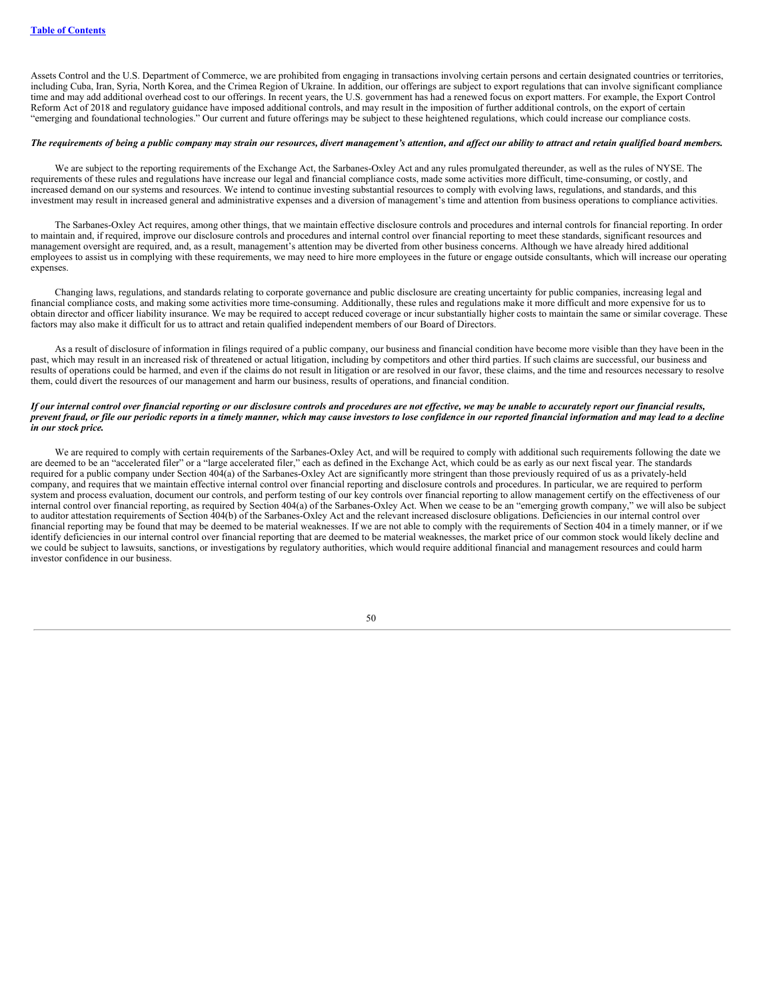Assets Control and the U.S. Department of Commerce, we are prohibited from engaging in transactions involving certain persons and certain designated countries or territories, including Cuba, Iran, Syria, North Korea, and the Crimea Region of Ukraine. In addition, our offerings are subject to export regulations that can involve significant compliance time and may add additional overhead cost to our offerings. In recent years, the U.S. government has had a renewed focus on export matters. For example, the Export Control Reform Act of 2018 and regulatory guidance have imposed additional controls, and may result in the imposition of further additional controls, on the export of certain "emerging and foundational technologies." Our current and future offerings may be subject to these heightened regulations, which could increase our compliance costs.

### The requirements of being a public company may strain our resources, divert management's attention, and affect our ability to attract and retain qualified board members.

We are subject to the reporting requirements of the Exchange Act, the Sarbanes-Oxley Act and any rules promulgated thereunder, as well as the rules of NYSE. The requirements of these rules and regulations have increase our legal and financial compliance costs, made some activities more difficult, time-consuming, or costly, and increased demand on our systems and resources. We intend to continue investing substantial resources to comply with evolving laws, regulations, and standards, and this investment may result in increased general and administrative expenses and a diversion of management's time and attention from business operations to compliance activities.

The Sarbanes-Oxley Act requires, among other things, that we maintain effective disclosure controls and procedures and internal controls for financial reporting. In order to maintain and, if required, improve our disclosure controls and procedures and internal control over financial reporting to meet these standards, significant resources and management oversight are required, and, as a result, management's attention may be diverted from other business concerns. Although we have already hired additional employees to assist us in complying with these requirements, we may need to hire more employees in the future or engage outside consultants, which will increase our operating expenses.

Changing laws, regulations, and standards relating to corporate governance and public disclosure are creating uncertainty for public companies, increasing legal and financial compliance costs, and making some activities more time-consuming. Additionally, these rules and regulations make it more difficult and more expensive for us to obtain director and officer liability insurance. We may be required to accept reduced coverage or incur substantially higher costs to maintain the same or similar coverage. These factors may also make it difficult for us to attract and retain qualified independent members of our Board of Directors.

As a result of disclosure of information in filings required of a public company, our business and financial condition have become more visible than they have been in the past, which may result in an increased risk of threatened or actual litigation, including by competitors and other third parties. If such claims are successful, our business and results of operations could be harmed, and even if the claims do not result in litigation or are resolved in our favor, these claims, and the time and resources necessary to resolve them, could divert the resources of our management and harm our business, results of operations, and financial condition.

#### If our internal control over financial reporting or our disclosure controls and procedures are not effective, we may be unable to accurately report our financial results, prevent fraud, or file our periodic reports in a timely manner, which may cause investors to lose confidence in our reported financial information and may lead to a decline *in our stock price.*

We are required to comply with certain requirements of the Sarbanes-Oxley Act, and will be required to comply with additional such requirements following the date we are deemed to be an "accelerated filer" or a "large accelerated filer," each as defined in the Exchange Act, which could be as early as our next fiscal year. The standards required for a public company under Section 404(a) of the Sarbanes-Oxley Act are significantly more stringent than those previously required of us as a privately-held company, and requires that we maintain effective internal control over financial reporting and disclosure controls and procedures. In particular, we are required to perform system and process evaluation, document our controls, and perform testing of our key controls over financial reporting to allow management certify on the effectiveness of our internal control over financial reporting, as required by Section 404(a) of the Sarbanes-Oxley Act. When we cease to be an "emerging growth company," we will also be subject to auditor attestation requirements of Section 404(b) of the Sarbanes-Oxley Act and the relevant increased disclosure obligations. Deficiencies in our internal control over financial reporting may be found that may be deemed to be material weaknesses. If we are not able to comply with the requirements of Section 404 in a timely manner, or if we identify deficiencies in our internal control over financial reporting that are deemed to be material weaknesses, the market price of our common stock would likely decline and we could be subject to lawsuits, sanctions, or investigations by regulatory authorities, which would require additional financial and management resources and could harm investor confidence in our business.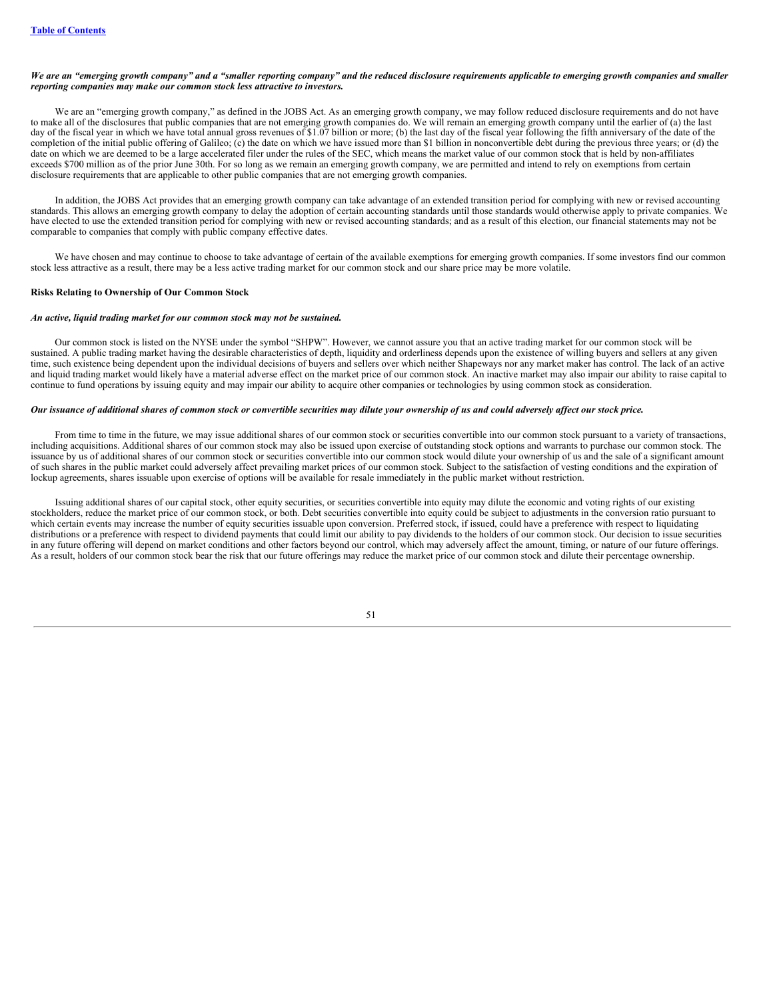#### We are an "emerging growth company" and a "smaller reporting company" and the reduced disclosure requirements applicable to emerging growth companies and smaller *reporting companies may make our common stock less attractive to investors.*

We are an "emerging growth company," as defined in the JOBS Act. As an emerging growth company, we may follow reduced disclosure requirements and do not have to make all of the disclosures that public companies that are not emerging growth companies do. We will remain an emerging growth company until the earlier of (a) the last day of the fiscal year in which we have total annual gross revenues of \$1.07 billion or more; (b) the last day of the fiscal year following the fifth anniversary of the date of the completion of the initial public offering of Galileo; (c) the date on which we have issued more than \$1 billion in nonconvertible debt during the previous three years; or (d) the date on which we are deemed to be a large accelerated filer under the rules of the SEC, which means the market value of our common stock that is held by non-affiliates exceeds \$700 million as of the prior June 30th. For so long as we remain an emerging growth company, we are permitted and intend to rely on exemptions from certain disclosure requirements that are applicable to other public companies that are not emerging growth companies.

In addition, the JOBS Act provides that an emerging growth company can take advantage of an extended transition period for complying with new or revised accounting standards. This allows an emerging growth company to delay the adoption of certain accounting standards until those standards would otherwise apply to private companies. We have elected to use the extended transition period for complying with new or revised accounting standards; and as a result of this election, our financial statements may not be comparable to companies that comply with public company effective dates.

We have chosen and may continue to choose to take advantage of certain of the available exemptions for emerging growth companies. If some investors find our common stock less attractive as a result, there may be a less active trading market for our common stock and our share price may be more volatile.

#### **Risks Relating to Ownership of Our Common Stock**

### *An active, liquid trading market for our common stock may not be sustained.*

Our common stock is listed on the NYSE under the symbol "SHPW". However, we cannot assure you that an active trading market for our common stock will be sustained. A public trading market having the desirable characteristics of depth, liquidity and orderliness depends upon the existence of willing buyers and sellers at any given time, such existence being dependent upon the individual decisions of buyers and sellers over which neither Shapeways nor any market maker has control. The lack of an active and liquid trading market would likely have a material adverse effect on the market price of our common stock. An inactive market may also impair our ability to raise capital to continue to fund operations by issuing equity and may impair our ability to acquire other companies or technologies by using common stock as consideration.

### Our issuance of additional shares of common stock or convertible securities may dilute your ownership of us and could adversely affect our stock price.

From time to time in the future, we may issue additional shares of our common stock or securities convertible into our common stock pursuant to a variety of transactions, including acquisitions. Additional shares of our common stock may also be issued upon exercise of outstanding stock options and warrants to purchase our common stock. The issuance by us of additional shares of our common stock or securities convertible into our common stock would dilute your ownership of us and the sale of a significant amount of such shares in the public market could adversely affect prevailing market prices of our common stock. Subject to the satisfaction of vesting conditions and the expiration of lockup agreements, shares issuable upon exercise of options will be available for resale immediately in the public market without restriction.

Issuing additional shares of our capital stock, other equity securities, or securities convertible into equity may dilute the economic and voting rights of our existing stockholders, reduce the market price of our common stock, or both. Debt securities convertible into equity could be subject to adjustments in the conversion ratio pursuant to which certain events may increase the number of equity securities issuable upon conversion. Preferred stock, if issued, could have a preference with respect to liquidating distributions or a preference with respect to dividend payments that could limit our ability to pay dividends to the holders of our common stock. Our decision to issue securities in any future offering will depend on market conditions and other factors beyond our control, which may adversely affect the amount, timing, or nature of our future offerings. As a result, holders of our common stock bear the risk that our future offerings may reduce the market price of our common stock and dilute their percentage ownership.

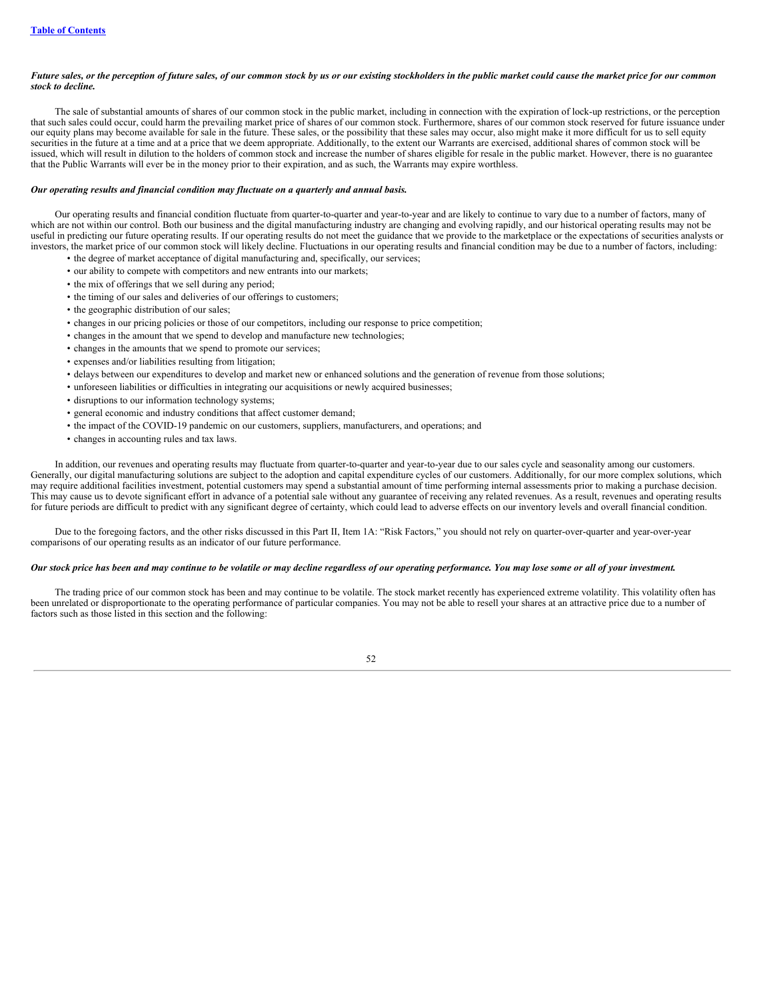# Future sales, or the perception of future sales, of our common stock by us or our existing stockholders in the public market could cause the market price for our common *stock to decline.*

The sale of substantial amounts of shares of our common stock in the public market, including in connection with the expiration of lock-up restrictions, or the perception that such sales could occur, could harm the prevailing market price of shares of our common stock. Furthermore, shares of our common stock reserved for future issuance under our equity plans may become available for sale in the future. These sales, or the possibility that these sales may occur, also might make it more difficult for us to sell equity securities in the future at a time and at a price that we deem appropriate. Additionally, to the extent our Warrants are exercised, additional shares of common stock will be issued, which will result in dilution to the holders of common stock and increase the number of shares eligible for resale in the public market. However, there is no guarantee that the Public Warrants will ever be in the money prior to their expiration, and as such, the Warrants may expire worthless.

# *Our operating results and financial condition may fluctuate on a quarterly and annual basis.*

Our operating results and financial condition fluctuate from quarter-to-quarter and year-to-year and are likely to continue to vary due to a number of factors, many of which are not within our control. Both our business and the digital manufacturing industry are changing and evolving rapidly, and our historical operating results may not be useful in predicting our future operating results. If our operating results do not meet the guidance that we provide to the marketplace or the expectations of securities analysts or investors, the market price of our common stock will likely decline. Fluctuations in our operating results and financial condition may be due to a number of factors, including:

- the degree of market acceptance of digital manufacturing and, specifically, our services; • our ability to compete with competitors and new entrants into our markets;
- the mix of offerings that we sell during any period;
- the timing of our sales and deliveries of our offerings to customers;
- the geographic distribution of our sales;
- changes in our pricing policies or those of our competitors, including our response to price competition;
- changes in the amount that we spend to develop and manufacture new technologies;
- changes in the amounts that we spend to promote our services;
- expenses and/or liabilities resulting from litigation;
- delays between our expenditures to develop and market new or enhanced solutions and the generation of revenue from those solutions;
- unforeseen liabilities or difficulties in integrating our acquisitions or newly acquired businesses;
- disruptions to our information technology systems;
- general economic and industry conditions that affect customer demand;
- the impact of the COVID-19 pandemic on our customers, suppliers, manufacturers, and operations; and
- changes in accounting rules and tax laws.

In addition, our revenues and operating results may fluctuate from quarter-to-quarter and year-to-year due to our sales cycle and seasonality among our customers. Generally, our digital manufacturing solutions are subject to the adoption and capital expenditure cycles of our customers. Additionally, for our more complex solutions, which may require additional facilities investment, potential customers may spend a substantial amount of time performing internal assessments prior to making a purchase decision. This may cause us to devote significant effort in advance of a potential sale without any guarantee of receiving any related revenues. As a result, revenues and operating results for future periods are difficult to predict with any significant degree of certainty, which could lead to adverse effects on our inventory levels and overall financial condition.

Due to the foregoing factors, and the other risks discussed in this Part II, Item 1A: "Risk Factors," you should not rely on quarter-over-quarter and year-over-year comparisons of our operating results as an indicator of our future performance.

# Our stock price has been and may continue to be volatile or may decline regardless of our operating performance. You may lose some or all of your investment.

The trading price of our common stock has been and may continue to be volatile. The stock market recently has experienced extreme volatility. This volatility often has been unrelated or disproportionate to the operating performance of particular companies. You may not be able to resell your shares at an attractive price due to a number of factors such as those listed in this section and the following:

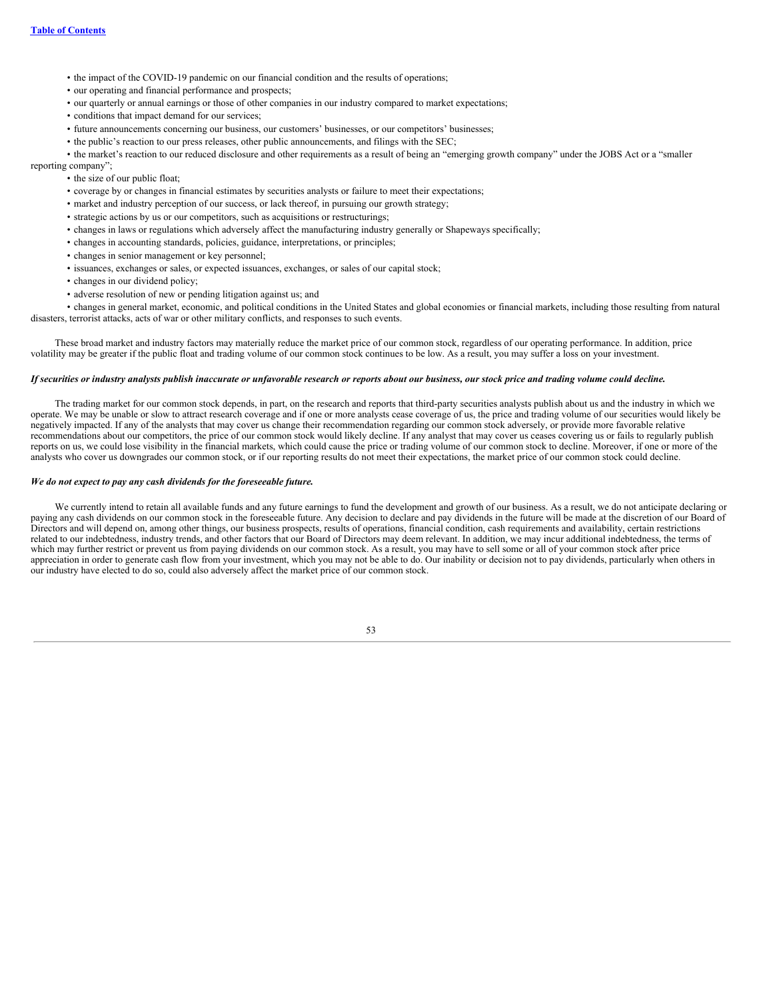- the impact of the COVID-19 pandemic on our financial condition and the results of operations;
- our operating and financial performance and prospects;
- our quarterly or annual earnings or those of other companies in our industry compared to market expectations;
- conditions that impact demand for our services;
- future announcements concerning our business, our customers' businesses, or our competitors' businesses;
- the public's reaction to our press releases, other public announcements, and filings with the SEC;
- the market's reaction to our reduced disclosure and other requirements as a result of being an "emerging growth company" under the JOBS Act or a "smaller

reporting company";

- the size of our public float;
- coverage by or changes in financial estimates by securities analysts or failure to meet their expectations;
- market and industry perception of our success, or lack thereof, in pursuing our growth strategy;
- strategic actions by us or our competitors, such as acquisitions or restructurings;
- changes in laws or regulations which adversely affect the manufacturing industry generally or Shapeways specifically;
- changes in accounting standards, policies, guidance, interpretations, or principles;
- changes in senior management or key personnel;
- issuances, exchanges or sales, or expected issuances, exchanges, or sales of our capital stock;
- changes in our dividend policy;
- adverse resolution of new or pending litigation against us; and

• changes in general market, economic, and political conditions in the United States and global economies or financial markets, including those resulting from natural disasters, terrorist attacks, acts of war or other military conflicts, and responses to such events.

These broad market and industry factors may materially reduce the market price of our common stock, regardless of our operating performance. In addition, price volatility may be greater if the public float and trading volume of our common stock continues to be low. As a result, you may suffer a loss on your investment.

#### If securities or industry analysts publish inaccurate or unfavorable research or reports about our business, our stock price and trading volume could decline.

The trading market for our common stock depends, in part, on the research and reports that third-party securities analysts publish about us and the industry in which we operate. We may be unable or slow to attract research coverage and if one or more analysts cease coverage of us, the price and trading volume of our securities would likely be negatively impacted. If any of the analysts that may cover us change their recommendation regarding our common stock adversely, or provide more favorable relative recommendations about our competitors, the price of our common stock would likely decline. If any analyst that may cover us ceases covering us or fails to regularly publish reports on us, we could lose visibility in the financial markets, which could cause the price or trading volume of our common stock to decline. Moreover, if one or more of the analysts who cover us downgrades our common stock, or if our reporting results do not meet their expectations, the market price of our common stock could decline.

#### *We do not expect to pay any cash dividends for the foreseeable future.*

We currently intend to retain all available funds and any future earnings to fund the development and growth of our business. As a result, we do not anticipate declaring or paying any cash dividends on our common stock in the foreseeable future. Any decision to declare and pay dividends in the future will be made at the discretion of our Board of Directors and will depend on, among other things, our business prospects, results of operations, financial condition, cash requirements and availability, certain restrictions related to our indebtedness, industry trends, and other factors that our Board of Directors may deem relevant. In addition, we may incur additional indebtedness, the terms of which may further restrict or prevent us from paying dividends on our common stock. As a result, you may have to sell some or all of your common stock after price appreciation in order to generate cash flow from your investment, which you may not be able to do. Our inability or decision not to pay dividends, particularly when others in our industry have elected to do so, could also adversely affect the market price of our common stock.

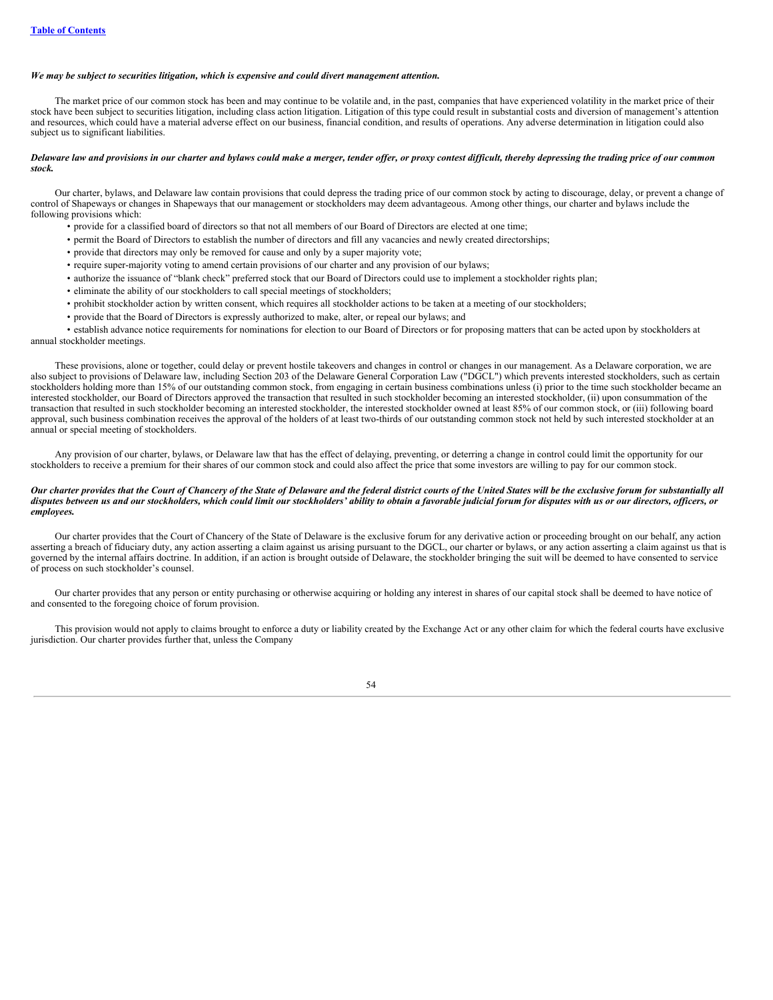# *We may be subject to securities litigation, which is expensive and could divert management attention.*

The market price of our common stock has been and may continue to be volatile and, in the past, companies that have experienced volatility in the market price of their stock have been subject to securities litigation, including class action litigation. Litigation of this type could result in substantial costs and diversion of management's attention and resources, which could have a material adverse effect on our business, financial condition, and results of operations. Any adverse determination in litigation could also subject us to significant liabilities.

### Delaware law and provisions in our charter and bylaws could make a merger, tender offer, or proxy contest difficult, thereby depressing the trading price of our common *stock.*

Our charter, bylaws, and Delaware law contain provisions that could depress the trading price of our common stock by acting to discourage, delay, or prevent a change of control of Shapeways or changes in Shapeways that our management or stockholders may deem advantageous. Among other things, our charter and bylaws include the following provisions which:

- provide for a classified board of directors so that not all members of our Board of Directors are elected at one time;
- permit the Board of Directors to establish the number of directors and fill any vacancies and newly created directorships;
- provide that directors may only be removed for cause and only by a super majority vote;
- require super-majority voting to amend certain provisions of our charter and any provision of our bylaws;
- authorize the issuance of "blank check" preferred stock that our Board of Directors could use to implement a stockholder rights plan;
- eliminate the ability of our stockholders to call special meetings of stockholders;
- prohibit stockholder action by written consent, which requires all stockholder actions to be taken at a meeting of our stockholders;
- provide that the Board of Directors is expressly authorized to make, alter, or repeal our bylaws; and

• establish advance notice requirements for nominations for election to our Board of Directors or for proposing matters that can be acted upon by stockholders at annual stockholder meetings.

These provisions, alone or together, could delay or prevent hostile takeovers and changes in control or changes in our management. As a Delaware corporation, we are also subject to provisions of Delaware law, including Section 203 of the Delaware General Corporation Law ("DGCL") which prevents interested stockholders, such as certain stockholders holding more than 15% of our outstanding common stock, from engaging in certain business combinations unless (i) prior to the time such stockholder became an interested stockholder, our Board of Directors approved the transaction that resulted in such stockholder becoming an interested stockholder, (ii) upon consummation of the transaction that resulted in such stockholder becoming an interested stockholder, the interested stockholder owned at least 85% of our common stock, or (iii) following board approval, such business combination receives the approval of the holders of at least two-thirds of our outstanding common stock not held by such interested stockholder at an annual or special meeting of stockholders.

Any provision of our charter, bylaws, or Delaware law that has the effect of delaying, preventing, or deterring a change in control could limit the opportunity for our stockholders to receive a premium for their shares of our common stock and could also affect the price that some investors are willing to pay for our common stock.

#### Our charter provides that the Court of Chancery of the State of Delaware and the federal district courts of the United States will be the exclusive forum for substantially all disputes between us and our stockholders, which could limit our stockholders' ability to obtain a favorable judicial forum for disputes with us or our directors, officers, or *employees.*

Our charter provides that the Court of Chancery of the State of Delaware is the exclusive forum for any derivative action or proceeding brought on our behalf, any action asserting a breach of fiduciary duty, any action asserting a claim against us arising pursuant to the DGCL, our charter or bylaws, or any action asserting a claim against us that is governed by the internal affairs doctrine. In addition, if an action is brought outside of Delaware, the stockholder bringing the suit will be deemed to have consented to service of process on such stockholder's counsel.

Our charter provides that any person or entity purchasing or otherwise acquiring or holding any interest in shares of our capital stock shall be deemed to have notice of and consented to the foregoing choice of forum provision.

This provision would not apply to claims brought to enforce a duty or liability created by the Exchange Act or any other claim for which the federal courts have exclusive jurisdiction. Our charter provides further that, unless the Company

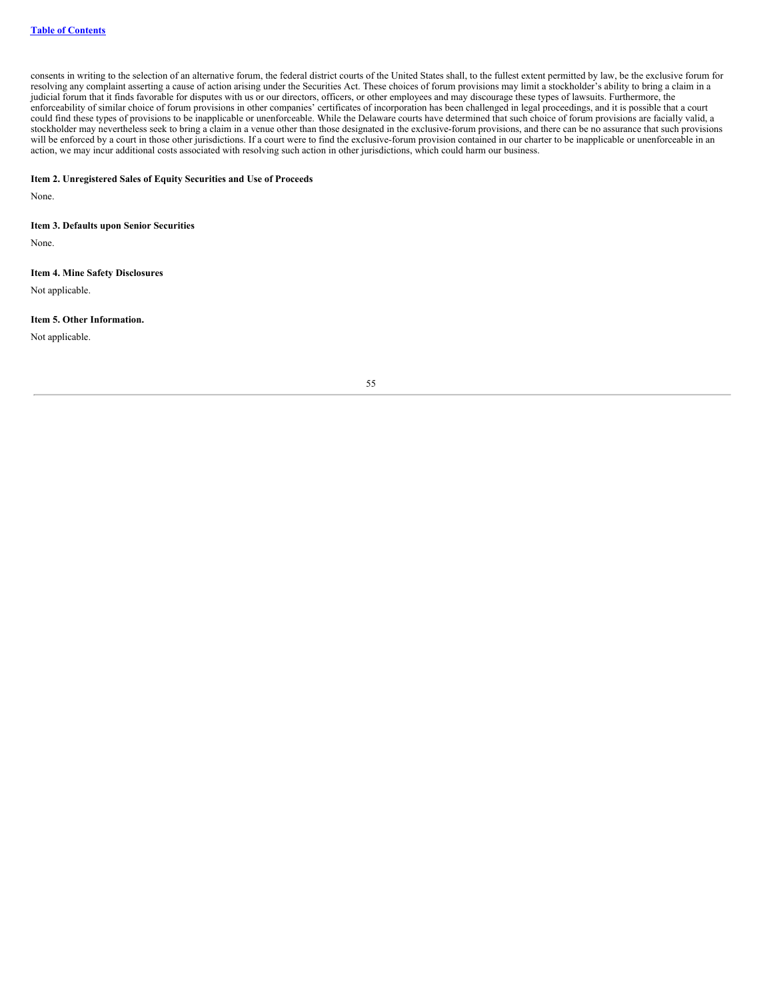consents in writing to the selection of an alternative forum, the federal district courts of the United States shall, to the fullest extent permitted by law, be the exclusive forum for resolving any complaint asserting a cause of action arising under the Securities Act. These choices of forum provisions may limit a stockholder's ability to bring a claim in a judicial forum that it finds favorable for disputes with us or our directors, officers, or other employees and may discourage these types of lawsuits. Furthermore, the enforceability of similar choice of forum provisions in other companies' certificates of incorporation has been challenged in legal proceedings, and it is possible that a court could find these types of provisions to be inapplicable or unenforceable. While the Delaware courts have determined that such choice of forum provisions are facially valid, a stockholder may nevertheless seek to bring a claim in a venue other than those designated in the exclusive-forum provisions, and there can be no assurance that such provisions will be enforced by a court in those other jurisdictions. If a court were to find the exclusive-forum provision contained in our charter to be inapplicable or unenforceable in an action, we may incur additional costs associated with resolving such action in other jurisdictions, which could harm our business.

<span id="page-58-0"></span>**Item 2. Unregistered Sales of Equity Securities and Use of Proceeds**

<span id="page-58-1"></span>None.

#### **Item 3. Defaults upon Senior Securities**

<span id="page-58-2"></span>None.

### **Item 4. Mine Safety Disclosures**

<span id="page-58-3"></span>Not applicable.

### **Item 5. Other Information.**

<span id="page-58-4"></span>Not applicable.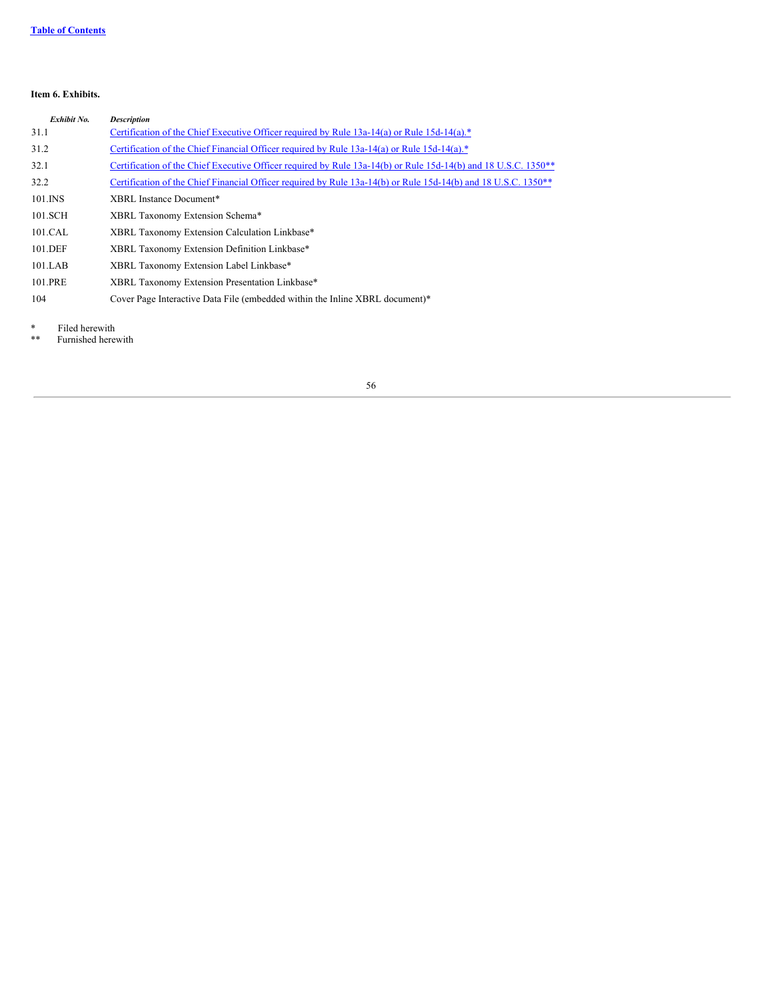# **Item 6. Exhibits.**

| Exhibit No. | <b>Description</b>                                                                                                         |
|-------------|----------------------------------------------------------------------------------------------------------------------------|
| 31.1        | Certification of the Chief Executive Officer required by Rule 13a-14(a) or Rule 15d-14(a).*                                |
| 31.2        | Certification of the Chief Financial Officer required by Rule 13a-14(a) or Rule 15d-14(a). <sup>*</sup>                    |
| 32.1        | Certification of the Chief Executive Officer required by Rule 13a-14(b) or Rule 15d-14(b) and 18 U.S.C. 1350**             |
| 32.2        | Certification of the Chief Financial Officer required by Rule 13a-14(b) or Rule 15d-14(b) and 18 U.S.C. 1350 <sup>**</sup> |
| 101.INS     | XBRL Instance Document*                                                                                                    |
| 101.SCH     | XBRL Taxonomy Extension Schema*                                                                                            |
| 101.CAL     | XBRL Taxonomy Extension Calculation Linkbase*                                                                              |
| 101.DEF     | XBRL Taxonomy Extension Definition Linkbase*                                                                               |
| 101.LAB     | XBRL Taxonomy Extension Label Linkbase*                                                                                    |
| 101.PRE     | XBRL Taxonomy Extension Presentation Linkbase*                                                                             |
| 104         | Cover Page Interactive Data File (embedded within the Inline XBRL document)*                                               |

\* Filed herewith<br>\*\* Furnished here

<span id="page-59-0"></span>Furnished herewith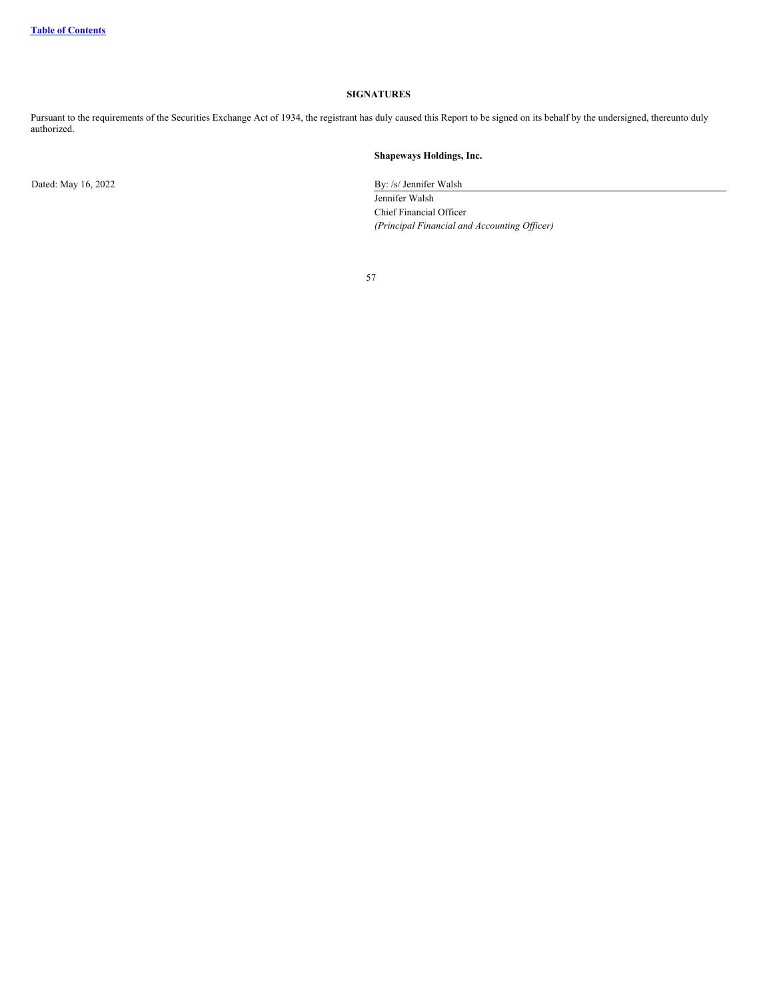# **SIGNATURES**

Pursuant to the requirements of the Securities Exchange Act of 1934, the registrant has duly caused this Report to be signed on its behalf by the undersigned, thereunto duly authorized.

# **Shapeways Holdings, Inc.**

Dated: May 16, 2022 By: /s/ Jennifer Walsh Jennifer Walsh Chief Financial Officer

*(Principal Financial and Accounting Of icer)*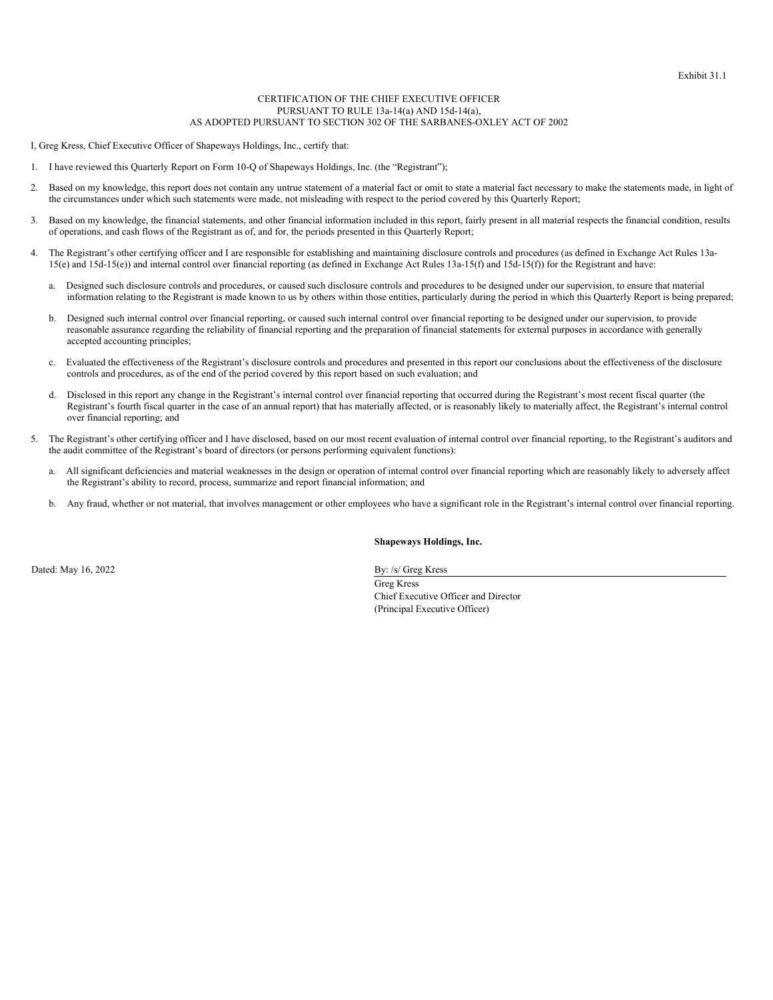#### CERTIFICATION OF THE CHIEF EXECUTIVE OFFICER PURSUANT TO RULE 13a-14(a) AND 15d-14(a), AS ADOPTED PURSUANT TO SECTION 302 OF THE SARBANES-OXLEY ACT OF 2002

<span id="page-61-0"></span>I, Greg Kress, Chief Executive Officer of Shapeways Holdings, Inc., certify that:

- 1. I have reviewed this Quarterly Report on Form 10-Q of Shapeways Holdings, Inc. (the "Registrant");
- 2. Based on my knowledge, this report does not contain any untrue statement of a material fact or omit to state a material fact necessary to make the statements made, in light of the circumstances under which such statements were made, not misleading with respect to the period covered by this Quarterly Report;
- 3. Based on my knowledge, the financial statements, and other financial information included in this report, fairly present in all material respects the financial condition, results of operations, and cash flows of the Registrant as of, and for, the periods presented in this Quarterly Report;
- The Registrant's other certifying officer and I are responsible for establishing and maintaining disclosure controls and procedures (as defined in Exchange Act Rules 13a-15(e) and 15d-15(e)) and internal control over financial reporting (as defined in Exchange Act Rules 13a-15(f) and 15d-15(f)) for the Registrant and have:
	- a. Designed such disclosure controls and procedures, or caused such disclosure controls and procedures to be designed under our supervision, to ensure that material information relating to the Registrant is made known to us by others within those entities, particularly during the period in which this Quarterly Report is being prepared;
	- b. Designed such internal control over financial reporting, or caused such internal control over financial reporting to be designed under our supervision, to provide reasonable assurance regarding the reliability of financial reporting and the preparation of financial statements for external purposes in accordance with generally accepted accounting principles;
	- c. Evaluated the effectiveness of the Registrant's disclosure controls and procedures and presented in this report our conclusions about the effectiveness of the disclosure controls and procedures, as of the end of the period covered by this report based on such evaluation; and
	- d. Disclosed in this report any change in the Registrant's internal control over financial reporting that occurred during the Registrant's most recent fiscal quarter (the Registrant's fourth fiscal quarter in the case of an annual report) that has materially affected, or is reasonably likely to materially affect, the Registrant's internal control over financial reporting; and
- 5. The Registrant's other certifying officer and I have disclosed, based on our most recent evaluation of internal control over financial reporting, to the Registrant's auditors and the audit committee of the Registrant's board of directors (or persons performing equivalent functions):
	- a. All significant deficiencies and material weaknesses in the design or operation of internal control over financial reporting which are reasonably likely to adversely affect the Registrant's ability to record, process, summarize and report financial information; and
	- b. Any fraud, whether or not material, that involves management or other employees who have a significant role in the Registrant's internal control over financial reporting.

#### **Shapeways Holdings, Inc.**

Dated: May 16, 2022 By: /s/ Greg Kress

Greg Kress Chief Executive Officer and Director (Principal Executive Officer)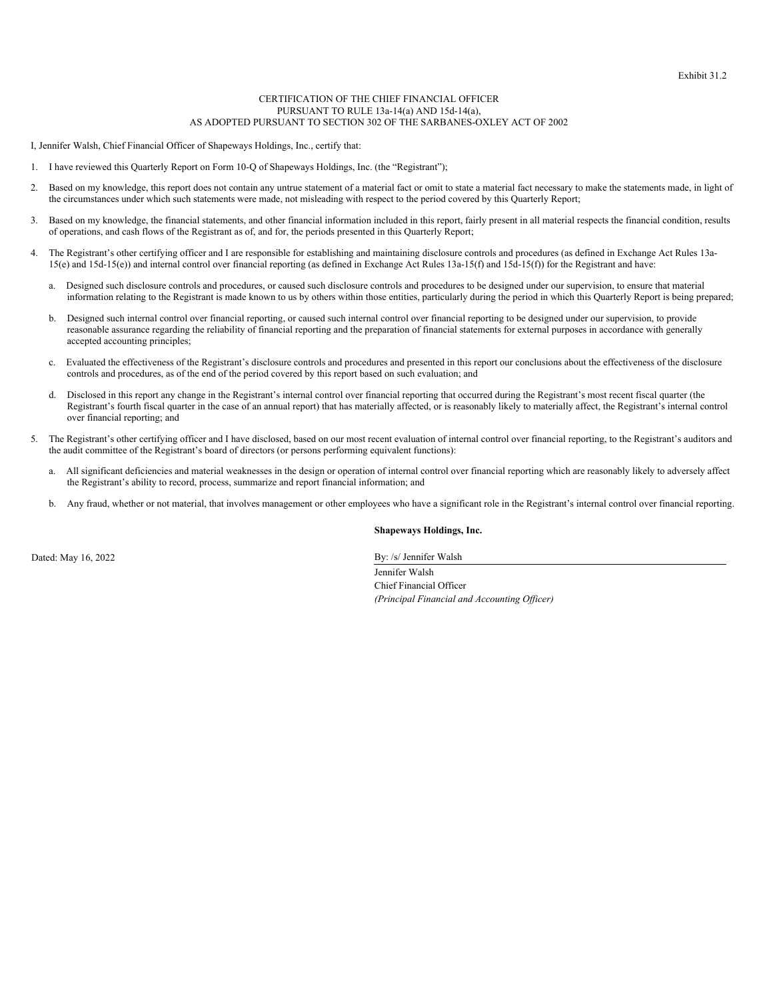#### CERTIFICATION OF THE CHIEF FINANCIAL OFFICER PURSUANT TO RULE 13a-14(a) AND 15d-14(a), AS ADOPTED PURSUANT TO SECTION 302 OF THE SARBANES-OXLEY ACT OF 2002

<span id="page-62-0"></span>I, Jennifer Walsh, Chief Financial Officer of Shapeways Holdings, Inc., certify that:

- 1. I have reviewed this Quarterly Report on Form 10-Q of Shapeways Holdings, Inc. (the "Registrant");
- 2. Based on my knowledge, this report does not contain any untrue statement of a material fact or omit to state a material fact necessary to make the statements made, in light of the circumstances under which such statements were made, not misleading with respect to the period covered by this Quarterly Report;
- 3. Based on my knowledge, the financial statements, and other financial information included in this report, fairly present in all material respects the financial condition, results of operations, and cash flows of the Registrant as of, and for, the periods presented in this Quarterly Report;
- The Registrant's other certifying officer and I are responsible for establishing and maintaining disclosure controls and procedures (as defined in Exchange Act Rules 13a-15(e) and 15d-15(e)) and internal control over financial reporting (as defined in Exchange Act Rules 13a-15(f) and 15d-15(f)) for the Registrant and have:
	- a. Designed such disclosure controls and procedures, or caused such disclosure controls and procedures to be designed under our supervision, to ensure that material information relating to the Registrant is made known to us by others within those entities, particularly during the period in which this Quarterly Report is being prepared;
	- b. Designed such internal control over financial reporting, or caused such internal control over financial reporting to be designed under our supervision, to provide reasonable assurance regarding the reliability of financial reporting and the preparation of financial statements for external purposes in accordance with generally accepted accounting principles;
	- c. Evaluated the effectiveness of the Registrant's disclosure controls and procedures and presented in this report our conclusions about the effectiveness of the disclosure controls and procedures, as of the end of the period covered by this report based on such evaluation; and
	- d. Disclosed in this report any change in the Registrant's internal control over financial reporting that occurred during the Registrant's most recent fiscal quarter (the Registrant's fourth fiscal quarter in the case of an annual report) that has materially affected, or is reasonably likely to materially affect, the Registrant's internal control over financial reporting; and
- 5. The Registrant's other certifying officer and I have disclosed, based on our most recent evaluation of internal control over financial reporting, to the Registrant's auditors and the audit committee of the Registrant's board of directors (or persons performing equivalent functions):
	- a. All significant deficiencies and material weaknesses in the design or operation of internal control over financial reporting which are reasonably likely to adversely affect the Registrant's ability to record, process, summarize and report financial information; and
	- b. Any fraud, whether or not material, that involves management or other employees who have a significant role in the Registrant's internal control over financial reporting.

# **Shapeways Holdings, Inc.**

Dated: May 16, 2022 By: /s/ Jennifer Walsh

Jennifer Walsh Chief Financial Officer *(Principal Financial and Accounting Of icer)*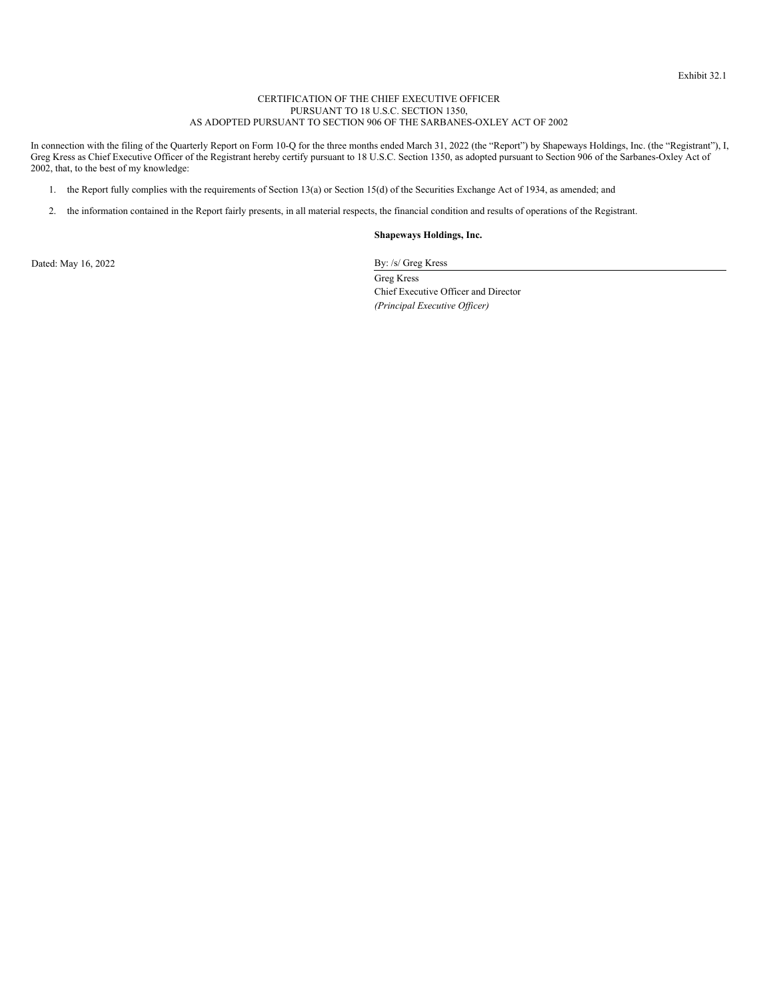# CERTIFICATION OF THE CHIEF EXECUTIVE OFFICER PURSUANT TO 18 U.S.C. SECTION 1350, AS ADOPTED PURSUANT TO SECTION 906 OF THE SARBANES-OXLEY ACT OF 2002

<span id="page-63-0"></span>In connection with the filing of the Quarterly Report on Form 10-Q for the three months ended March 31, 2022 (the "Report") by Shapeways Holdings, Inc. (the "Registrant"), I, Greg Kress as Chief Executive Officer of the Registrant hereby certify pursuant to 18 U.S.C. Section 1350, as adopted pursuant to Section 906 of the Sarbanes-Oxley Act of 2002, that, to the best of my knowledge:

- 1. the Report fully complies with the requirements of Section 13(a) or Section 15(d) of the Securities Exchange Act of 1934, as amended; and
- 2. the information contained in the Report fairly presents, in all material respects, the financial condition and results of operations of the Registrant.

# **Shapeways Holdings, Inc.**

Dated: May 16, 2022 By: /s/ Greg Kress

Greg Kress Chief Executive Officer and Director *(Principal Executive Of icer)*